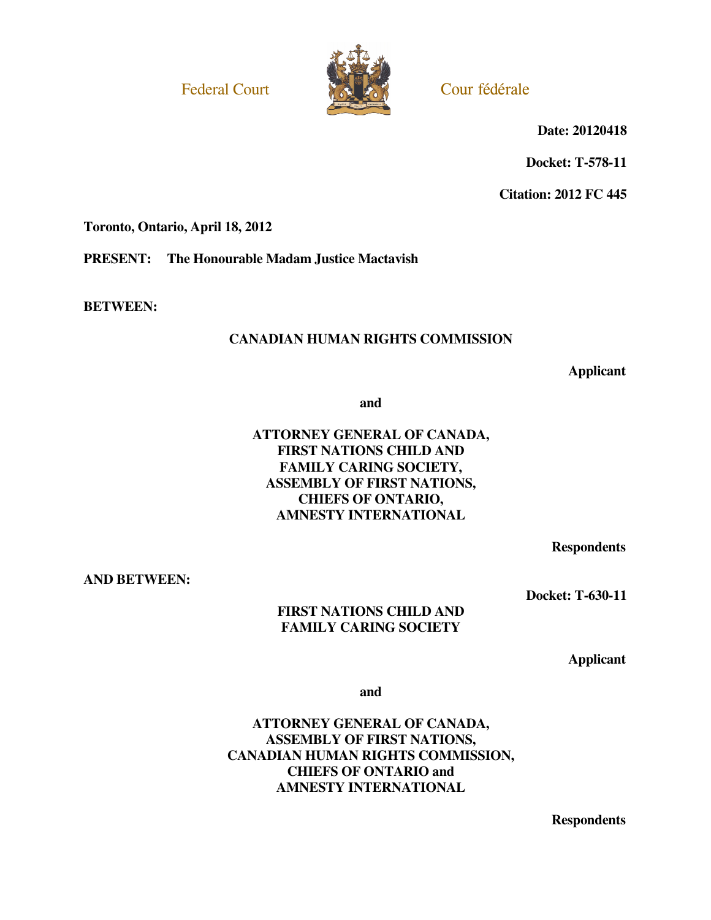Federal Court Court Court Federale



 **Date: 20120418**

**Docket: T-578-11** 

**Citation: 2012 FC 445** 

**Toronto, Ontario, April 18, 2012** 

**PRESENT: The Honourable Madam Justice Mactavish** 

**BETWEEN:** 

# **CANADIAN HUMAN RIGHTS COMMISSION**

**Applicant**

**and** 

# **ATTORNEY GENERAL OF CANADA, FIRST NATIONS CHILD AND FAMILY CARING SOCIETY, ASSEMBLY OF FIRST NATIONS, CHIEFS OF ONTARIO, AMNESTY INTERNATIONAL**

**Respondents**

**AND BETWEEN:** 

**Docket: T-630-11** 

### **FIRST NATIONS CHILD AND FAMILY CARING SOCIETY**

**Applicant**

**and** 

**ATTORNEY GENERAL OF CANADA, ASSEMBLY OF FIRST NATIONS, CANADIAN HUMAN RIGHTS COMMISSION, CHIEFS OF ONTARIO and AMNESTY INTERNATIONAL** 

**Respondents**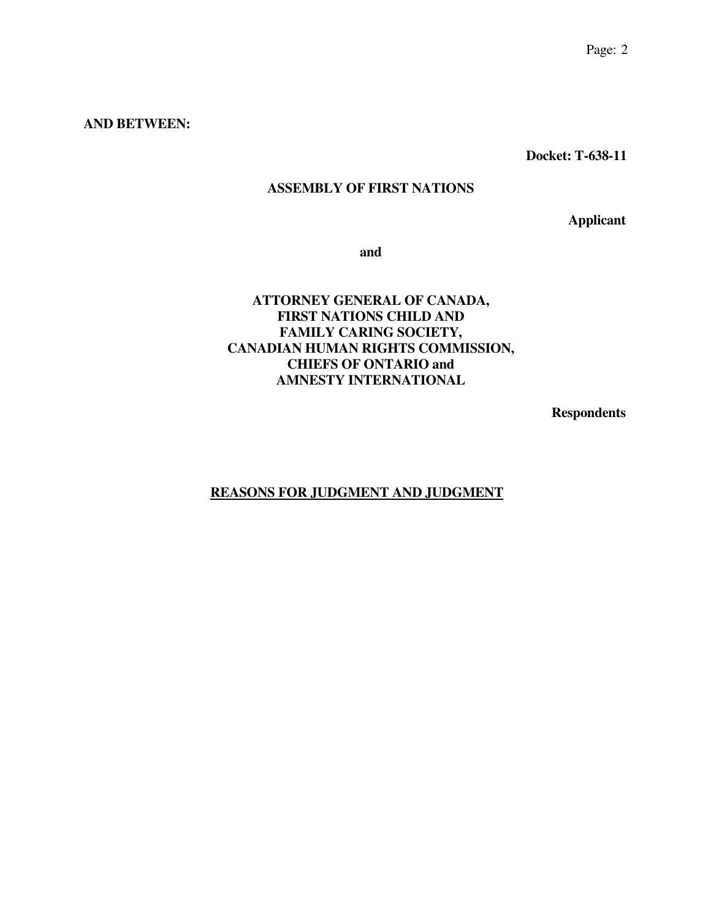### **AND BETWEEN:**

**Docket: T-638-11** 

# **ASSEMBLY OF FIRST NATIONS**

**Applicant**

**and** 

# **ATTORNEY GENERAL OF CANADA, FIRST NATIONS CHILD AND FAMILY CARING SOCIETY, CANADIAN HUMAN RIGHTS COMMISSION, CHIEFS OF ONTARIO and AMNESTY INTERNATIONAL**

**Respondents**

# **REASONS FOR JUDGMENT AND JUDGMENT**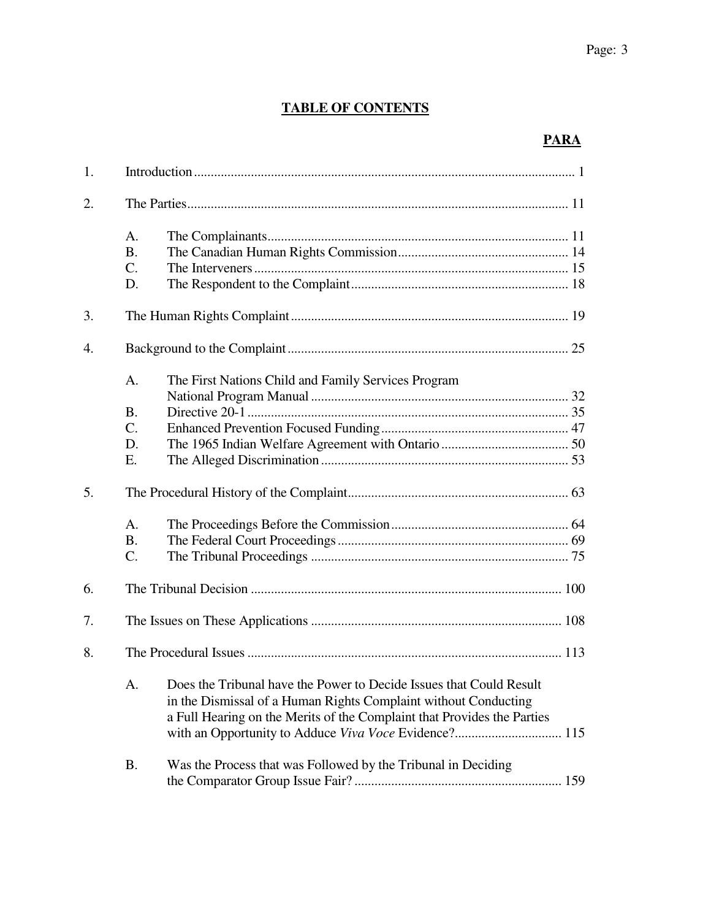# **TABLE OF CONTENTS**

# **PARA**

| 1. |                                            |                                                                                                                                                                                                                      |  |
|----|--------------------------------------------|----------------------------------------------------------------------------------------------------------------------------------------------------------------------------------------------------------------------|--|
| 2. |                                            |                                                                                                                                                                                                                      |  |
|    | A.<br><b>B.</b><br>$C_{\cdot}$<br>D.       |                                                                                                                                                                                                                      |  |
| 3. |                                            |                                                                                                                                                                                                                      |  |
| 4. |                                            |                                                                                                                                                                                                                      |  |
|    | A.<br><b>B.</b><br>$C_{\cdot}$<br>D.<br>Е. | The First Nations Child and Family Services Program                                                                                                                                                                  |  |
| 5. |                                            |                                                                                                                                                                                                                      |  |
|    | $A_{\cdot}$<br><b>B.</b><br>$C$ .          |                                                                                                                                                                                                                      |  |
| 6. |                                            |                                                                                                                                                                                                                      |  |
| 7. |                                            |                                                                                                                                                                                                                      |  |
| 8. |                                            |                                                                                                                                                                                                                      |  |
|    |                                            | A. Does the Tribunal have the Power to Decide Issues that Could Result<br>in the Dismissal of a Human Rights Complaint without Conducting<br>a Full Hearing on the Merits of the Complaint that Provides the Parties |  |
|    | <b>B.</b>                                  | Was the Process that was Followed by the Tribunal in Deciding                                                                                                                                                        |  |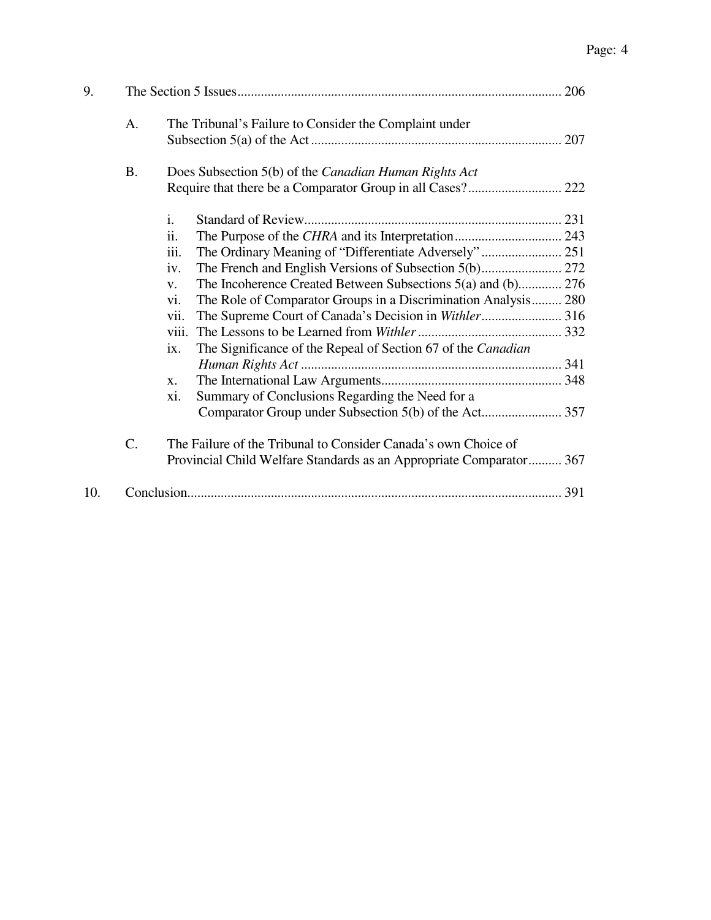| 9.  |           |                                                                                                                                       |  |
|-----|-----------|---------------------------------------------------------------------------------------------------------------------------------------|--|
|     | A.        | The Tribunal's Failure to Consider the Complaint under                                                                                |  |
|     | <b>B.</b> | Does Subsection 5(b) of the Canadian Human Rights Act                                                                                 |  |
|     |           |                                                                                                                                       |  |
|     |           | $\mathbf{i}$ .                                                                                                                        |  |
|     |           | $\overline{\mathbf{11}}$ .                                                                                                            |  |
|     |           | iii.<br>The Ordinary Meaning of "Differentiate Adversely"  251                                                                        |  |
|     |           | iv.                                                                                                                                   |  |
|     |           | The Incoherence Created Between Subsections 5(a) and (b) 276<br>V.                                                                    |  |
|     |           | The Role of Comparator Groups in a Discrimination Analysis 280<br>vi.                                                                 |  |
|     |           | vii.                                                                                                                                  |  |
|     |           | viii.                                                                                                                                 |  |
|     |           | The Significance of the Repeal of Section 67 of the Canadian<br>ix.                                                                   |  |
|     |           |                                                                                                                                       |  |
|     |           | X.                                                                                                                                    |  |
|     |           | xi.<br>Summary of Conclusions Regarding the Need for a                                                                                |  |
|     |           |                                                                                                                                       |  |
|     | C.        | The Failure of the Tribunal to Consider Canada's own Choice of<br>Provincial Child Welfare Standards as an Appropriate Comparator 367 |  |
| 10. |           |                                                                                                                                       |  |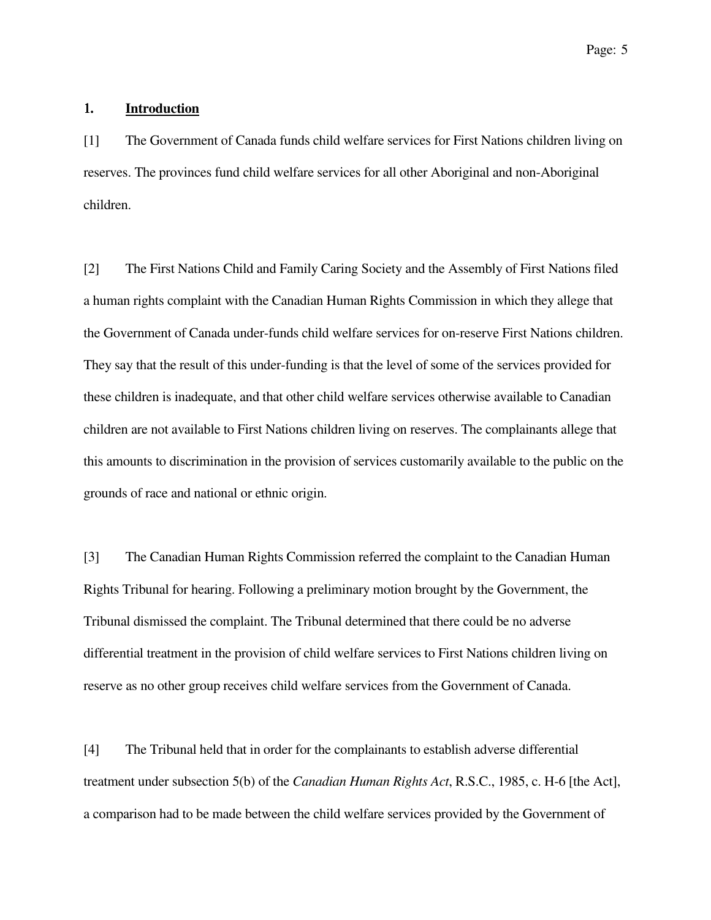### 1**. Introduction**

[1] The Government of Canada funds child welfare services for First Nations children living on reserves. The provinces fund child welfare services for all other Aboriginal and non-Aboriginal children.

[2] The First Nations Child and Family Caring Society and the Assembly of First Nations filed a human rights complaint with the Canadian Human Rights Commission in which they allege that the Government of Canada under-funds child welfare services for on-reserve First Nations children. They say that the result of this under-funding is that the level of some of the services provided for these children is inadequate, and that other child welfare services otherwise available to Canadian children are not available to First Nations children living on reserves. The complainants allege that this amounts to discrimination in the provision of services customarily available to the public on the grounds of race and national or ethnic origin.

[3] The Canadian Human Rights Commission referred the complaint to the Canadian Human Rights Tribunal for hearing. Following a preliminary motion brought by the Government, the Tribunal dismissed the complaint. The Tribunal determined that there could be no adverse differential treatment in the provision of child welfare services to First Nations children living on reserve as no other group receives child welfare services from the Government of Canada.

[4] The Tribunal held that in order for the complainants to establish adverse differential treatment under subsection 5(b) of the *Canadian Human Rights Act*, R.S.C., 1985, c. H-6 [the Act], a comparison had to be made between the child welfare services provided by the Government of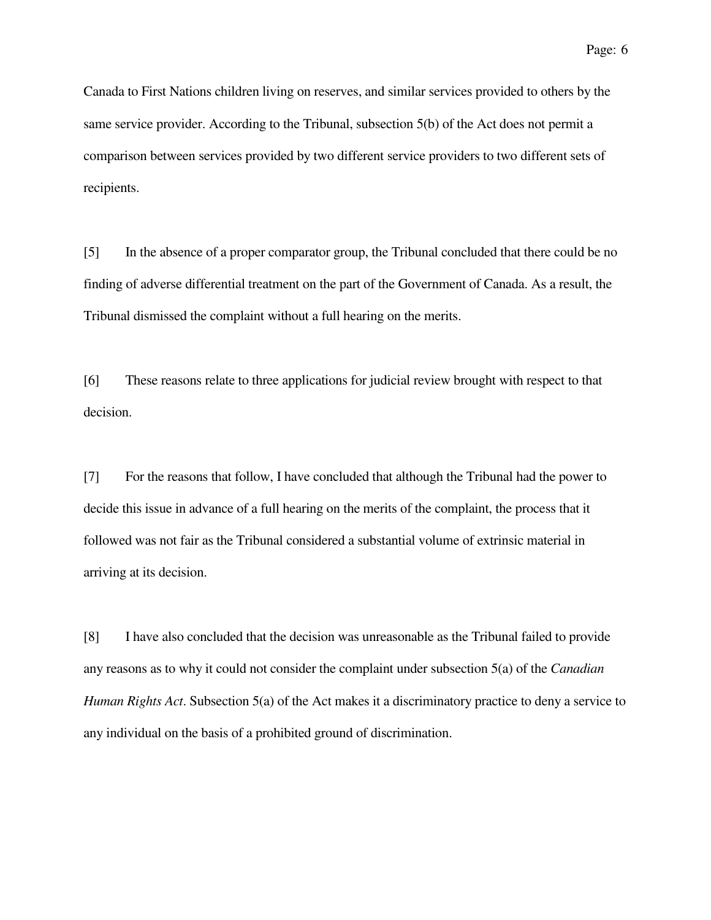Canada to First Nations children living on reserves, and similar services provided to others by the same service provider. According to the Tribunal, subsection 5(b) of the Act does not permit a comparison between services provided by two different service providers to two different sets of recipients.

[5] In the absence of a proper comparator group, the Tribunal concluded that there could be no finding of adverse differential treatment on the part of the Government of Canada. As a result, the Tribunal dismissed the complaint without a full hearing on the merits.

[6] These reasons relate to three applications for judicial review brought with respect to that decision.

[7] For the reasons that follow, I have concluded that although the Tribunal had the power to decide this issue in advance of a full hearing on the merits of the complaint, the process that it followed was not fair as the Tribunal considered a substantial volume of extrinsic material in arriving at its decision.

[8] I have also concluded that the decision was unreasonable as the Tribunal failed to provide any reasons as to why it could not consider the complaint under subsection 5(a) of the *Canadian Human Rights Act*. Subsection 5(a) of the Act makes it a discriminatory practice to deny a service to any individual on the basis of a prohibited ground of discrimination.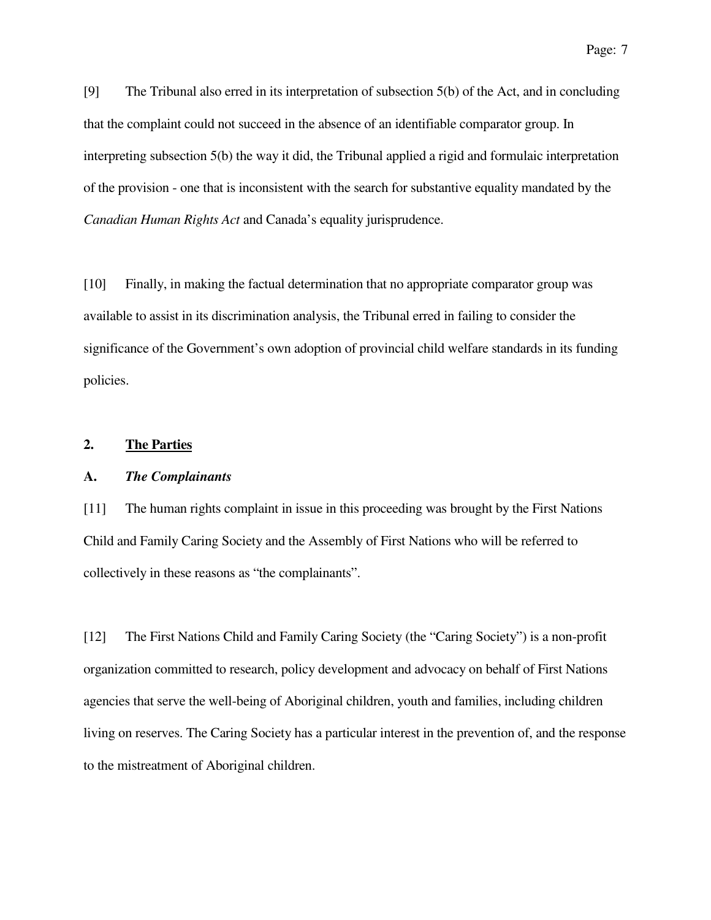[9] The Tribunal also erred in its interpretation of subsection 5(b) of the Act, and in concluding that the complaint could not succeed in the absence of an identifiable comparator group. In interpreting subsection 5(b) the way it did, the Tribunal applied a rigid and formulaic interpretation of the provision - one that is inconsistent with the search for substantive equality mandated by the *Canadian Human Rights Act* and Canada's equality jurisprudence.

[10] Finally, in making the factual determination that no appropriate comparator group was available to assist in its discrimination analysis, the Tribunal erred in failing to consider the significance of the Government's own adoption of provincial child welfare standards in its funding policies.

### **2. The Parties**

#### **A.** *The Complainants*

[11] The human rights complaint in issue in this proceeding was brought by the First Nations Child and Family Caring Society and the Assembly of First Nations who will be referred to collectively in these reasons as "the complainants".

[12] The First Nations Child and Family Caring Society (the "Caring Society") is a non-profit organization committed to research, policy development and advocacy on behalf of First Nations agencies that serve the well-being of Aboriginal children, youth and families, including children living on reserves. The Caring Society has a particular interest in the prevention of, and the response to the mistreatment of Aboriginal children.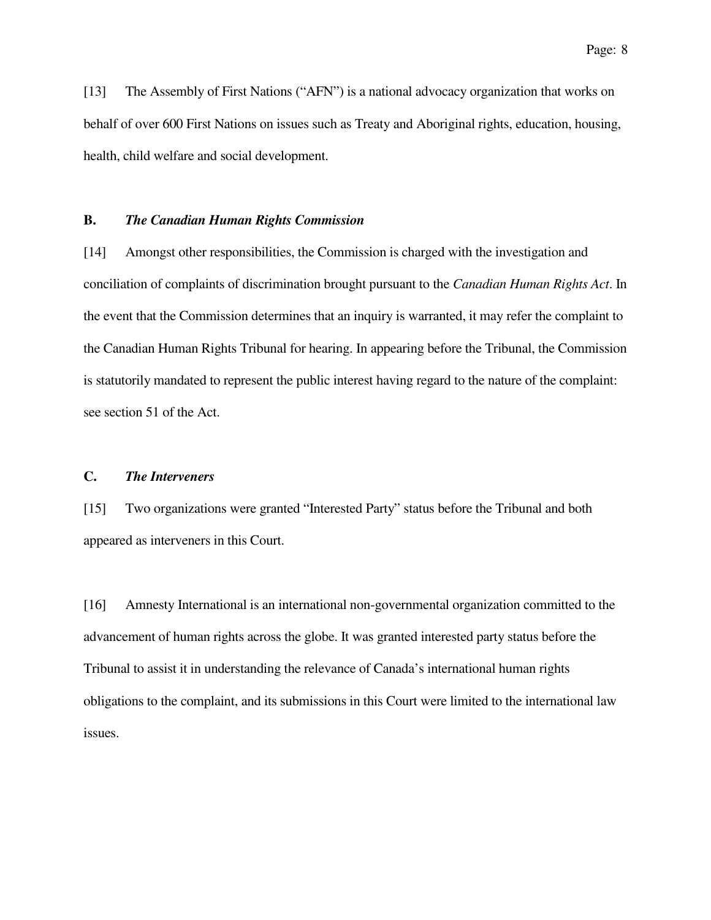[13] The Assembly of First Nations ("AFN") is a national advocacy organization that works on behalf of over 600 First Nations on issues such as Treaty and Aboriginal rights, education, housing, health, child welfare and social development.

### **B.** *The Canadian Human Rights Commission*

[14] Amongst other responsibilities, the Commission is charged with the investigation and conciliation of complaints of discrimination brought pursuant to the *Canadian Human Rights Act*. In the event that the Commission determines that an inquiry is warranted, it may refer the complaint to the Canadian Human Rights Tribunal for hearing. In appearing before the Tribunal, the Commission is statutorily mandated to represent the public interest having regard to the nature of the complaint: see section 51 of the Act.

### **C.** *The Interveners*

[15] Two organizations were granted "Interested Party" status before the Tribunal and both appeared as interveners in this Court.

[16] Amnesty International is an international non-governmental organization committed to the advancement of human rights across the globe. It was granted interested party status before the Tribunal to assist it in understanding the relevance of Canada's international human rights obligations to the complaint, and its submissions in this Court were limited to the international law issues.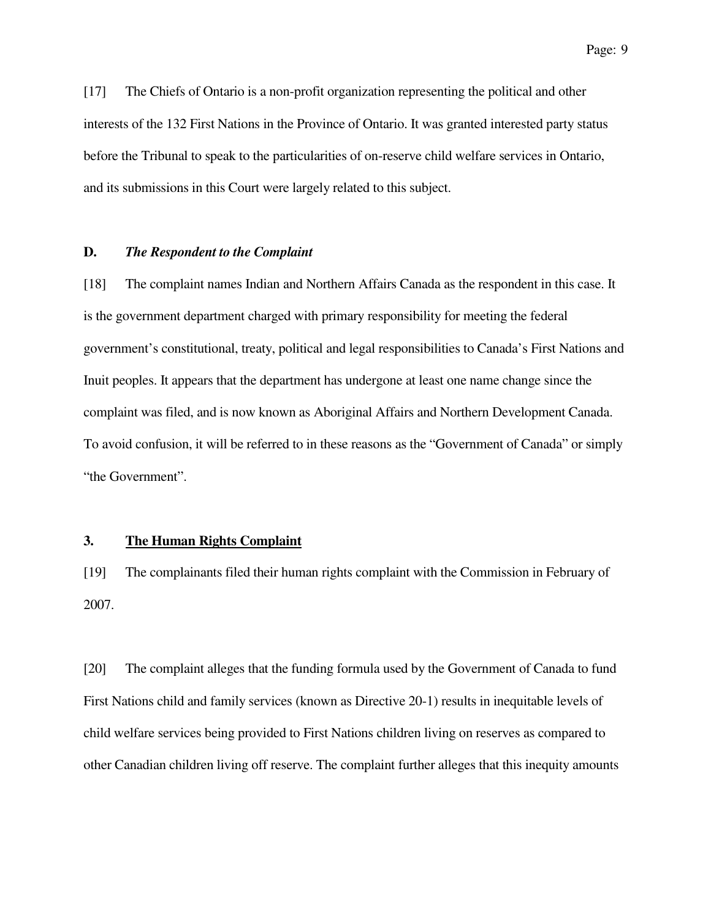[17] The Chiefs of Ontario is a non-profit organization representing the political and other interests of the 132 First Nations in the Province of Ontario. It was granted interested party status before the Tribunal to speak to the particularities of on-reserve child welfare services in Ontario, and its submissions in this Court were largely related to this subject.

#### **D.** *The Respondent to the Complaint*

[18] The complaint names Indian and Northern Affairs Canada as the respondent in this case. It is the government department charged with primary responsibility for meeting the federal government's constitutional, treaty, political and legal responsibilities to Canada's First Nations and Inuit peoples. It appears that the department has undergone at least one name change since the complaint was filed, and is now known as Aboriginal Affairs and Northern Development Canada. To avoid confusion, it will be referred to in these reasons as the "Government of Canada" or simply "the Government".

#### **3. The Human Rights Complaint**

[19] The complainants filed their human rights complaint with the Commission in February of 2007.

[20] The complaint alleges that the funding formula used by the Government of Canada to fund First Nations child and family services (known as Directive 20-1) results in inequitable levels of child welfare services being provided to First Nations children living on reserves as compared to other Canadian children living off reserve. The complaint further alleges that this inequity amounts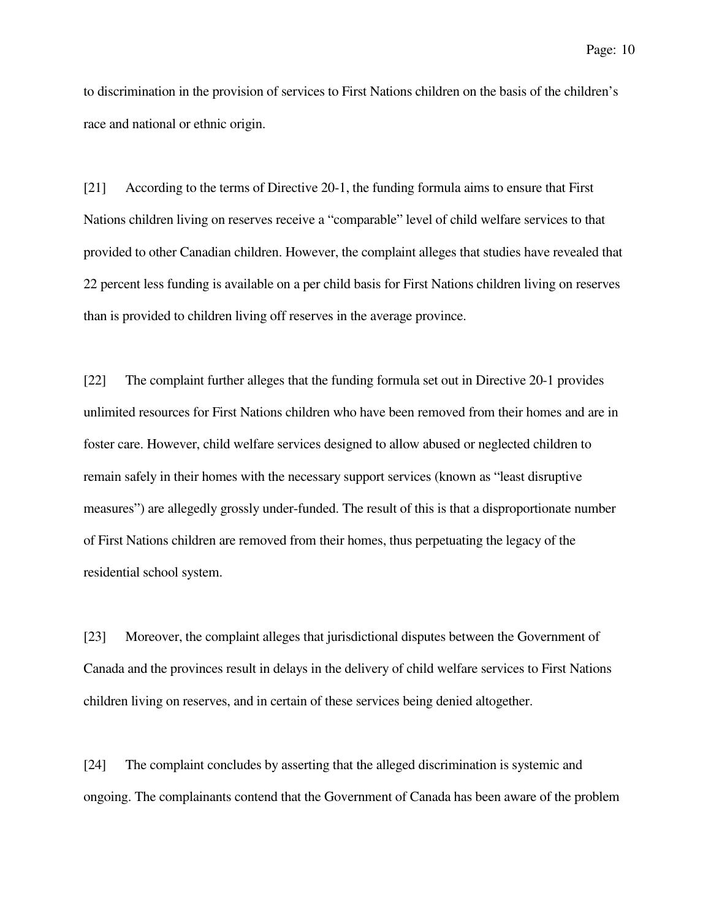to discrimination in the provision of services to First Nations children on the basis of the children's race and national or ethnic origin.

[21] According to the terms of Directive 20-1, the funding formula aims to ensure that First Nations children living on reserves receive a "comparable" level of child welfare services to that provided to other Canadian children. However, the complaint alleges that studies have revealed that 22 percent less funding is available on a per child basis for First Nations children living on reserves than is provided to children living off reserves in the average province.

[22] The complaint further alleges that the funding formula set out in Directive 20-1 provides unlimited resources for First Nations children who have been removed from their homes and are in foster care. However, child welfare services designed to allow abused or neglected children to remain safely in their homes with the necessary support services (known as "least disruptive measures") are allegedly grossly under-funded. The result of this is that a disproportionate number of First Nations children are removed from their homes, thus perpetuating the legacy of the residential school system.

[23] Moreover, the complaint alleges that jurisdictional disputes between the Government of Canada and the provinces result in delays in the delivery of child welfare services to First Nations children living on reserves, and in certain of these services being denied altogether.

[24] The complaint concludes by asserting that the alleged discrimination is systemic and ongoing. The complainants contend that the Government of Canada has been aware of the problem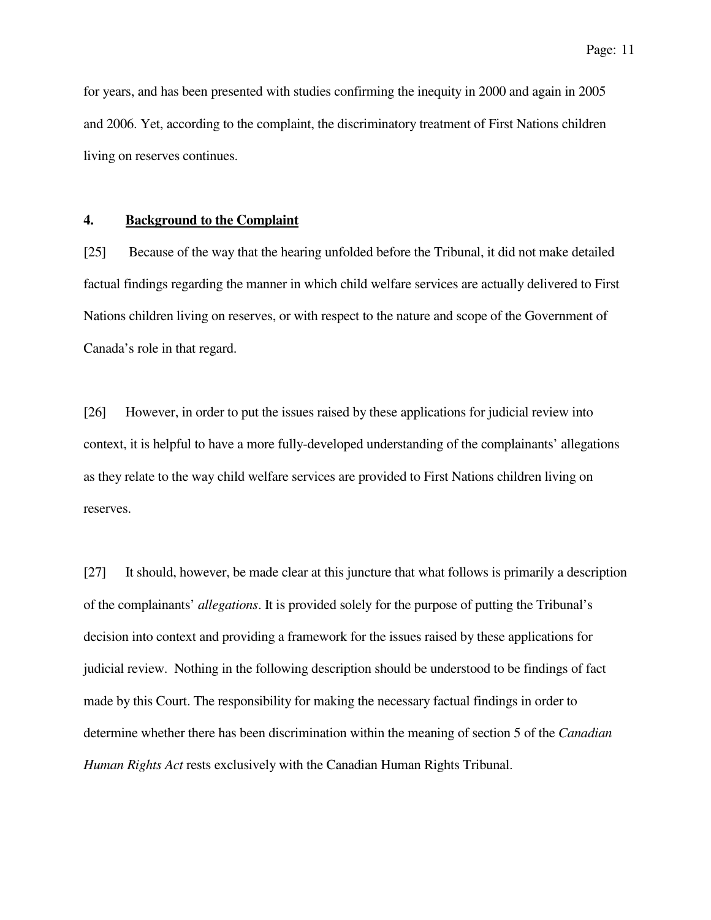for years, and has been presented with studies confirming the inequity in 2000 and again in 2005 and 2006. Yet, according to the complaint, the discriminatory treatment of First Nations children living on reserves continues.

### **4. Background to the Complaint**

[25] Because of the way that the hearing unfolded before the Tribunal, it did not make detailed factual findings regarding the manner in which child welfare services are actually delivered to First Nations children living on reserves, or with respect to the nature and scope of the Government of Canada's role in that regard.

[26] However, in order to put the issues raised by these applications for judicial review into context, it is helpful to have a more fully-developed understanding of the complainants' allegations as they relate to the way child welfare services are provided to First Nations children living on reserves.

[27] It should, however, be made clear at this juncture that what follows is primarily a description of the complainants' *allegations*. It is provided solely for the purpose of putting the Tribunal's decision into context and providing a framework for the issues raised by these applications for judicial review. Nothing in the following description should be understood to be findings of fact made by this Court. The responsibility for making the necessary factual findings in order to determine whether there has been discrimination within the meaning of section 5 of the *Canadian Human Rights Act* rests exclusively with the Canadian Human Rights Tribunal.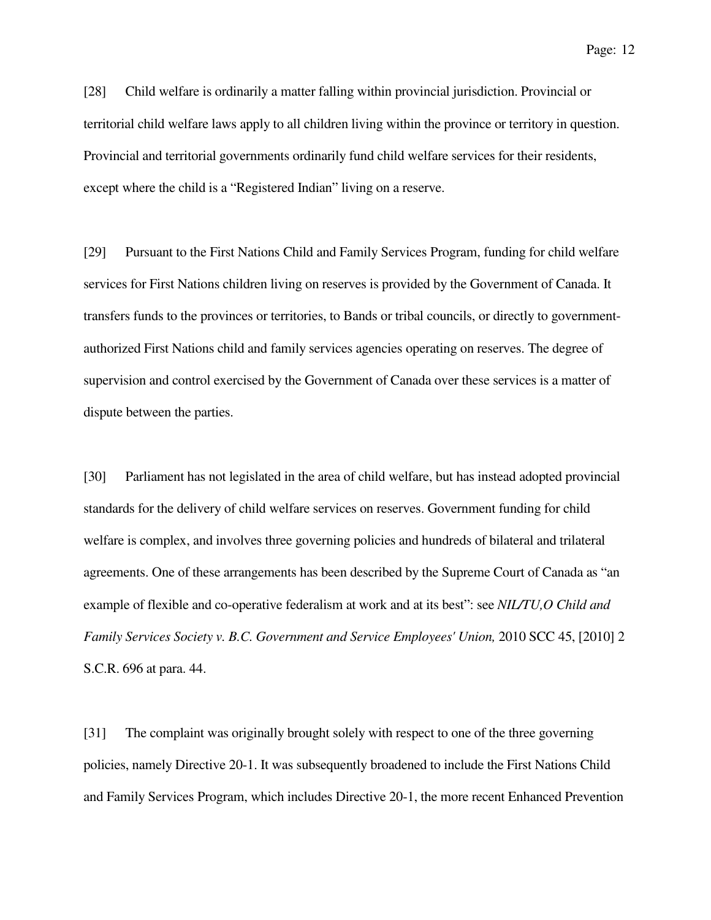[28] Child welfare is ordinarily a matter falling within provincial jurisdiction. Provincial or territorial child welfare laws apply to all children living within the province or territory in question. Provincial and territorial governments ordinarily fund child welfare services for their residents, except where the child is a "Registered Indian" living on a reserve.

[29] Pursuant to the First Nations Child and Family Services Program, funding for child welfare services for First Nations children living on reserves is provided by the Government of Canada. It transfers funds to the provinces or territories, to Bands or tribal councils, or directly to governmentauthorized First Nations child and family services agencies operating on reserves. The degree of supervision and control exercised by the Government of Canada over these services is a matter of dispute between the parties.

[30] Parliament has not legislated in the area of child welfare, but has instead adopted provincial standards for the delivery of child welfare services on reserves. Government funding for child welfare is complex, and involves three governing policies and hundreds of bilateral and trilateral agreements. One of these arrangements has been described by the Supreme Court of Canada as "an example of flexible and co-operative federalism at work and at its best": see *NIL/TU,O Child and Family Services Society v. B.C. Government and Service Employees' Union, 2010 SCC 45, [2010] 2* S.C.R. 696 at para. 44.

[31] The complaint was originally brought solely with respect to one of the three governing policies, namely Directive 20-1. It was subsequently broadened to include the First Nations Child and Family Services Program, which includes Directive 20-1, the more recent Enhanced Prevention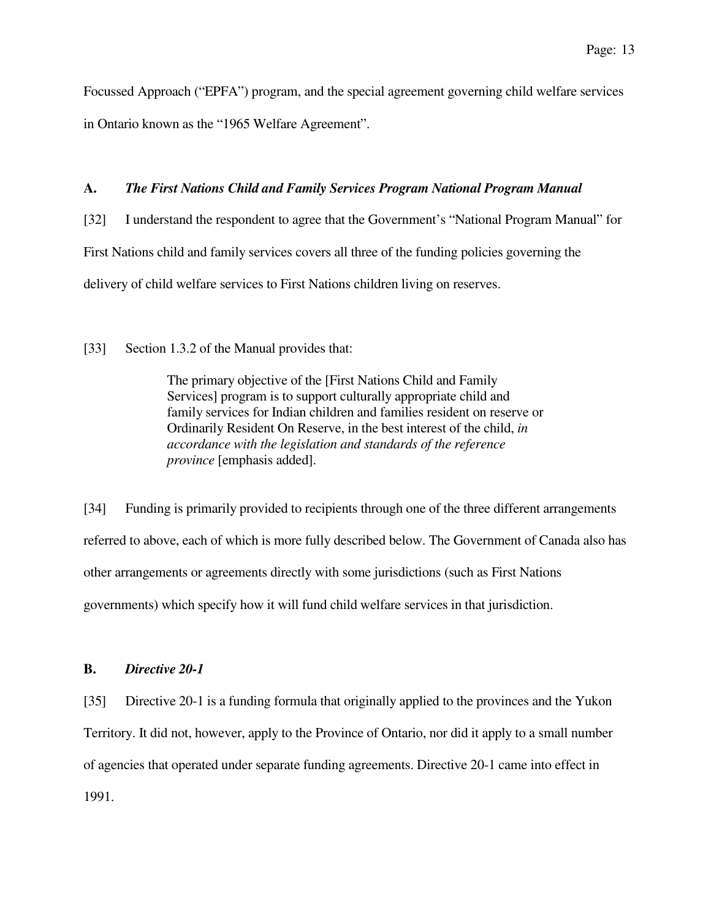Focussed Approach ("EPFA") program, and the special agreement governing child welfare services in Ontario known as the "1965 Welfare Agreement".

# **A.** *The First Nations Child and Family Services Program National Program Manual*

[32] I understand the respondent to agree that the Government's "National Program Manual" for First Nations child and family services covers all three of the funding policies governing the delivery of child welfare services to First Nations children living on reserves.

[33] Section 1.3.2 of the Manual provides that:

The primary objective of the [First Nations Child and Family Services] program is to support culturally appropriate child and family services for Indian children and families resident on reserve or Ordinarily Resident On Reserve, in the best interest of the child, *in accordance with the legislation and standards of the reference province* [emphasis added].

[34] Funding is primarily provided to recipients through one of the three different arrangements referred to above, each of which is more fully described below. The Government of Canada also has other arrangements or agreements directly with some jurisdictions (such as First Nations governments) which specify how it will fund child welfare services in that jurisdiction.

### **B.** *Directive 20-1*

[35] Directive 20-1 is a funding formula that originally applied to the provinces and the Yukon Territory. It did not, however, apply to the Province of Ontario, nor did it apply to a small number of agencies that operated under separate funding agreements. Directive 20-1 came into effect in 1991.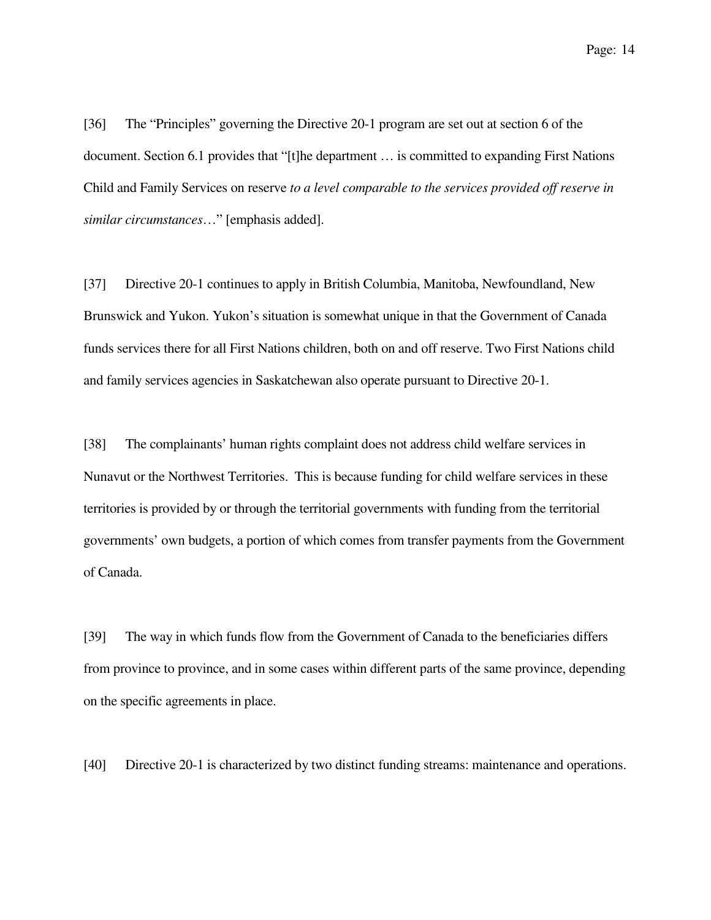[36] The "Principles" governing the Directive 20-1 program are set out at section 6 of the document. Section 6.1 provides that "[t]he department … is committed to expanding First Nations Child and Family Services on reserve *to a level comparable to the services provided off reserve in similar circumstances*…" [emphasis added].

[37] Directive 20-1 continues to apply in British Columbia, Manitoba, Newfoundland, New Brunswick and Yukon. Yukon's situation is somewhat unique in that the Government of Canada funds services there for all First Nations children, both on and off reserve. Two First Nations child and family services agencies in Saskatchewan also operate pursuant to Directive 20-1.

[38] The complainants' human rights complaint does not address child welfare services in Nunavut or the Northwest Territories. This is because funding for child welfare services in these territories is provided by or through the territorial governments with funding from the territorial governments' own budgets, a portion of which comes from transfer payments from the Government of Canada.

[39] The way in which funds flow from the Government of Canada to the beneficiaries differs from province to province, and in some cases within different parts of the same province, depending on the specific agreements in place.

[40] Directive 20-1 is characterized by two distinct funding streams: maintenance and operations.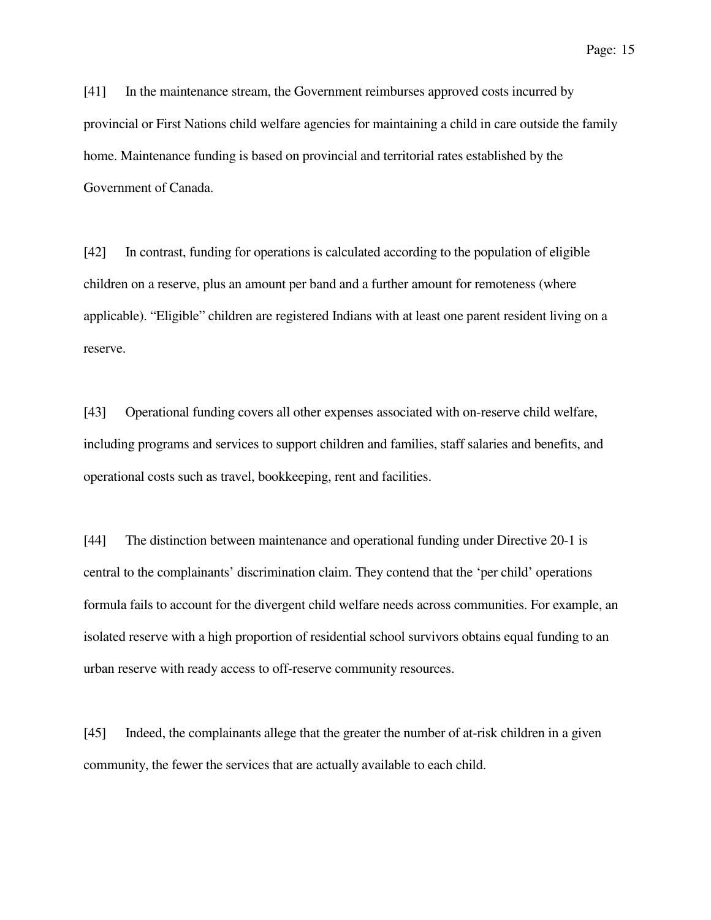[41] In the maintenance stream, the Government reimburses approved costs incurred by provincial or First Nations child welfare agencies for maintaining a child in care outside the family home. Maintenance funding is based on provincial and territorial rates established by the Government of Canada.

[42] In contrast, funding for operations is calculated according to the population of eligible children on a reserve, plus an amount per band and a further amount for remoteness (where applicable). "Eligible" children are registered Indians with at least one parent resident living on a reserve.

[43] Operational funding covers all other expenses associated with on-reserve child welfare, including programs and services to support children and families, staff salaries and benefits, and operational costs such as travel, bookkeeping, rent and facilities.

[44] The distinction between maintenance and operational funding under Directive 20-1 is central to the complainants' discrimination claim. They contend that the 'per child' operations formula fails to account for the divergent child welfare needs across communities. For example, an isolated reserve with a high proportion of residential school survivors obtains equal funding to an urban reserve with ready access to off-reserve community resources.

[45] Indeed, the complainants allege that the greater the number of at-risk children in a given community, the fewer the services that are actually available to each child.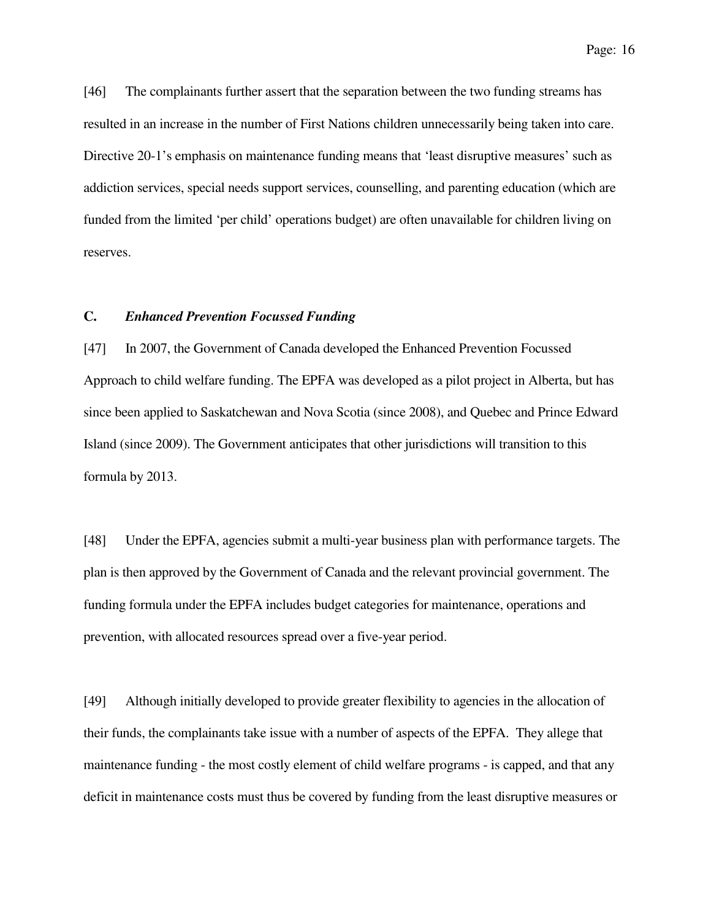[46] The complainants further assert that the separation between the two funding streams has resulted in an increase in the number of First Nations children unnecessarily being taken into care. Directive 20-1's emphasis on maintenance funding means that 'least disruptive measures' such as addiction services, special needs support services, counselling, and parenting education (which are funded from the limited 'per child' operations budget) are often unavailable for children living on reserves.

#### **C.** *Enhanced Prevention Focussed Funding*

[47] In 2007, the Government of Canada developed the Enhanced Prevention Focussed Approach to child welfare funding. The EPFA was developed as a pilot project in Alberta, but has since been applied to Saskatchewan and Nova Scotia (since 2008), and Quebec and Prince Edward Island (since 2009). The Government anticipates that other jurisdictions will transition to this formula by 2013.

[48] Under the EPFA, agencies submit a multi-year business plan with performance targets. The plan is then approved by the Government of Canada and the relevant provincial government. The funding formula under the EPFA includes budget categories for maintenance, operations and prevention, with allocated resources spread over a five-year period.

[49] Although initially developed to provide greater flexibility to agencies in the allocation of their funds, the complainants take issue with a number of aspects of the EPFA. They allege that maintenance funding - the most costly element of child welfare programs - is capped, and that any deficit in maintenance costs must thus be covered by funding from the least disruptive measures or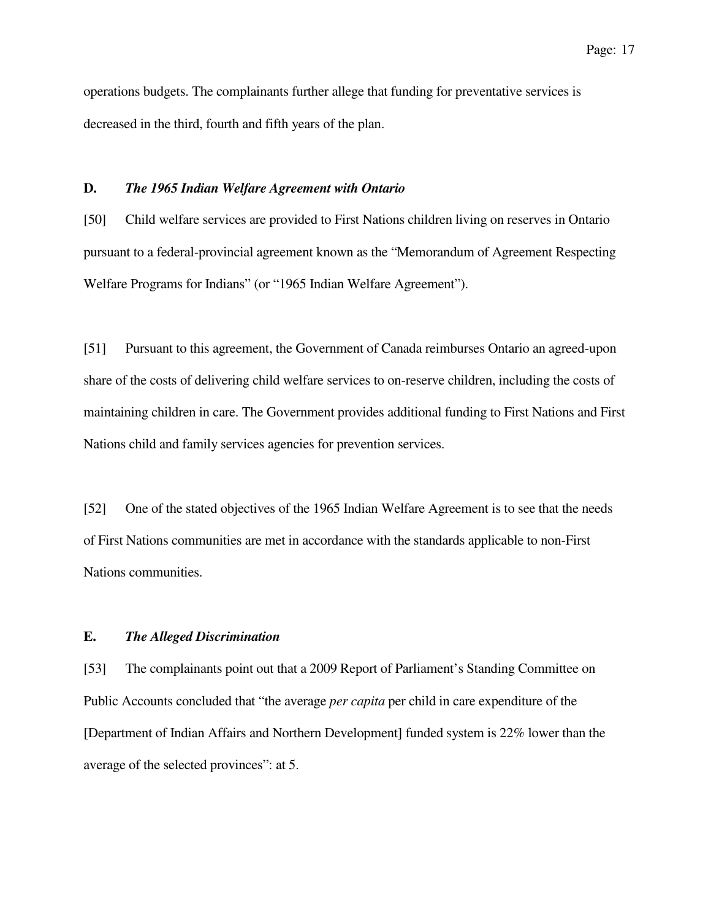operations budgets. The complainants further allege that funding for preventative services is decreased in the third, fourth and fifth years of the plan.

#### **D.** *The 1965 Indian Welfare Agreement with Ontario*

[50] Child welfare services are provided to First Nations children living on reserves in Ontario pursuant to a federal-provincial agreement known as the "Memorandum of Agreement Respecting Welfare Programs for Indians" (or "1965 Indian Welfare Agreement").

[51] Pursuant to this agreement, the Government of Canada reimburses Ontario an agreed-upon share of the costs of delivering child welfare services to on-reserve children, including the costs of maintaining children in care. The Government provides additional funding to First Nations and First Nations child and family services agencies for prevention services.

[52] One of the stated objectives of the 1965 Indian Welfare Agreement is to see that the needs of First Nations communities are met in accordance with the standards applicable to non-First Nations communities.

#### **E.** *The Alleged Discrimination*

[53] The complainants point out that a 2009 Report of Parliament's Standing Committee on Public Accounts concluded that "the average *per capita* per child in care expenditure of the [Department of Indian Affairs and Northern Development] funded system is 22% lower than the average of the selected provinces": at 5.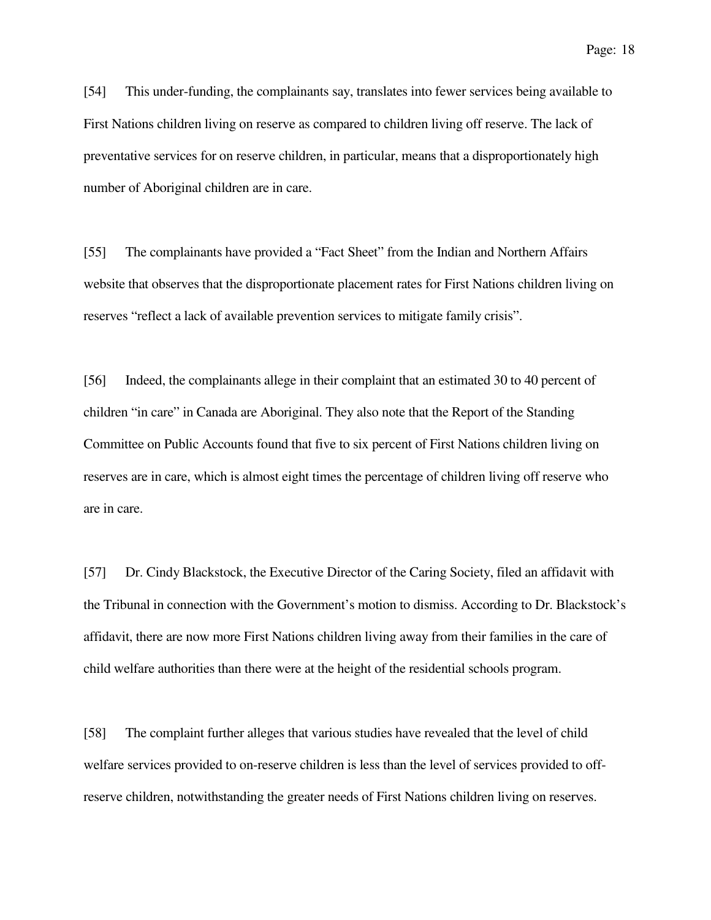[54] This under-funding, the complainants say, translates into fewer services being available to First Nations children living on reserve as compared to children living off reserve. The lack of preventative services for on reserve children, in particular, means that a disproportionately high number of Aboriginal children are in care.

[55] The complainants have provided a "Fact Sheet" from the Indian and Northern Affairs website that observes that the disproportionate placement rates for First Nations children living on reserves "reflect a lack of available prevention services to mitigate family crisis".

[56] Indeed, the complainants allege in their complaint that an estimated 30 to 40 percent of children "in care" in Canada are Aboriginal. They also note that the Report of the Standing Committee on Public Accounts found that five to six percent of First Nations children living on reserves are in care, which is almost eight times the percentage of children living off reserve who are in care.

[57] Dr. Cindy Blackstock, the Executive Director of the Caring Society, filed an affidavit with the Tribunal in connection with the Government's motion to dismiss. According to Dr. Blackstock's affidavit, there are now more First Nations children living away from their families in the care of child welfare authorities than there were at the height of the residential schools program.

[58] The complaint further alleges that various studies have revealed that the level of child welfare services provided to on-reserve children is less than the level of services provided to offreserve children, notwithstanding the greater needs of First Nations children living on reserves.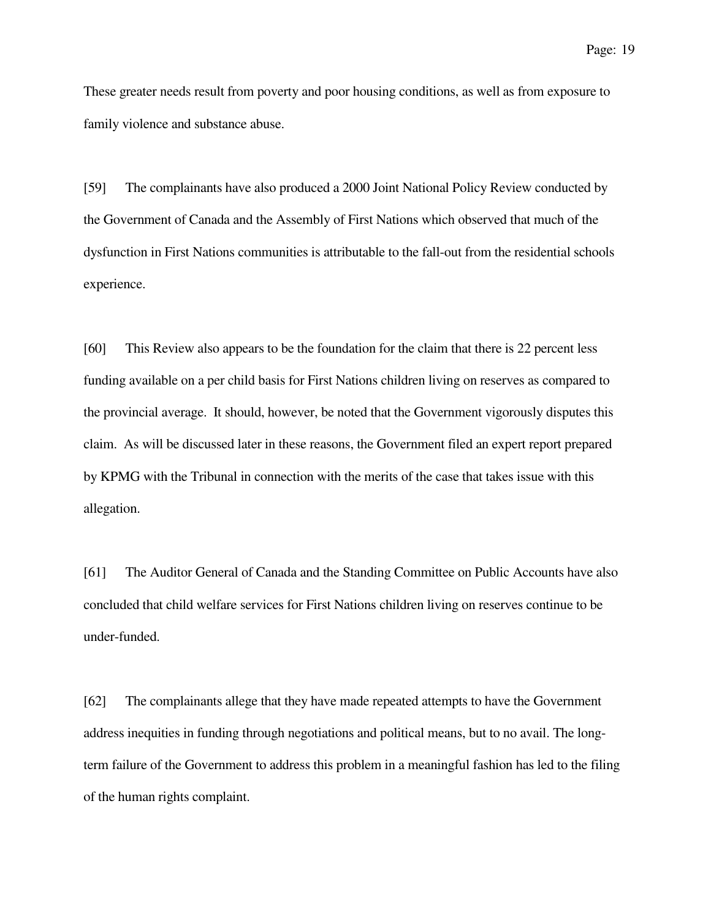These greater needs result from poverty and poor housing conditions, as well as from exposure to family violence and substance abuse.

[59] The complainants have also produced a 2000 Joint National Policy Review conducted by the Government of Canada and the Assembly of First Nations which observed that much of the dysfunction in First Nations communities is attributable to the fall-out from the residential schools experience.

[60] This Review also appears to be the foundation for the claim that there is 22 percent less funding available on a per child basis for First Nations children living on reserves as compared to the provincial average. It should, however, be noted that the Government vigorously disputes this claim. As will be discussed later in these reasons, the Government filed an expert report prepared by KPMG with the Tribunal in connection with the merits of the case that takes issue with this allegation.

[61] The Auditor General of Canada and the Standing Committee on Public Accounts have also concluded that child welfare services for First Nations children living on reserves continue to be under-funded.

[62] The complainants allege that they have made repeated attempts to have the Government address inequities in funding through negotiations and political means, but to no avail. The longterm failure of the Government to address this problem in a meaningful fashion has led to the filing of the human rights complaint.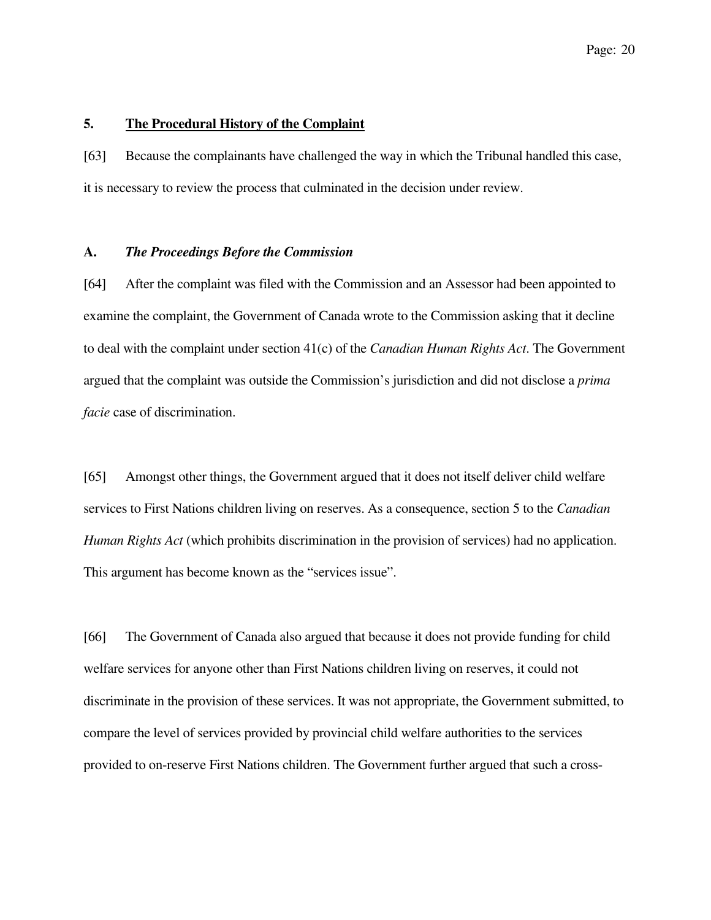### **5. The Procedural History of the Complaint**

[63] Because the complainants have challenged the way in which the Tribunal handled this case, it is necessary to review the process that culminated in the decision under review.

#### **A.** *The Proceedings Before the Commission*

[64] After the complaint was filed with the Commission and an Assessor had been appointed to examine the complaint, the Government of Canada wrote to the Commission asking that it decline to deal with the complaint under section 41(c) of the *Canadian Human Rights Act*. The Government argued that the complaint was outside the Commission's jurisdiction and did not disclose a *prima facie* case of discrimination.

[65] Amongst other things, the Government argued that it does not itself deliver child welfare services to First Nations children living on reserves. As a consequence, section 5 to the *Canadian Human Rights Act* (which prohibits discrimination in the provision of services) had no application. This argument has become known as the "services issue".

[66] The Government of Canada also argued that because it does not provide funding for child welfare services for anyone other than First Nations children living on reserves, it could not discriminate in the provision of these services. It was not appropriate, the Government submitted, to compare the level of services provided by provincial child welfare authorities to the services provided to on-reserve First Nations children. The Government further argued that such a cross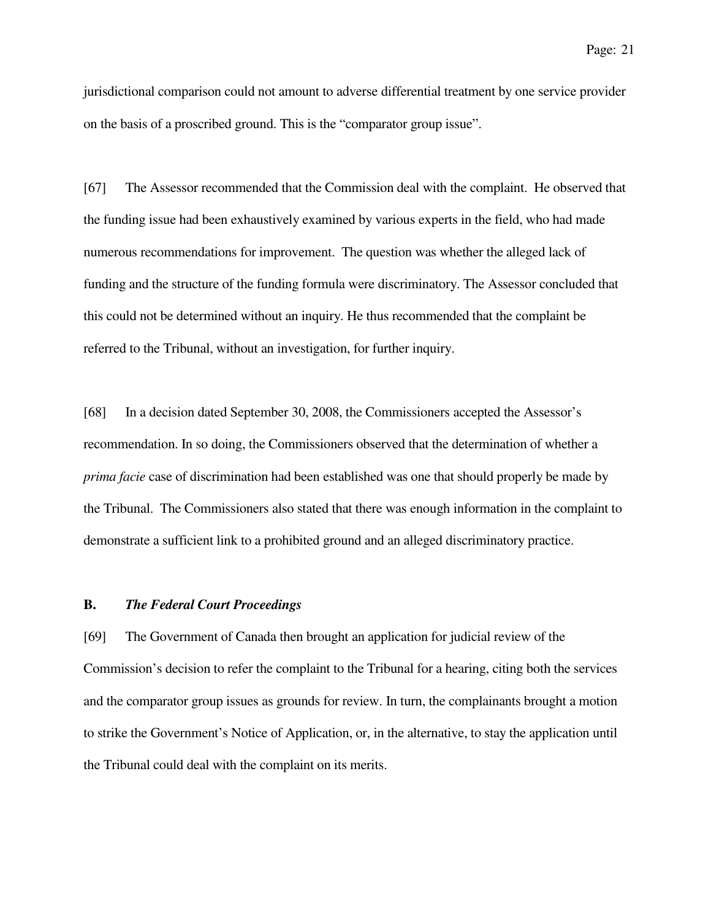jurisdictional comparison could not amount to adverse differential treatment by one service provider on the basis of a proscribed ground. This is the "comparator group issue".

[67] The Assessor recommended that the Commission deal with the complaint. He observed that the funding issue had been exhaustively examined by various experts in the field, who had made numerous recommendations for improvement. The question was whether the alleged lack of funding and the structure of the funding formula were discriminatory. The Assessor concluded that this could not be determined without an inquiry. He thus recommended that the complaint be referred to the Tribunal, without an investigation, for further inquiry.

[68] In a decision dated September 30, 2008, the Commissioners accepted the Assessor's recommendation. In so doing, the Commissioners observed that the determination of whether a *prima facie* case of discrimination had been established was one that should properly be made by the Tribunal. The Commissioners also stated that there was enough information in the complaint to demonstrate a sufficient link to a prohibited ground and an alleged discriminatory practice.

#### **B.** *The Federal Court Proceedings*

[69] The Government of Canada then brought an application for judicial review of the Commission's decision to refer the complaint to the Tribunal for a hearing, citing both the services and the comparator group issues as grounds for review. In turn, the complainants brought a motion to strike the Government's Notice of Application, or, in the alternative, to stay the application until the Tribunal could deal with the complaint on its merits.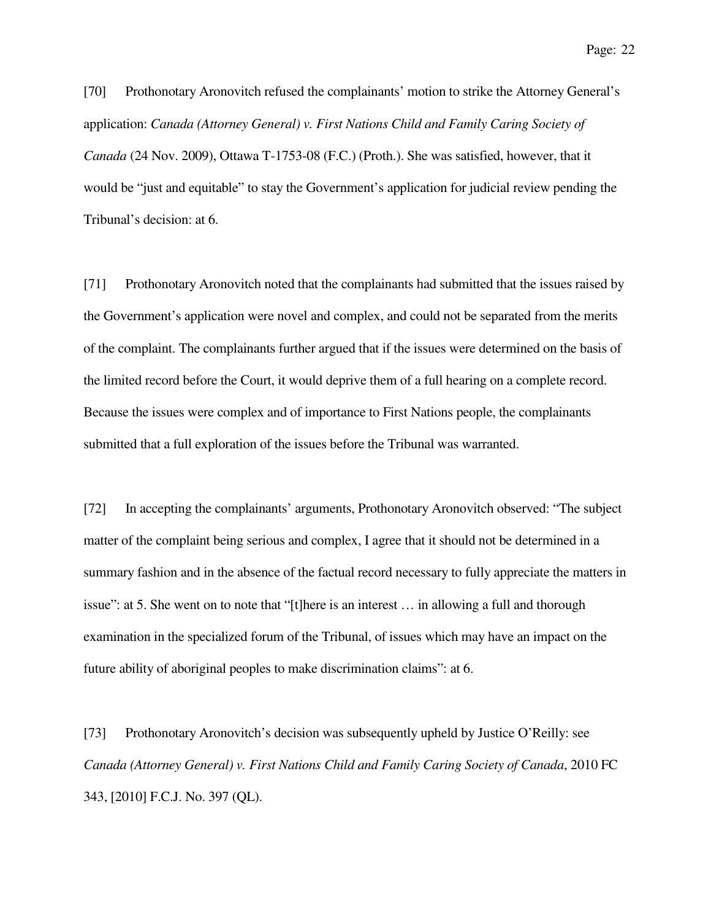[70] Prothonotary Aronovitch refused the complainants' motion to strike the Attorney General's application: *Canada (Attorney General) v. First Nations Child and Family Caring Society of Canada* (24 Nov. 2009), Ottawa T-1753-08 (F.C.) (Proth.). She was satisfied, however, that it would be "just and equitable" to stay the Government's application for judicial review pending the Tribunal's decision: at 6.

[71] Prothonotary Aronovitch noted that the complainants had submitted that the issues raised by the Government's application were novel and complex, and could not be separated from the merits of the complaint. The complainants further argued that if the issues were determined on the basis of the limited record before the Court, it would deprive them of a full hearing on a complete record. Because the issues were complex and of importance to First Nations people, the complainants submitted that a full exploration of the issues before the Tribunal was warranted.

[72] In accepting the complainants' arguments, Prothonotary Aronovitch observed: "The subject matter of the complaint being serious and complex, I agree that it should not be determined in a summary fashion and in the absence of the factual record necessary to fully appreciate the matters in issue": at 5. She went on to note that "[t]here is an interest … in allowing a full and thorough examination in the specialized forum of the Tribunal, of issues which may have an impact on the future ability of aboriginal peoples to make discrimination claims": at 6.

[73] Prothonotary Aronovitch's decision was subsequently upheld by Justice O'Reilly: see *Canada (Attorney General) v. First Nations Child and Family Caring Society of Canada*, 2010 FC 343, [2010] F.C.J. No. 397 (QL).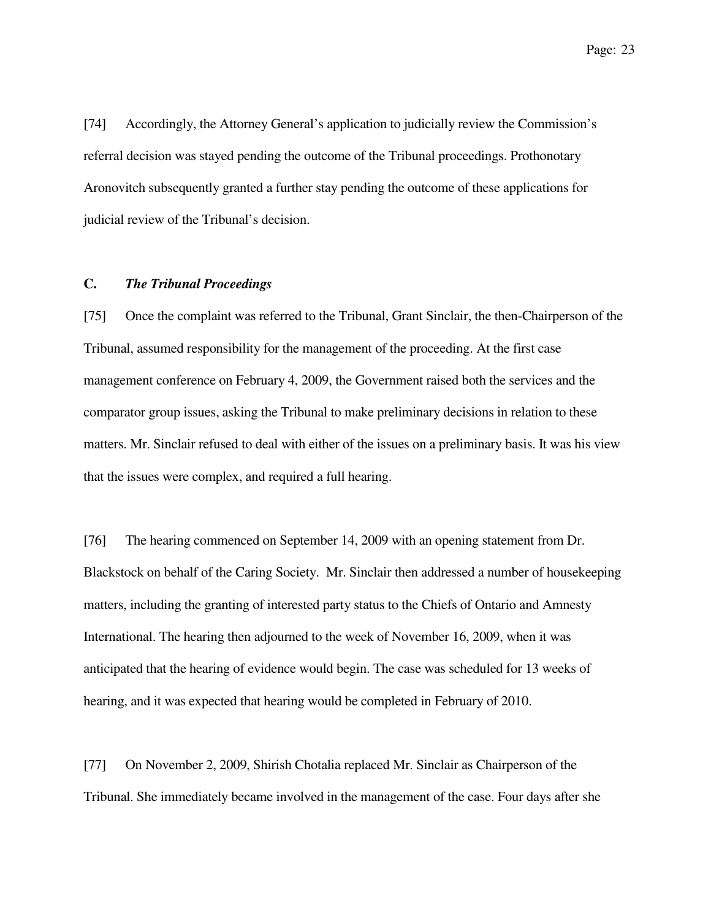[74] Accordingly, the Attorney General's application to judicially review the Commission's referral decision was stayed pending the outcome of the Tribunal proceedings. Prothonotary Aronovitch subsequently granted a further stay pending the outcome of these applications for judicial review of the Tribunal's decision.

### **C.** *The Tribunal Proceedings*

[75] Once the complaint was referred to the Tribunal, Grant Sinclair, the then-Chairperson of the Tribunal, assumed responsibility for the management of the proceeding. At the first case management conference on February 4, 2009, the Government raised both the services and the comparator group issues, asking the Tribunal to make preliminary decisions in relation to these matters. Mr. Sinclair refused to deal with either of the issues on a preliminary basis. It was his view that the issues were complex, and required a full hearing.

[76] The hearing commenced on September 14, 2009 with an opening statement from Dr. Blackstock on behalf of the Caring Society. Mr. Sinclair then addressed a number of housekeeping matters, including the granting of interested party status to the Chiefs of Ontario and Amnesty International. The hearing then adjourned to the week of November 16, 2009, when it was anticipated that the hearing of evidence would begin. The case was scheduled for 13 weeks of hearing, and it was expected that hearing would be completed in February of 2010.

[77] On November 2, 2009, Shirish Chotalia replaced Mr. Sinclair as Chairperson of the Tribunal. She immediately became involved in the management of the case. Four days after she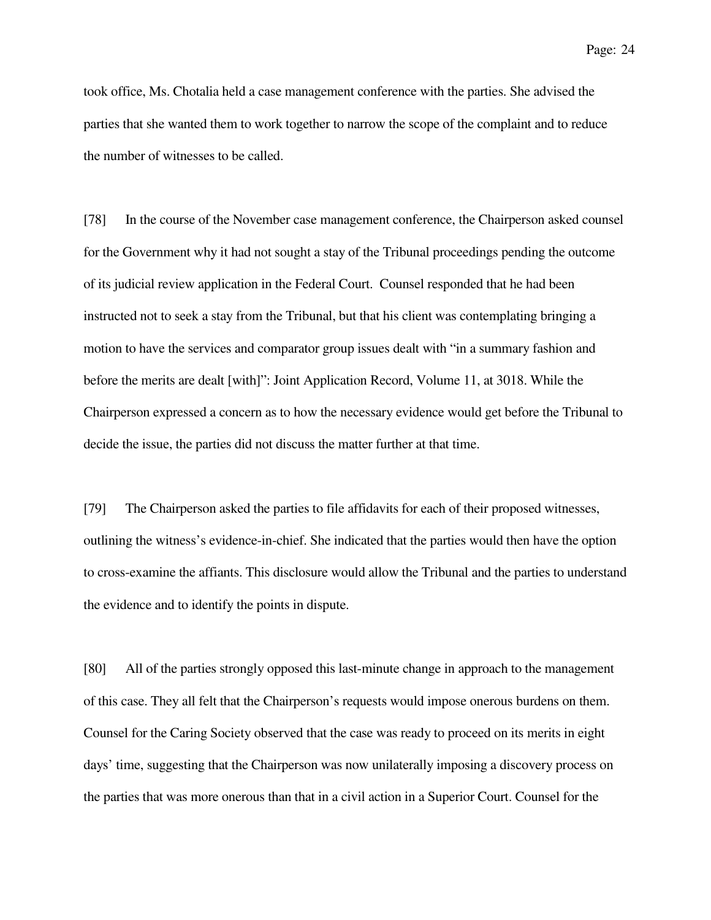took office, Ms. Chotalia held a case management conference with the parties. She advised the parties that she wanted them to work together to narrow the scope of the complaint and to reduce the number of witnesses to be called.

[78] In the course of the November case management conference, the Chairperson asked counsel for the Government why it had not sought a stay of the Tribunal proceedings pending the outcome of its judicial review application in the Federal Court. Counsel responded that he had been instructed not to seek a stay from the Tribunal, but that his client was contemplating bringing a motion to have the services and comparator group issues dealt with "in a summary fashion and before the merits are dealt [with]": Joint Application Record, Volume 11, at 3018. While the Chairperson expressed a concern as to how the necessary evidence would get before the Tribunal to decide the issue, the parties did not discuss the matter further at that time.

[79] The Chairperson asked the parties to file affidavits for each of their proposed witnesses, outlining the witness's evidence-in-chief. She indicated that the parties would then have the option to cross-examine the affiants. This disclosure would allow the Tribunal and the parties to understand the evidence and to identify the points in dispute.

[80] All of the parties strongly opposed this last-minute change in approach to the management of this case. They all felt that the Chairperson's requests would impose onerous burdens on them. Counsel for the Caring Society observed that the case was ready to proceed on its merits in eight days' time, suggesting that the Chairperson was now unilaterally imposing a discovery process on the parties that was more onerous than that in a civil action in a Superior Court. Counsel for the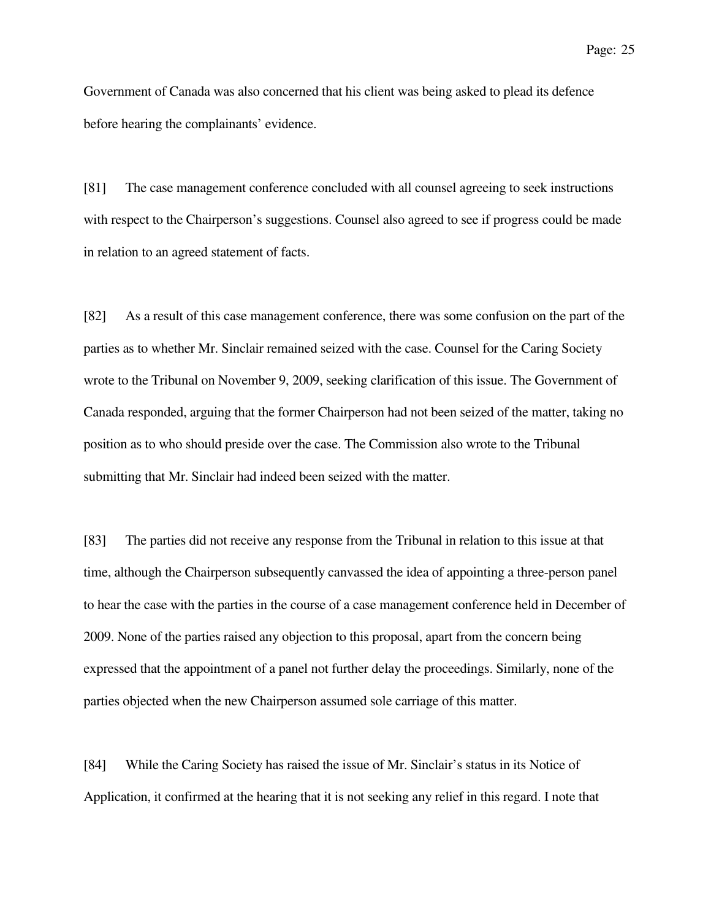Government of Canada was also concerned that his client was being asked to plead its defence before hearing the complainants' evidence.

[81] The case management conference concluded with all counsel agreeing to seek instructions with respect to the Chairperson's suggestions. Counsel also agreed to see if progress could be made in relation to an agreed statement of facts.

[82] As a result of this case management conference, there was some confusion on the part of the parties as to whether Mr. Sinclair remained seized with the case. Counsel for the Caring Society wrote to the Tribunal on November 9, 2009, seeking clarification of this issue. The Government of Canada responded, arguing that the former Chairperson had not been seized of the matter, taking no position as to who should preside over the case. The Commission also wrote to the Tribunal submitting that Mr. Sinclair had indeed been seized with the matter.

[83] The parties did not receive any response from the Tribunal in relation to this issue at that time, although the Chairperson subsequently canvassed the idea of appointing a three-person panel to hear the case with the parties in the course of a case management conference held in December of 2009. None of the parties raised any objection to this proposal, apart from the concern being expressed that the appointment of a panel not further delay the proceedings. Similarly, none of the parties objected when the new Chairperson assumed sole carriage of this matter.

[84] While the Caring Society has raised the issue of Mr. Sinclair's status in its Notice of Application, it confirmed at the hearing that it is not seeking any relief in this regard. I note that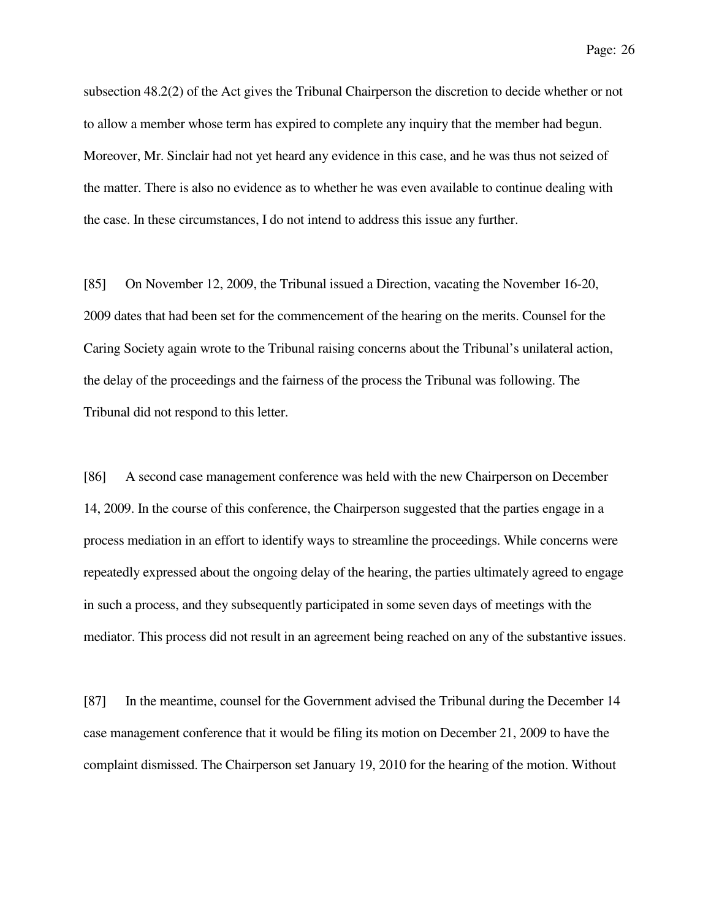subsection 48.2(2) of the Act gives the Tribunal Chairperson the discretion to decide whether or not to allow a member whose term has expired to complete any inquiry that the member had begun. Moreover, Mr. Sinclair had not yet heard any evidence in this case, and he was thus not seized of the matter. There is also no evidence as to whether he was even available to continue dealing with the case. In these circumstances, I do not intend to address this issue any further.

[85] On November 12, 2009, the Tribunal issued a Direction, vacating the November 16-20, 2009 dates that had been set for the commencement of the hearing on the merits. Counsel for the Caring Society again wrote to the Tribunal raising concerns about the Tribunal's unilateral action, the delay of the proceedings and the fairness of the process the Tribunal was following. The Tribunal did not respond to this letter.

[86] A second case management conference was held with the new Chairperson on December 14, 2009. In the course of this conference, the Chairperson suggested that the parties engage in a process mediation in an effort to identify ways to streamline the proceedings. While concerns were repeatedly expressed about the ongoing delay of the hearing, the parties ultimately agreed to engage in such a process, and they subsequently participated in some seven days of meetings with the mediator. This process did not result in an agreement being reached on any of the substantive issues.

[87] In the meantime, counsel for the Government advised the Tribunal during the December 14 case management conference that it would be filing its motion on December 21, 2009 to have the complaint dismissed. The Chairperson set January 19, 2010 for the hearing of the motion. Without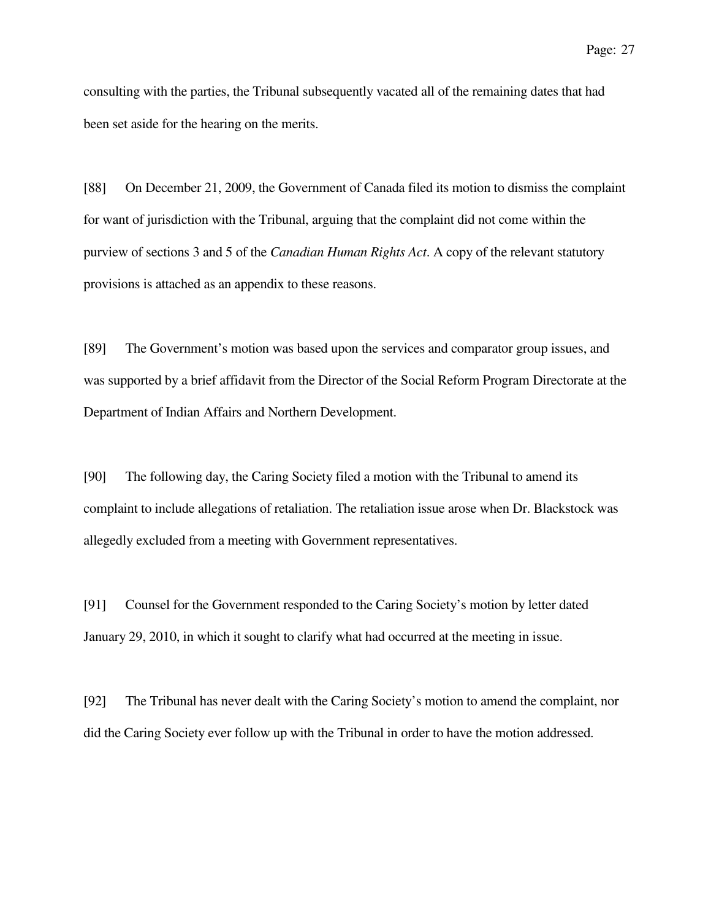consulting with the parties, the Tribunal subsequently vacated all of the remaining dates that had been set aside for the hearing on the merits.

[88] On December 21, 2009, the Government of Canada filed its motion to dismiss the complaint for want of jurisdiction with the Tribunal, arguing that the complaint did not come within the purview of sections 3 and 5 of the *Canadian Human Rights Act*. A copy of the relevant statutory provisions is attached as an appendix to these reasons.

[89] The Government's motion was based upon the services and comparator group issues, and was supported by a brief affidavit from the Director of the Social Reform Program Directorate at the Department of Indian Affairs and Northern Development.

[90] The following day, the Caring Society filed a motion with the Tribunal to amend its complaint to include allegations of retaliation. The retaliation issue arose when Dr. Blackstock was allegedly excluded from a meeting with Government representatives.

[91] Counsel for the Government responded to the Caring Society's motion by letter dated January 29, 2010, in which it sought to clarify what had occurred at the meeting in issue.

[92] The Tribunal has never dealt with the Caring Society's motion to amend the complaint, nor did the Caring Society ever follow up with the Tribunal in order to have the motion addressed.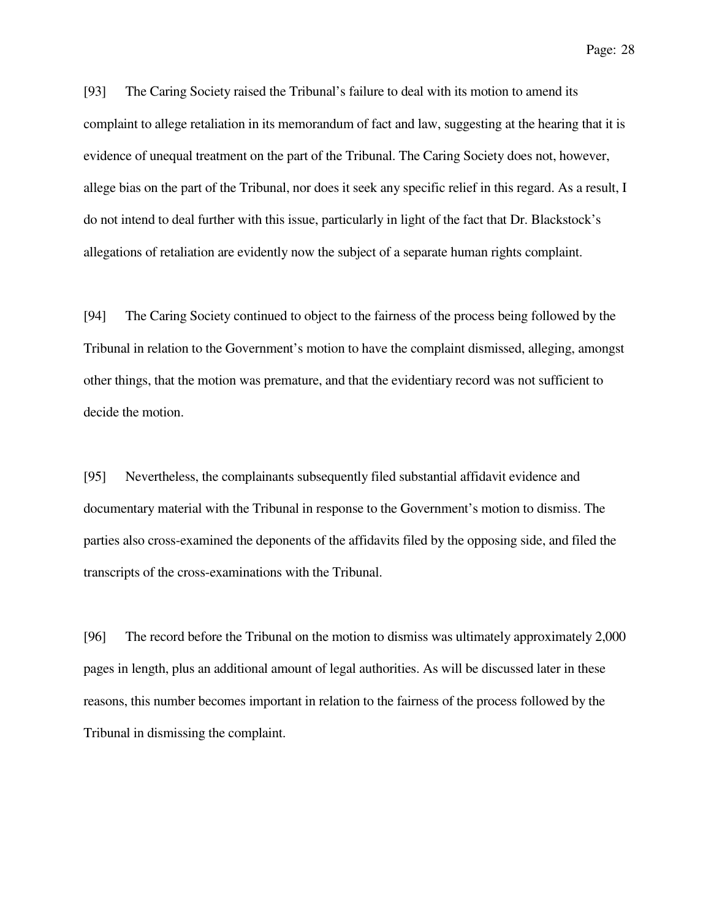[93] The Caring Society raised the Tribunal's failure to deal with its motion to amend its complaint to allege retaliation in its memorandum of fact and law, suggesting at the hearing that it is evidence of unequal treatment on the part of the Tribunal. The Caring Society does not, however, allege bias on the part of the Tribunal, nor does it seek any specific relief in this regard. As a result, I do not intend to deal further with this issue, particularly in light of the fact that Dr. Blackstock's allegations of retaliation are evidently now the subject of a separate human rights complaint.

[94] The Caring Society continued to object to the fairness of the process being followed by the Tribunal in relation to the Government's motion to have the complaint dismissed, alleging, amongst other things, that the motion was premature, and that the evidentiary record was not sufficient to decide the motion.

[95] Nevertheless, the complainants subsequently filed substantial affidavit evidence and documentary material with the Tribunal in response to the Government's motion to dismiss. The parties also cross-examined the deponents of the affidavits filed by the opposing side, and filed the transcripts of the cross-examinations with the Tribunal.

[96] The record before the Tribunal on the motion to dismiss was ultimately approximately 2,000 pages in length, plus an additional amount of legal authorities. As will be discussed later in these reasons, this number becomes important in relation to the fairness of the process followed by the Tribunal in dismissing the complaint.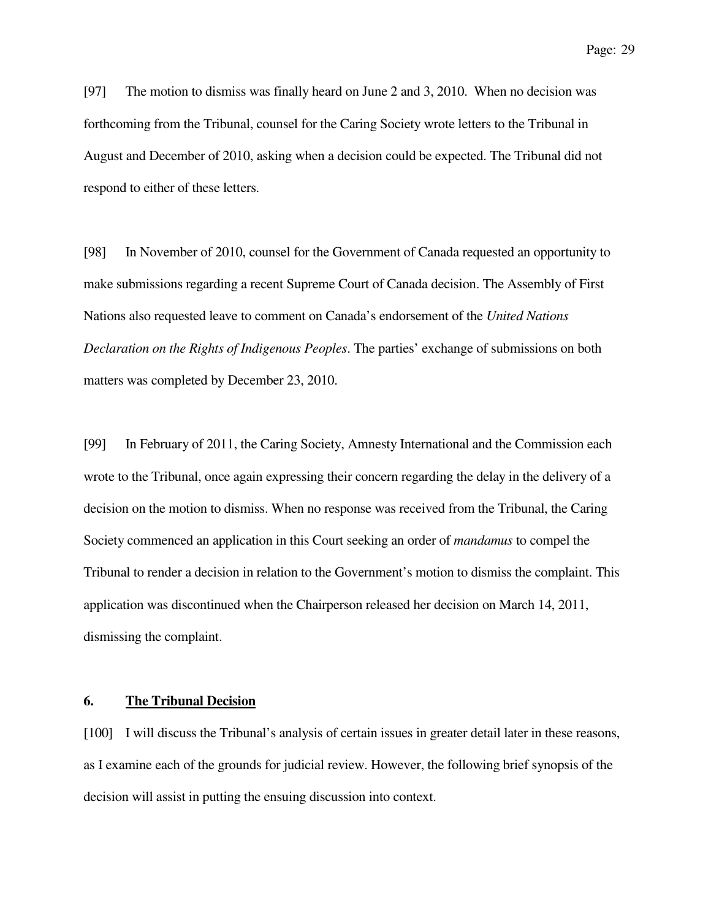[97] The motion to dismiss was finally heard on June 2 and 3, 2010. When no decision was forthcoming from the Tribunal, counsel for the Caring Society wrote letters to the Tribunal in August and December of 2010, asking when a decision could be expected. The Tribunal did not respond to either of these letters.

[98] In November of 2010, counsel for the Government of Canada requested an opportunity to make submissions regarding a recent Supreme Court of Canada decision. The Assembly of First Nations also requested leave to comment on Canada's endorsement of the *United Nations Declaration on the Rights of Indigenous Peoples*. The parties' exchange of submissions on both matters was completed by December 23, 2010.

[99] In February of 2011, the Caring Society, Amnesty International and the Commission each wrote to the Tribunal, once again expressing their concern regarding the delay in the delivery of a decision on the motion to dismiss. When no response was received from the Tribunal, the Caring Society commenced an application in this Court seeking an order of *mandamus* to compel the Tribunal to render a decision in relation to the Government's motion to dismiss the complaint. This application was discontinued when the Chairperson released her decision on March 14, 2011, dismissing the complaint.

#### **6. The Tribunal Decision**

[100] I will discuss the Tribunal's analysis of certain issues in greater detail later in these reasons, as I examine each of the grounds for judicial review. However, the following brief synopsis of the decision will assist in putting the ensuing discussion into context.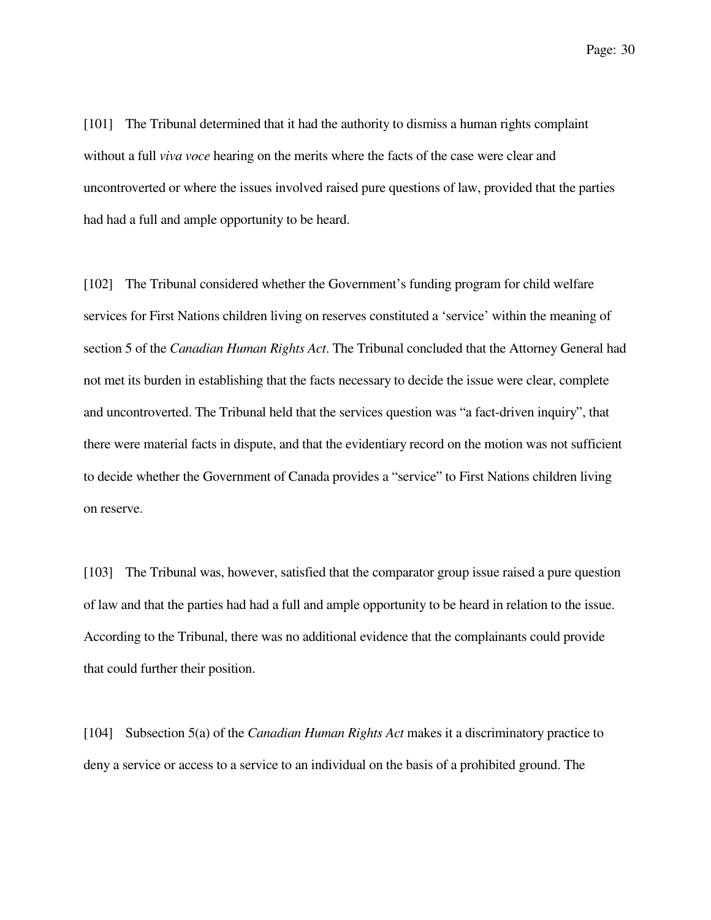[101] The Tribunal determined that it had the authority to dismiss a human rights complaint without a full *viva voce* hearing on the merits where the facts of the case were clear and uncontroverted or where the issues involved raised pure questions of law, provided that the parties had had a full and ample opportunity to be heard.

[102] The Tribunal considered whether the Government's funding program for child welfare services for First Nations children living on reserves constituted a 'service' within the meaning of section 5 of the *Canadian Human Rights Act*. The Tribunal concluded that the Attorney General had not met its burden in establishing that the facts necessary to decide the issue were clear, complete and uncontroverted. The Tribunal held that the services question was "a fact-driven inquiry", that there were material facts in dispute, and that the evidentiary record on the motion was not sufficient to decide whether the Government of Canada provides a "service" to First Nations children living on reserve.

[103] The Tribunal was, however, satisfied that the comparator group issue raised a pure question of law and that the parties had had a full and ample opportunity to be heard in relation to the issue. According to the Tribunal, there was no additional evidence that the complainants could provide that could further their position.

[104] Subsection 5(a) of the *Canadian Human Rights Act* makes it a discriminatory practice to deny a service or access to a service to an individual on the basis of a prohibited ground. The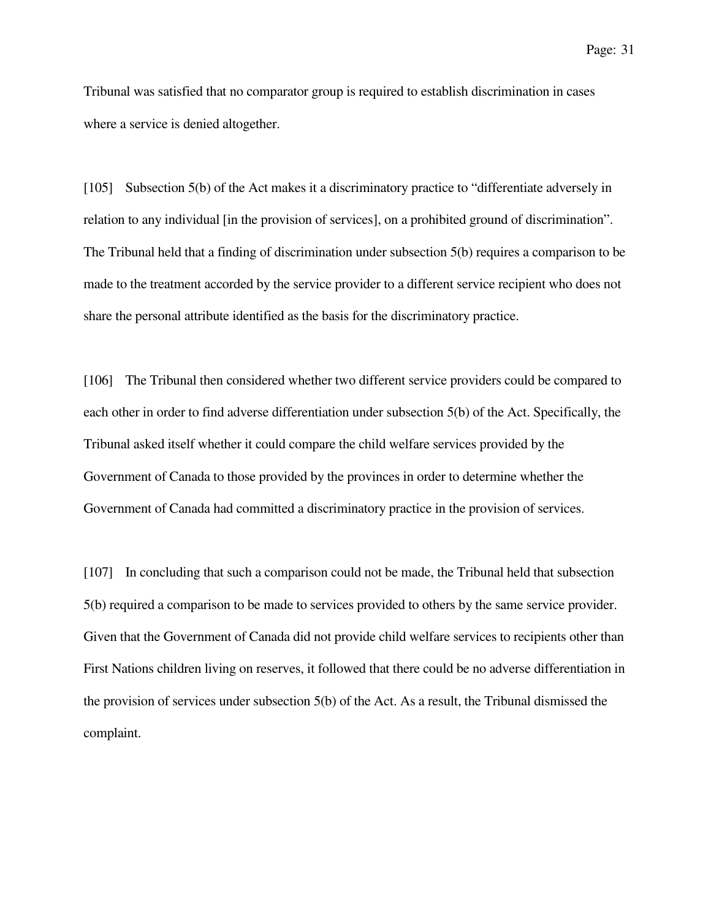Tribunal was satisfied that no comparator group is required to establish discrimination in cases where a service is denied altogether.

[105] Subsection 5(b) of the Act makes it a discriminatory practice to "differentiate adversely in relation to any individual [in the provision of services], on a prohibited ground of discrimination". The Tribunal held that a finding of discrimination under subsection 5(b) requires a comparison to be made to the treatment accorded by the service provider to a different service recipient who does not share the personal attribute identified as the basis for the discriminatory practice.

[106] The Tribunal then considered whether two different service providers could be compared to each other in order to find adverse differentiation under subsection 5(b) of the Act. Specifically, the Tribunal asked itself whether it could compare the child welfare services provided by the Government of Canada to those provided by the provinces in order to determine whether the Government of Canada had committed a discriminatory practice in the provision of services.

[107] In concluding that such a comparison could not be made, the Tribunal held that subsection 5(b) required a comparison to be made to services provided to others by the same service provider. Given that the Government of Canada did not provide child welfare services to recipients other than First Nations children living on reserves, it followed that there could be no adverse differentiation in the provision of services under subsection 5(b) of the Act. As a result, the Tribunal dismissed the complaint.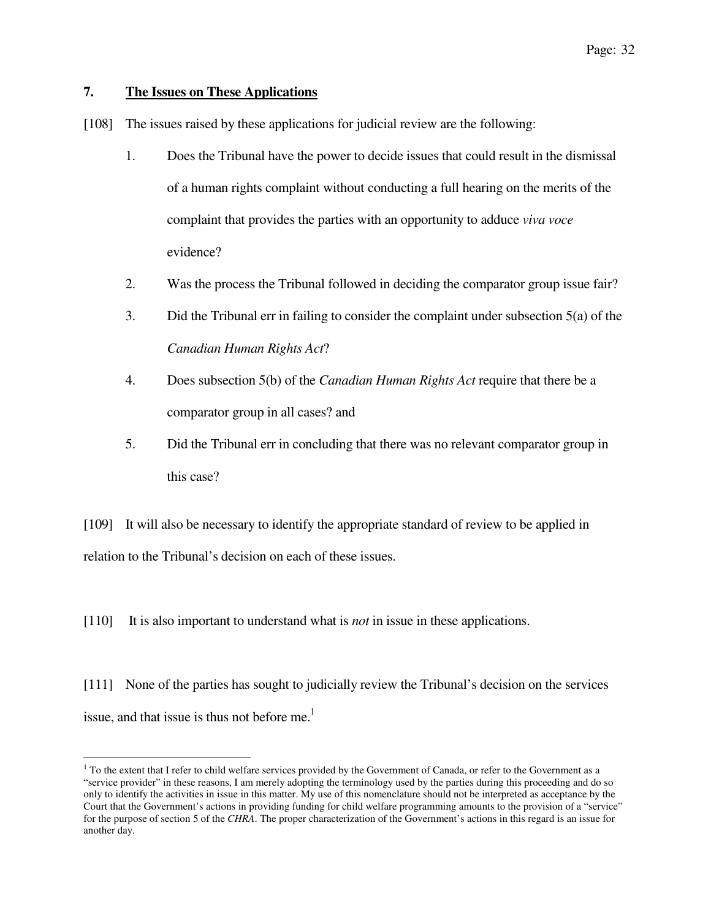# **7. The Issues on These Applications**

ı

[108] The issues raised by these applications for judicial review are the following:

- 1. Does the Tribunal have the power to decide issues that could result in the dismissal of a human rights complaint without conducting a full hearing on the merits of the complaint that provides the parties with an opportunity to adduce *viva voce*  evidence?
- 2. Was the process the Tribunal followed in deciding the comparator group issue fair?
- 3. Did the Tribunal err in failing to consider the complaint under subsection 5(a) of the *Canadian Human Rights Act*?
- 4. Does subsection 5(b) of the *Canadian Human Rights Act* require that there be a comparator group in all cases? and
- 5. Did the Tribunal err in concluding that there was no relevant comparator group in this case?

[109] It will also be necessary to identify the appropriate standard of review to be applied in relation to the Tribunal's decision on each of these issues.

[110] It is also important to understand what is *not* in issue in these applications.

[111] None of the parties has sought to judicially review the Tribunal's decision on the services issue, and that issue is thus not before me.<sup>1</sup>

<sup>&</sup>lt;sup>1</sup> To the extent that I refer to child welfare services provided by the Government of Canada, or refer to the Government as a "service provider" in these reasons, I am merely adopting the terminology used by the parties during this proceeding and do so only to identify the activities in issue in this matter. My use of this nomenclature should not be interpreted as acceptance by the Court that the Government's actions in providing funding for child welfare programming amounts to the provision of a "service" for the purpose of section 5 of the *CHRA*. The proper characterization of the Government's actions in this regard is an issue for another day.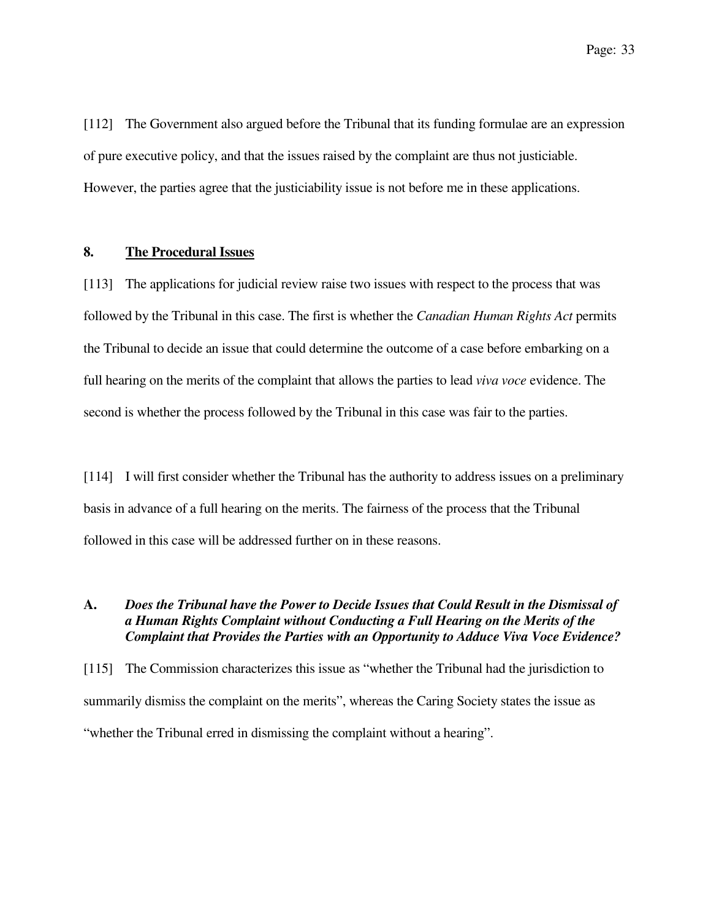[112] The Government also argued before the Tribunal that its funding formulae are an expression of pure executive policy, and that the issues raised by the complaint are thus not justiciable. However, the parties agree that the justiciability issue is not before me in these applications.

### **8. The Procedural Issues**

[113] The applications for judicial review raise two issues with respect to the process that was followed by the Tribunal in this case. The first is whether the *Canadian Human Rights Act* permits the Tribunal to decide an issue that could determine the outcome of a case before embarking on a full hearing on the merits of the complaint that allows the parties to lead *viva voce* evidence. The second is whether the process followed by the Tribunal in this case was fair to the parties.

[114] I will first consider whether the Tribunal has the authority to address issues on a preliminary basis in advance of a full hearing on the merits. The fairness of the process that the Tribunal followed in this case will be addressed further on in these reasons.

# **A.** *Does the Tribunal have the Power to Decide Issues that Could Result in the Dismissal of a Human Rights Complaint without Conducting a Full Hearing on the Merits of the Complaint that Provides the Parties with an Opportunity to Adduce Viva Voce Evidence?*

[115] The Commission characterizes this issue as "whether the Tribunal had the jurisdiction to summarily dismiss the complaint on the merits", whereas the Caring Society states the issue as "whether the Tribunal erred in dismissing the complaint without a hearing".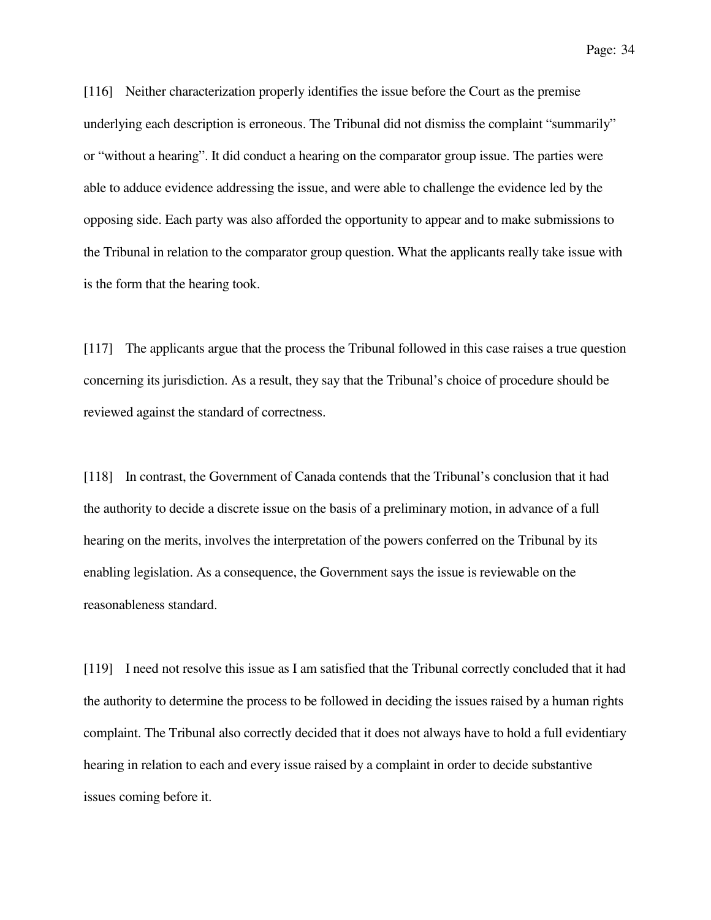[116] Neither characterization properly identifies the issue before the Court as the premise underlying each description is erroneous. The Tribunal did not dismiss the complaint "summarily" or "without a hearing". It did conduct a hearing on the comparator group issue. The parties were able to adduce evidence addressing the issue, and were able to challenge the evidence led by the opposing side. Each party was also afforded the opportunity to appear and to make submissions to the Tribunal in relation to the comparator group question. What the applicants really take issue with is the form that the hearing took.

[117] The applicants argue that the process the Tribunal followed in this case raises a true question concerning its jurisdiction. As a result, they say that the Tribunal's choice of procedure should be reviewed against the standard of correctness.

[118] In contrast, the Government of Canada contends that the Tribunal's conclusion that it had the authority to decide a discrete issue on the basis of a preliminary motion, in advance of a full hearing on the merits, involves the interpretation of the powers conferred on the Tribunal by its enabling legislation. As a consequence, the Government says the issue is reviewable on the reasonableness standard.

[119] I need not resolve this issue as I am satisfied that the Tribunal correctly concluded that it had the authority to determine the process to be followed in deciding the issues raised by a human rights complaint. The Tribunal also correctly decided that it does not always have to hold a full evidentiary hearing in relation to each and every issue raised by a complaint in order to decide substantive issues coming before it.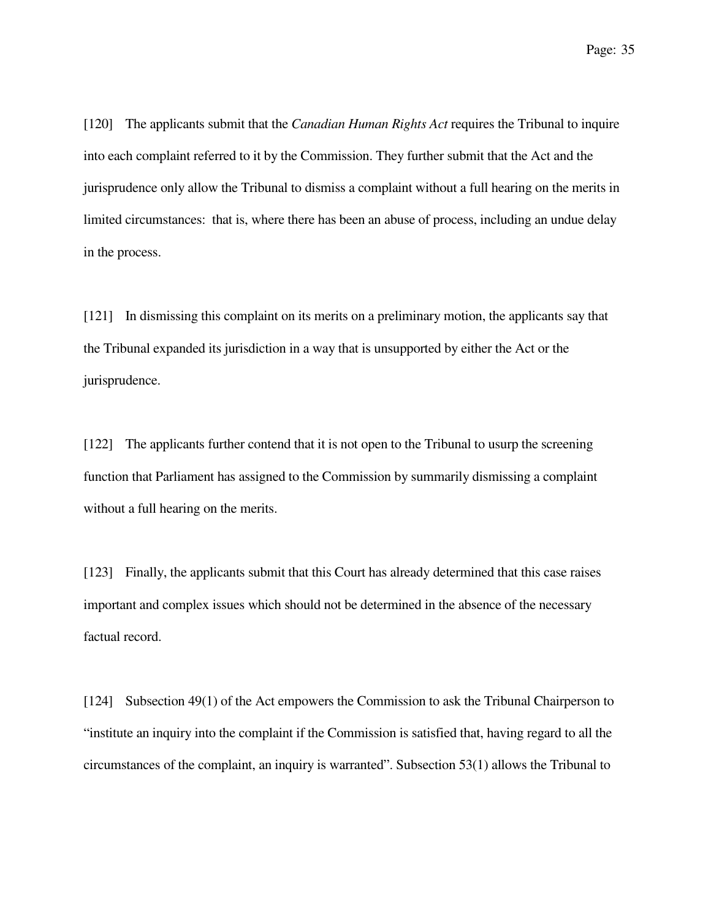[120] The applicants submit that the *Canadian Human Rights Act* requires the Tribunal to inquire into each complaint referred to it by the Commission. They further submit that the Act and the jurisprudence only allow the Tribunal to dismiss a complaint without a full hearing on the merits in limited circumstances: that is, where there has been an abuse of process, including an undue delay in the process.

[121] In dismissing this complaint on its merits on a preliminary motion, the applicants say that the Tribunal expanded its jurisdiction in a way that is unsupported by either the Act or the jurisprudence.

[122] The applicants further contend that it is not open to the Tribunal to usurp the screening function that Parliament has assigned to the Commission by summarily dismissing a complaint without a full hearing on the merits.

[123] Finally, the applicants submit that this Court has already determined that this case raises important and complex issues which should not be determined in the absence of the necessary factual record.

[124] Subsection 49(1) of the Act empowers the Commission to ask the Tribunal Chairperson to "institute an inquiry into the complaint if the Commission is satisfied that, having regard to all the circumstances of the complaint, an inquiry is warranted". Subsection 53(1) allows the Tribunal to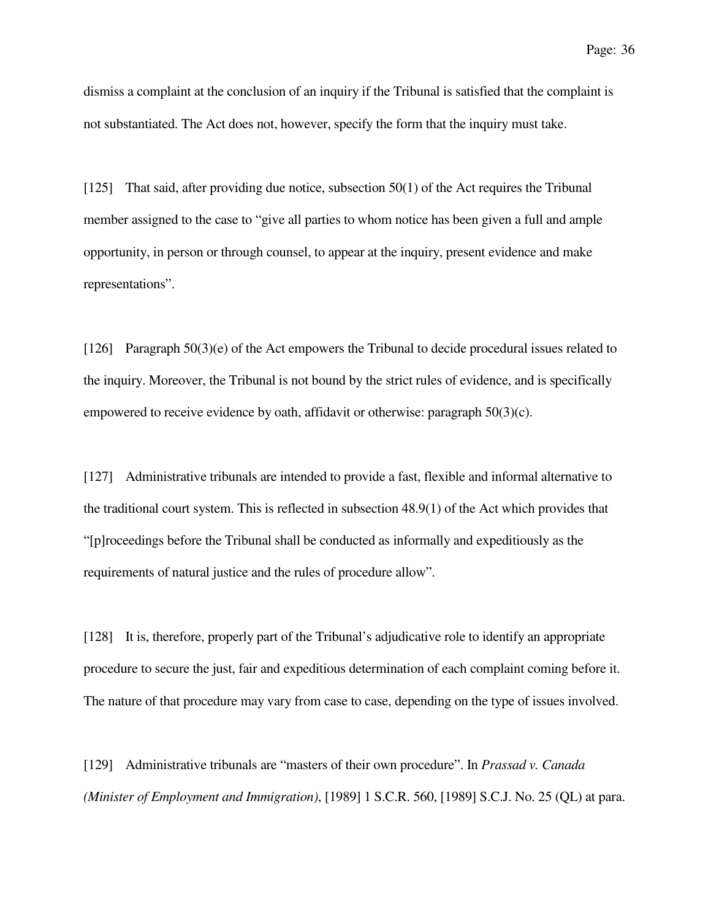dismiss a complaint at the conclusion of an inquiry if the Tribunal is satisfied that the complaint is not substantiated. The Act does not, however, specify the form that the inquiry must take.

[125] That said, after providing due notice, subsection 50(1) of the Act requires the Tribunal member assigned to the case to "give all parties to whom notice has been given a full and ample opportunity, in person or through counsel, to appear at the inquiry, present evidence and make representations".

[126] Paragraph 50(3)(e) of the Act empowers the Tribunal to decide procedural issues related to the inquiry. Moreover, the Tribunal is not bound by the strict rules of evidence, and is specifically empowered to receive evidence by oath, affidavit or otherwise: paragraph 50(3)(c).

[127] Administrative tribunals are intended to provide a fast, flexible and informal alternative to the traditional court system. This is reflected in subsection 48.9(1) of the Act which provides that "[p]roceedings before the Tribunal shall be conducted as informally and expeditiously as the requirements of natural justice and the rules of procedure allow".

[128] It is, therefore, properly part of the Tribunal's adjudicative role to identify an appropriate procedure to secure the just, fair and expeditious determination of each complaint coming before it. The nature of that procedure may vary from case to case, depending on the type of issues involved.

[129] Administrative tribunals are "masters of their own procedure". In *Prassad v. Canada (Minister of Employment and Immigration)*, [1989] 1 S.C.R. 560, [1989] S.C.J. No. 25 (QL) at para.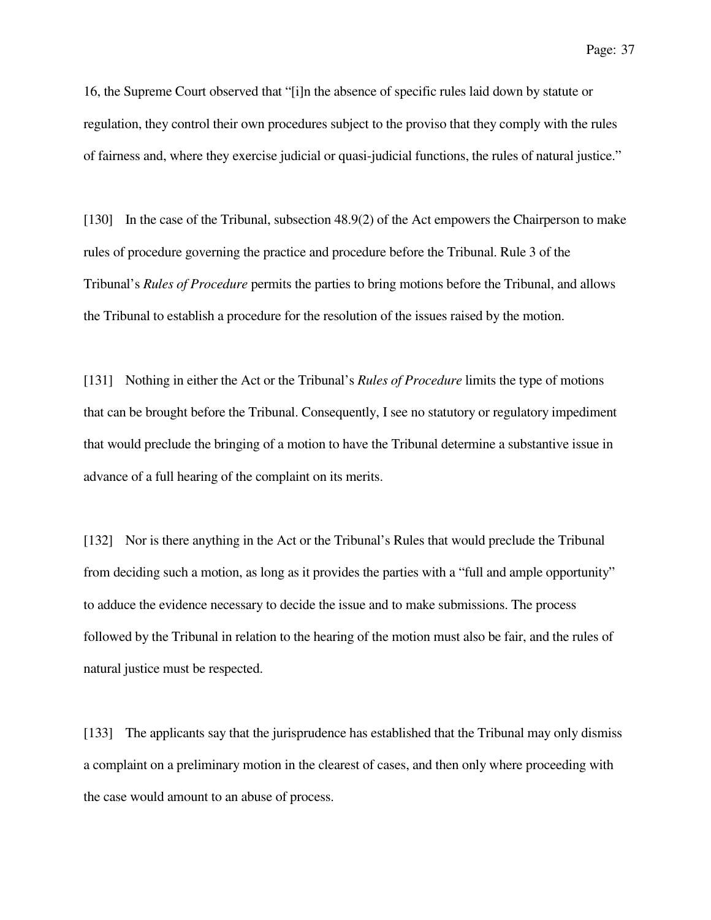16, the Supreme Court observed that "[i]n the absence of specific rules laid down by statute or regulation, they control their own procedures subject to the proviso that they comply with the rules of fairness and, where they exercise judicial or quasi-judicial functions, the rules of natural justice."

[130] In the case of the Tribunal, subsection 48.9(2) of the Act empowers the Chairperson to make rules of procedure governing the practice and procedure before the Tribunal. Rule 3 of the Tribunal's *Rules of Procedure* permits the parties to bring motions before the Tribunal, and allows the Tribunal to establish a procedure for the resolution of the issues raised by the motion.

[131] Nothing in either the Act or the Tribunal's *Rules of Procedure* limits the type of motions that can be brought before the Tribunal. Consequently, I see no statutory or regulatory impediment that would preclude the bringing of a motion to have the Tribunal determine a substantive issue in advance of a full hearing of the complaint on its merits.

[132] Nor is there anything in the Act or the Tribunal's Rules that would preclude the Tribunal from deciding such a motion, as long as it provides the parties with a "full and ample opportunity" to adduce the evidence necessary to decide the issue and to make submissions. The process followed by the Tribunal in relation to the hearing of the motion must also be fair, and the rules of natural justice must be respected.

[133] The applicants say that the jurisprudence has established that the Tribunal may only dismiss a complaint on a preliminary motion in the clearest of cases, and then only where proceeding with the case would amount to an abuse of process.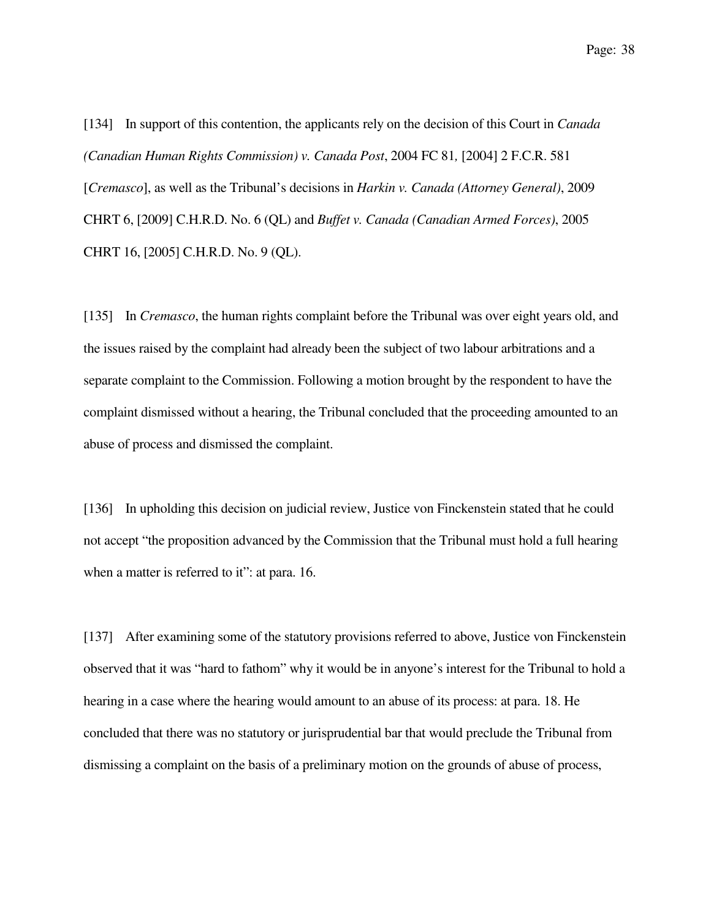[134] In support of this contention, the applicants rely on the decision of this Court in *Canada (Canadian Human Rights Commission) v. Canada Post*, 2004 FC 81*,* [2004] 2 F.C.R. 581 [*Cremasco*], as well as the Tribunal's decisions in *Harkin v. Canada (Attorney General)*, 2009 CHRT 6, [2009] C.H.R.D. No. 6 (QL) and *Buffet v. Canada (Canadian Armed Forces)*, 2005 CHRT 16, [2005] C.H.R.D. No. 9 (QL).

[135] In *Cremasco*, the human rights complaint before the Tribunal was over eight years old, and the issues raised by the complaint had already been the subject of two labour arbitrations and a separate complaint to the Commission. Following a motion brought by the respondent to have the complaint dismissed without a hearing, the Tribunal concluded that the proceeding amounted to an abuse of process and dismissed the complaint.

[136] In upholding this decision on judicial review, Justice von Finckenstein stated that he could not accept "the proposition advanced by the Commission that the Tribunal must hold a full hearing when a matter is referred to it": at para. 16.

[137] After examining some of the statutory provisions referred to above, Justice von Finckenstein observed that it was "hard to fathom" why it would be in anyone's interest for the Tribunal to hold a hearing in a case where the hearing would amount to an abuse of its process: at para. 18. He concluded that there was no statutory or jurisprudential bar that would preclude the Tribunal from dismissing a complaint on the basis of a preliminary motion on the grounds of abuse of process,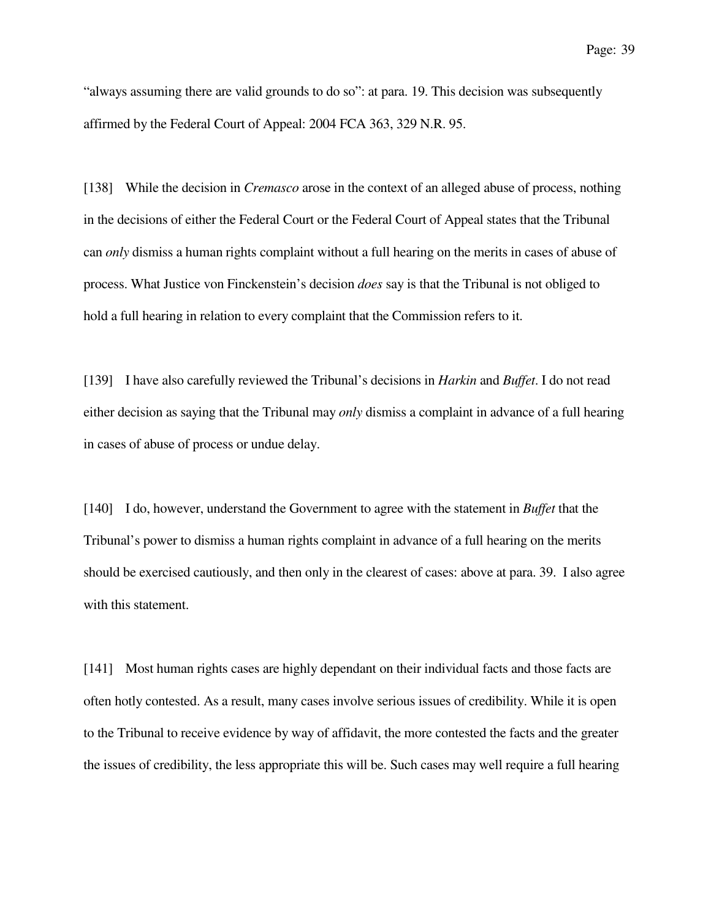"always assuming there are valid grounds to do so": at para. 19. This decision was subsequently affirmed by the Federal Court of Appeal: 2004 FCA 363, 329 N.R. 95.

[138] While the decision in *Cremasco* arose in the context of an alleged abuse of process, nothing in the decisions of either the Federal Court or the Federal Court of Appeal states that the Tribunal can *only* dismiss a human rights complaint without a full hearing on the merits in cases of abuse of process. What Justice von Finckenstein's decision *does* say is that the Tribunal is not obliged to hold a full hearing in relation to every complaint that the Commission refers to it.

[139] I have also carefully reviewed the Tribunal's decisions in *Harkin* and *Buffet*. I do not read either decision as saying that the Tribunal may *only* dismiss a complaint in advance of a full hearing in cases of abuse of process or undue delay.

[140] I do, however, understand the Government to agree with the statement in *Buffet* that the Tribunal's power to dismiss a human rights complaint in advance of a full hearing on the merits should be exercised cautiously, and then only in the clearest of cases: above at para. 39. I also agree with this statement.

[141] Most human rights cases are highly dependant on their individual facts and those facts are often hotly contested. As a result, many cases involve serious issues of credibility. While it is open to the Tribunal to receive evidence by way of affidavit, the more contested the facts and the greater the issues of credibility, the less appropriate this will be. Such cases may well require a full hearing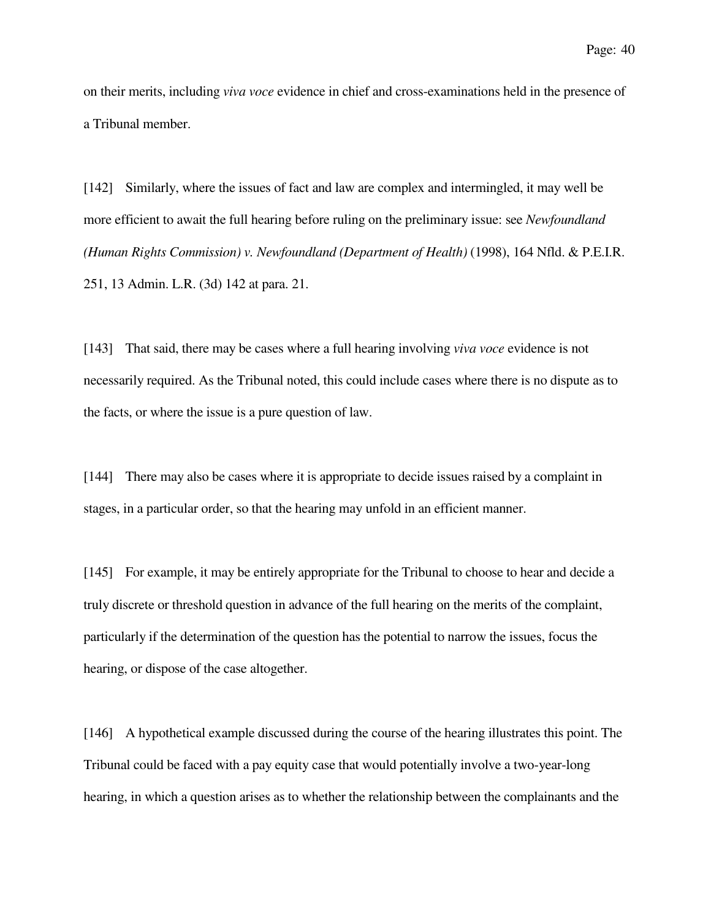on their merits, including *viva voce* evidence in chief and cross-examinations held in the presence of a Tribunal member.

[142] Similarly, where the issues of fact and law are complex and intermingled, it may well be more efficient to await the full hearing before ruling on the preliminary issue: see *Newfoundland (Human Rights Commission) v. Newfoundland (Department of Health)* (1998), 164 Nfld. & P.E.I.R. 251, 13 Admin. L.R. (3d) 142 at para. 21.

[143] That said, there may be cases where a full hearing involving *viva voce* evidence is not necessarily required. As the Tribunal noted, this could include cases where there is no dispute as to the facts, or where the issue is a pure question of law.

[144] There may also be cases where it is appropriate to decide issues raised by a complaint in stages, in a particular order, so that the hearing may unfold in an efficient manner.

[145] For example, it may be entirely appropriate for the Tribunal to choose to hear and decide a truly discrete or threshold question in advance of the full hearing on the merits of the complaint, particularly if the determination of the question has the potential to narrow the issues, focus the hearing, or dispose of the case altogether.

[146] A hypothetical example discussed during the course of the hearing illustrates this point. The Tribunal could be faced with a pay equity case that would potentially involve a two-year-long hearing, in which a question arises as to whether the relationship between the complainants and the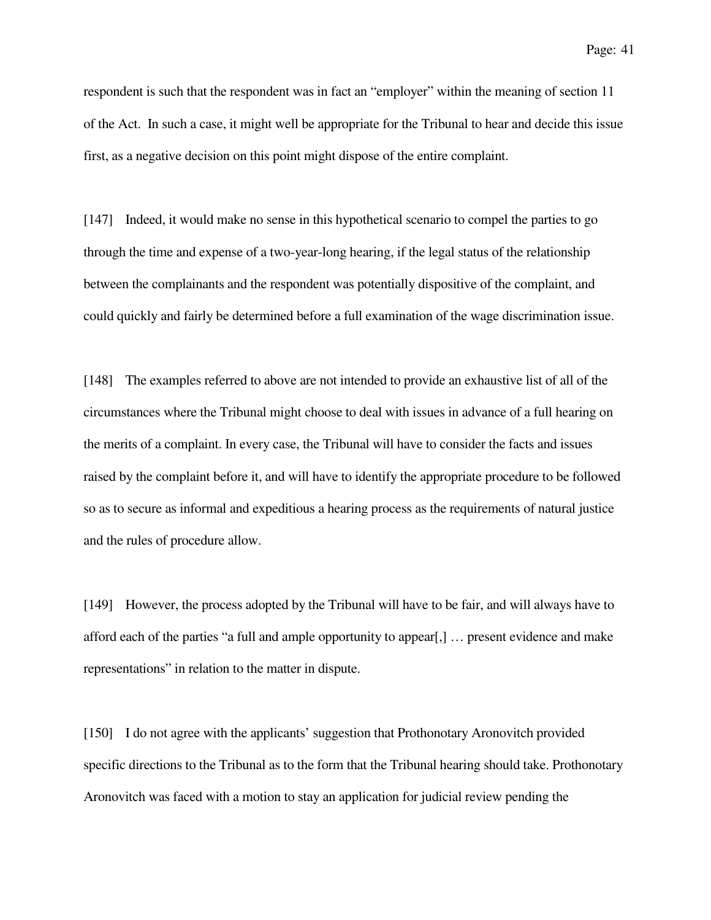Page: 41

respondent is such that the respondent was in fact an "employer" within the meaning of section 11 of the Act. In such a case, it might well be appropriate for the Tribunal to hear and decide this issue first, as a negative decision on this point might dispose of the entire complaint.

[147] Indeed, it would make no sense in this hypothetical scenario to compel the parties to go through the time and expense of a two-year-long hearing, if the legal status of the relationship between the complainants and the respondent was potentially dispositive of the complaint, and could quickly and fairly be determined before a full examination of the wage discrimination issue.

[148] The examples referred to above are not intended to provide an exhaustive list of all of the circumstances where the Tribunal might choose to deal with issues in advance of a full hearing on the merits of a complaint. In every case, the Tribunal will have to consider the facts and issues raised by the complaint before it, and will have to identify the appropriate procedure to be followed so as to secure as informal and expeditious a hearing process as the requirements of natural justice and the rules of procedure allow.

[149] However, the process adopted by the Tribunal will have to be fair, and will always have to afford each of the parties "a full and ample opportunity to appear[,] … present evidence and make representations" in relation to the matter in dispute.

[150] I do not agree with the applicants' suggestion that Prothonotary Aronovitch provided specific directions to the Tribunal as to the form that the Tribunal hearing should take. Prothonotary Aronovitch was faced with a motion to stay an application for judicial review pending the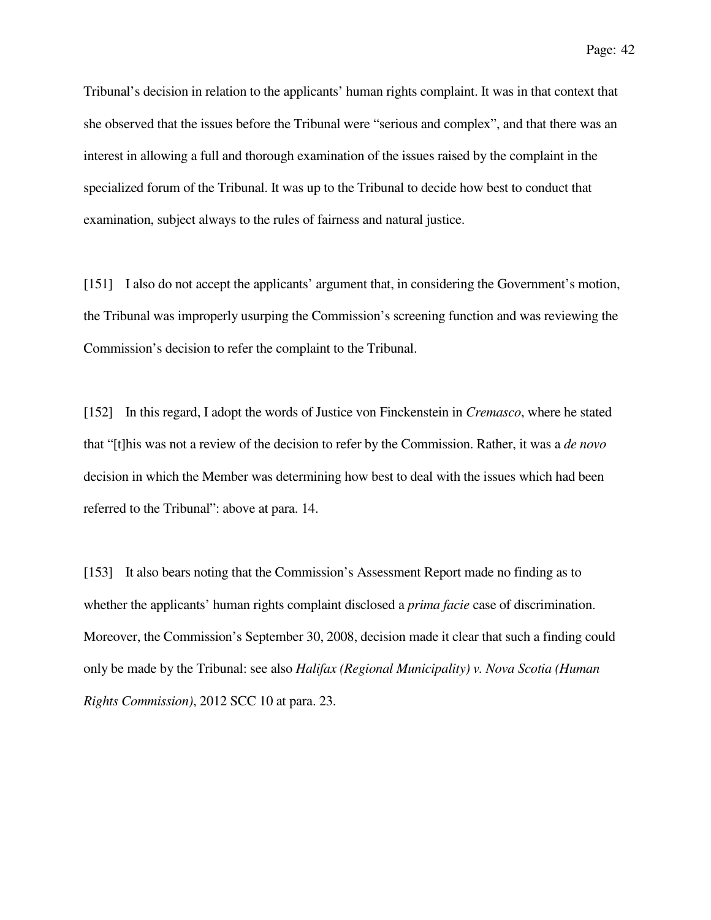Page: 42

Tribunal's decision in relation to the applicants' human rights complaint. It was in that context that she observed that the issues before the Tribunal were "serious and complex", and that there was an interest in allowing a full and thorough examination of the issues raised by the complaint in the specialized forum of the Tribunal. It was up to the Tribunal to decide how best to conduct that examination, subject always to the rules of fairness and natural justice.

[151] I also do not accept the applicants' argument that, in considering the Government's motion, the Tribunal was improperly usurping the Commission's screening function and was reviewing the Commission's decision to refer the complaint to the Tribunal.

[152] In this regard, I adopt the words of Justice von Finckenstein in *Cremasco*, where he stated that "[t]his was not a review of the decision to refer by the Commission. Rather, it was a *de novo* decision in which the Member was determining how best to deal with the issues which had been referred to the Tribunal": above at para. 14.

[153] It also bears noting that the Commission's Assessment Report made no finding as to whether the applicants' human rights complaint disclosed a *prima facie* case of discrimination. Moreover, the Commission's September 30, 2008, decision made it clear that such a finding could only be made by the Tribunal: see also *Halifax (Regional Municipality) v. Nova Scotia (Human Rights Commission)*, 2012 SCC 10 at para. 23.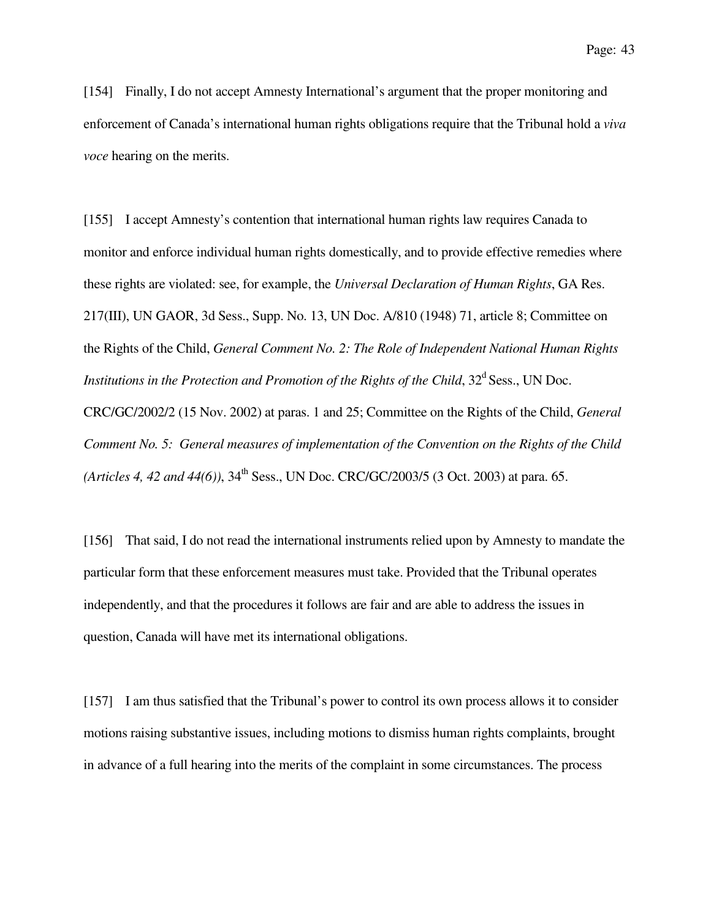[154] Finally, I do not accept Amnesty International's argument that the proper monitoring and enforcement of Canada's international human rights obligations require that the Tribunal hold a *viva voce* hearing on the merits.

[155] I accept Amnesty's contention that international human rights law requires Canada to monitor and enforce individual human rights domestically, and to provide effective remedies where these rights are violated: see, for example, the *Universal Declaration of Human Rights*, GA Res. 217(III), UN GAOR, 3d Sess., Supp. No. 13, UN Doc. A/810 (1948) 71, article 8; Committee on the Rights of the Child, *General Comment No. 2: The Role of Independent National Human Rights Institutions in the Protection and Promotion of the Rights of the Child*,  $32<sup>d</sup>$  Sess., UN Doc. CRC/GC/2002/2 (15 Nov. 2002) at paras. 1 and 25; Committee on the Rights of the Child, *General Comment No. 5: General measures of implementation of the Convention on the Rights of the Child (Articles 4, 42 and 44(6))*, 34<sup>th</sup> Sess., UN Doc. CRC/GC/2003/5 (3 Oct. 2003) at para. 65.

[156] That said, I do not read the international instruments relied upon by Amnesty to mandate the particular form that these enforcement measures must take. Provided that the Tribunal operates independently, and that the procedures it follows are fair and are able to address the issues in question, Canada will have met its international obligations.

[157] I am thus satisfied that the Tribunal's power to control its own process allows it to consider motions raising substantive issues, including motions to dismiss human rights complaints, brought in advance of a full hearing into the merits of the complaint in some circumstances. The process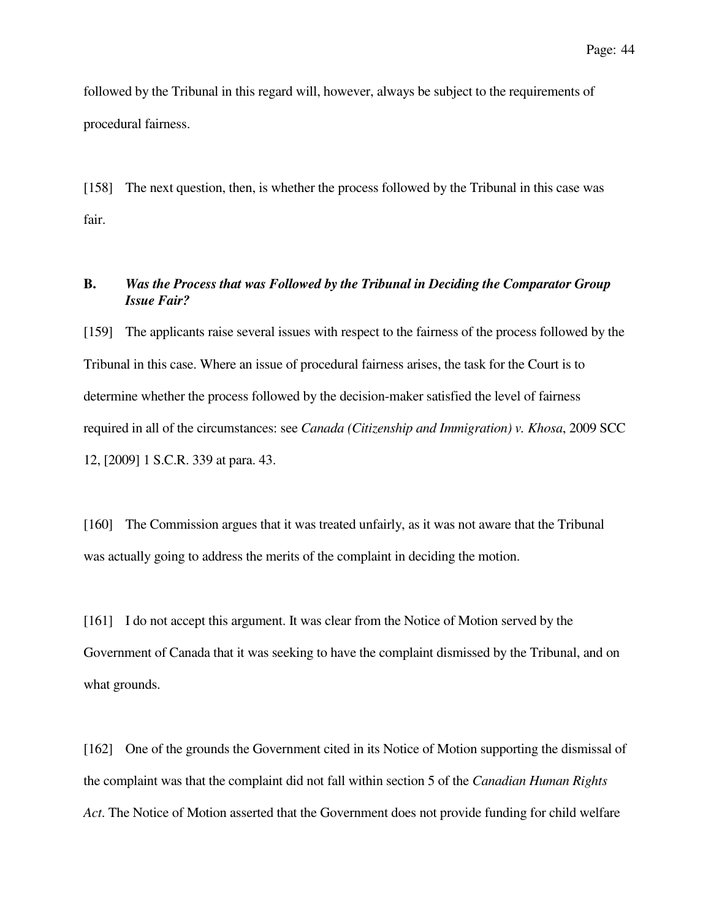followed by the Tribunal in this regard will, however, always be subject to the requirements of procedural fairness.

[158] The next question, then, is whether the process followed by the Tribunal in this case was fair.

# **B.** *Was the Process that was Followed by the Tribunal in Deciding the Comparator Group Issue Fair?*

[159] The applicants raise several issues with respect to the fairness of the process followed by the Tribunal in this case. Where an issue of procedural fairness arises, the task for the Court is to determine whether the process followed by the decision-maker satisfied the level of fairness required in all of the circumstances: see *Canada (Citizenship and Immigration) v. Khosa*, 2009 SCC 12, [2009] 1 S.C.R. 339 at para. 43.

[160] The Commission argues that it was treated unfairly, as it was not aware that the Tribunal was actually going to address the merits of the complaint in deciding the motion.

[161] I do not accept this argument. It was clear from the Notice of Motion served by the Government of Canada that it was seeking to have the complaint dismissed by the Tribunal, and on what grounds.

[162] One of the grounds the Government cited in its Notice of Motion supporting the dismissal of the complaint was that the complaint did not fall within section 5 of the *Canadian Human Rights Act*. The Notice of Motion asserted that the Government does not provide funding for child welfare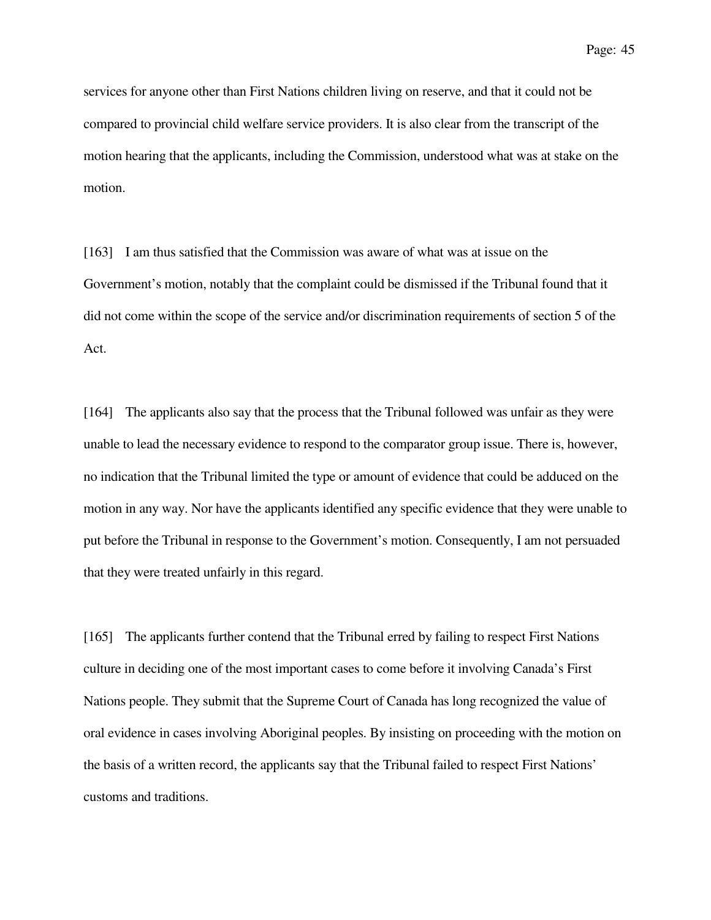services for anyone other than First Nations children living on reserve, and that it could not be compared to provincial child welfare service providers. It is also clear from the transcript of the motion hearing that the applicants, including the Commission, understood what was at stake on the motion.

[163] I am thus satisfied that the Commission was aware of what was at issue on the Government's motion, notably that the complaint could be dismissed if the Tribunal found that it did not come within the scope of the service and/or discrimination requirements of section 5 of the Act.

[164] The applicants also say that the process that the Tribunal followed was unfair as they were unable to lead the necessary evidence to respond to the comparator group issue. There is, however, no indication that the Tribunal limited the type or amount of evidence that could be adduced on the motion in any way. Nor have the applicants identified any specific evidence that they were unable to put before the Tribunal in response to the Government's motion. Consequently, I am not persuaded that they were treated unfairly in this regard.

[165] The applicants further contend that the Tribunal erred by failing to respect First Nations culture in deciding one of the most important cases to come before it involving Canada's First Nations people. They submit that the Supreme Court of Canada has long recognized the value of oral evidence in cases involving Aboriginal peoples. By insisting on proceeding with the motion on the basis of a written record, the applicants say that the Tribunal failed to respect First Nations' customs and traditions.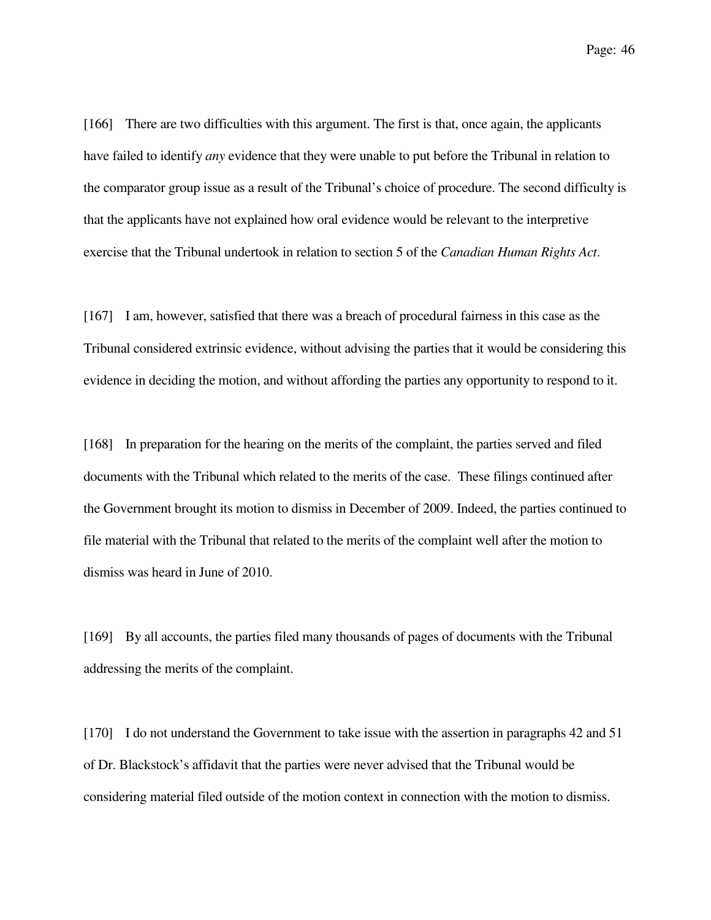Page: 46

[166] There are two difficulties with this argument. The first is that, once again, the applicants have failed to identify *any* evidence that they were unable to put before the Tribunal in relation to the comparator group issue as a result of the Tribunal's choice of procedure. The second difficulty is that the applicants have not explained how oral evidence would be relevant to the interpretive exercise that the Tribunal undertook in relation to section 5 of the *Canadian Human Rights Act*.

[167] I am, however, satisfied that there was a breach of procedural fairness in this case as the Tribunal considered extrinsic evidence, without advising the parties that it would be considering this evidence in deciding the motion, and without affording the parties any opportunity to respond to it.

[168] In preparation for the hearing on the merits of the complaint, the parties served and filed documents with the Tribunal which related to the merits of the case. These filings continued after the Government brought its motion to dismiss in December of 2009. Indeed, the parties continued to file material with the Tribunal that related to the merits of the complaint well after the motion to dismiss was heard in June of 2010.

[169] By all accounts, the parties filed many thousands of pages of documents with the Tribunal addressing the merits of the complaint.

[170] I do not understand the Government to take issue with the assertion in paragraphs 42 and 51 of Dr. Blackstock's affidavit that the parties were never advised that the Tribunal would be considering material filed outside of the motion context in connection with the motion to dismiss.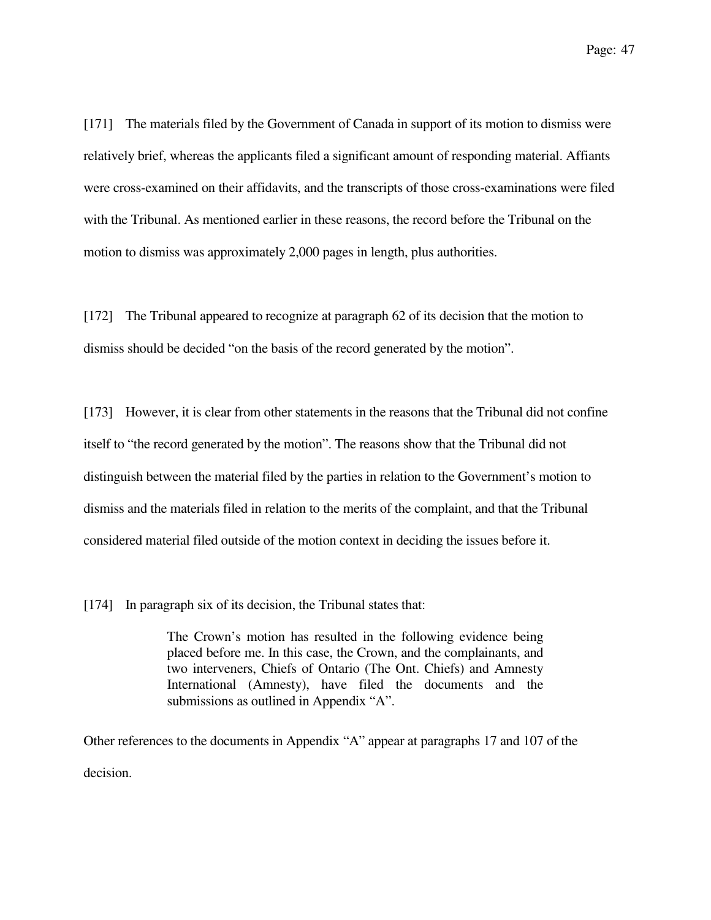[171] The materials filed by the Government of Canada in support of its motion to dismiss were relatively brief, whereas the applicants filed a significant amount of responding material. Affiants were cross-examined on their affidavits, and the transcripts of those cross-examinations were filed with the Tribunal. As mentioned earlier in these reasons, the record before the Tribunal on the motion to dismiss was approximately 2,000 pages in length, plus authorities.

[172] The Tribunal appeared to recognize at paragraph 62 of its decision that the motion to dismiss should be decided "on the basis of the record generated by the motion".

[173] However, it is clear from other statements in the reasons that the Tribunal did not confine itself to "the record generated by the motion". The reasons show that the Tribunal did not distinguish between the material filed by the parties in relation to the Government's motion to dismiss and the materials filed in relation to the merits of the complaint, and that the Tribunal considered material filed outside of the motion context in deciding the issues before it.

[174] In paragraph six of its decision, the Tribunal states that:

The Crown's motion has resulted in the following evidence being placed before me. In this case, the Crown, and the complainants, and two interveners, Chiefs of Ontario (The Ont. Chiefs) and Amnesty International (Amnesty), have filed the documents and the submissions as outlined in Appendix "A".

Other references to the documents in Appendix "A" appear at paragraphs 17 and 107 of the decision.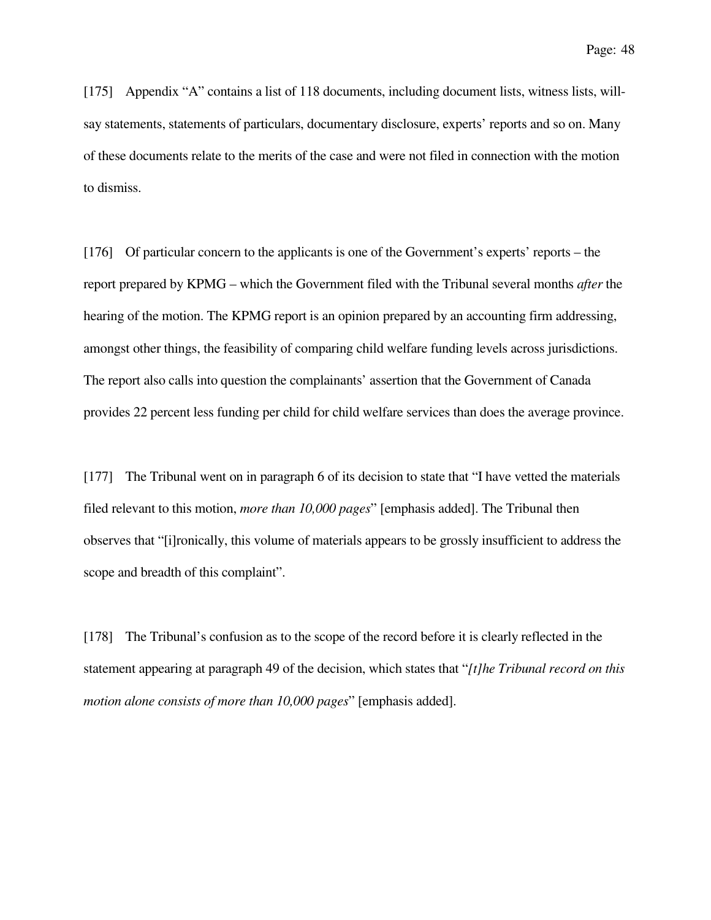[175] Appendix "A" contains a list of 118 documents, including document lists, witness lists, willsay statements, statements of particulars, documentary disclosure, experts' reports and so on. Many of these documents relate to the merits of the case and were not filed in connection with the motion to dismiss.

[176] Of particular concern to the applicants is one of the Government's experts' reports – the report prepared by KPMG – which the Government filed with the Tribunal several months *after* the hearing of the motion. The KPMG report is an opinion prepared by an accounting firm addressing, amongst other things, the feasibility of comparing child welfare funding levels across jurisdictions. The report also calls into question the complainants' assertion that the Government of Canada provides 22 percent less funding per child for child welfare services than does the average province.

[177] The Tribunal went on in paragraph 6 of its decision to state that "I have vetted the materials filed relevant to this motion, *more than 10,000 pages*" [emphasis added]. The Tribunal then observes that "[i]ronically, this volume of materials appears to be grossly insufficient to address the scope and breadth of this complaint".

[178] The Tribunal's confusion as to the scope of the record before it is clearly reflected in the statement appearing at paragraph 49 of the decision, which states that "*[t]he Tribunal record on this motion alone consists of more than 10,000 pages*" [emphasis added].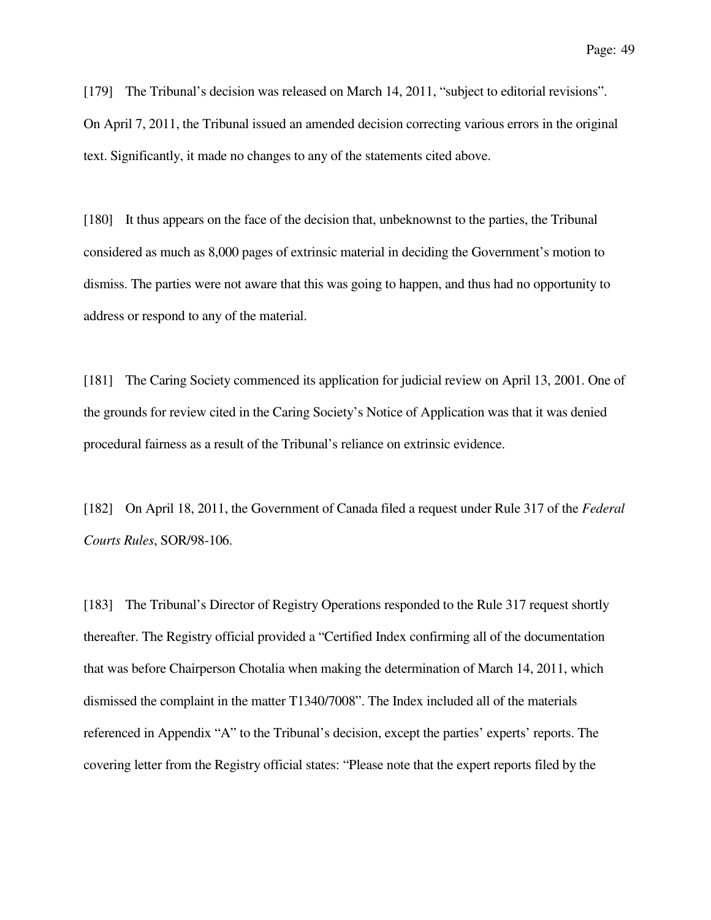[179] The Tribunal's decision was released on March 14, 2011, "subject to editorial revisions". On April 7, 2011, the Tribunal issued an amended decision correcting various errors in the original text. Significantly, it made no changes to any of the statements cited above.

[180] It thus appears on the face of the decision that, unbeknownst to the parties, the Tribunal considered as much as 8,000 pages of extrinsic material in deciding the Government's motion to dismiss. The parties were not aware that this was going to happen, and thus had no opportunity to address or respond to any of the material.

[181] The Caring Society commenced its application for judicial review on April 13, 2001. One of the grounds for review cited in the Caring Society's Notice of Application was that it was denied procedural fairness as a result of the Tribunal's reliance on extrinsic evidence.

[182] On April 18, 2011, the Government of Canada filed a request under Rule 317 of the *Federal Courts Rules*, SOR/98-106.

[183] The Tribunal's Director of Registry Operations responded to the Rule 317 request shortly thereafter. The Registry official provided a "Certified Index confirming all of the documentation that was before Chairperson Chotalia when making the determination of March 14, 2011, which dismissed the complaint in the matter T1340/7008". The Index included all of the materials referenced in Appendix "A" to the Tribunal's decision, except the parties' experts' reports. The covering letter from the Registry official states: "Please note that the expert reports filed by the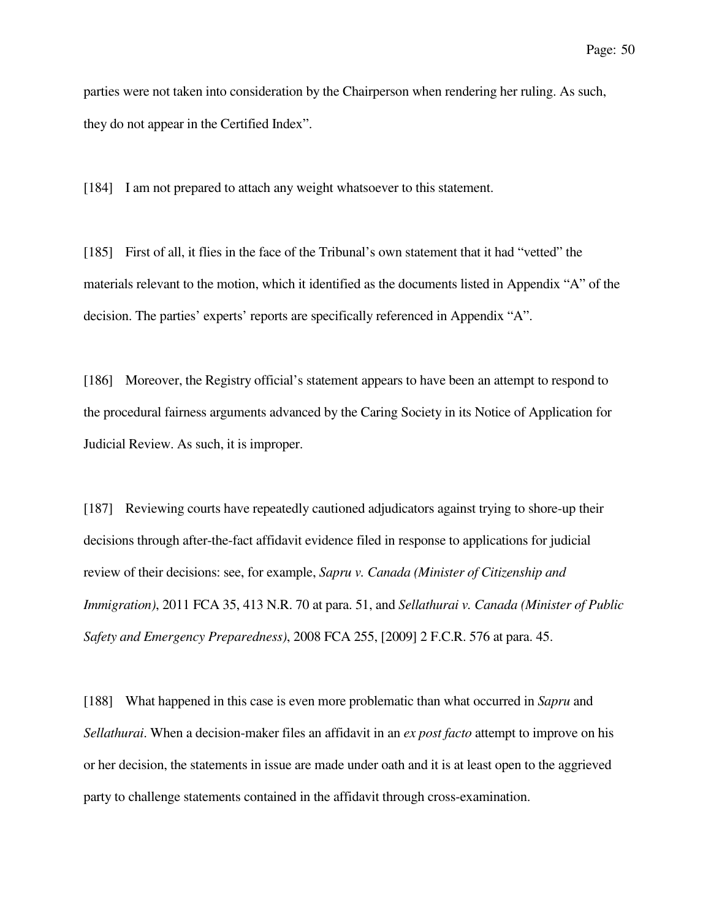parties were not taken into consideration by the Chairperson when rendering her ruling. As such, they do not appear in the Certified Index".

[184] I am not prepared to attach any weight whatsoever to this statement.

[185] First of all, it flies in the face of the Tribunal's own statement that it had "vetted" the materials relevant to the motion, which it identified as the documents listed in Appendix "A" of the decision. The parties' experts' reports are specifically referenced in Appendix "A".

[186] Moreover, the Registry official's statement appears to have been an attempt to respond to the procedural fairness arguments advanced by the Caring Society in its Notice of Application for Judicial Review. As such, it is improper.

[187] Reviewing courts have repeatedly cautioned adjudicators against trying to shore-up their decisions through after-the-fact affidavit evidence filed in response to applications for judicial review of their decisions: see, for example, *Sapru v. Canada (Minister of Citizenship and Immigration)*, 2011 FCA 35, 413 N.R. 70 at para. 51, and *Sellathurai v. Canada (Minister of Public Safety and Emergency Preparedness)*, 2008 FCA 255, [2009] 2 F.C.R. 576 at para. 45.

[188] What happened in this case is even more problematic than what occurred in *Sapru* and *Sellathurai*. When a decision-maker files an affidavit in an *ex post facto* attempt to improve on his or her decision, the statements in issue are made under oath and it is at least open to the aggrieved party to challenge statements contained in the affidavit through cross-examination.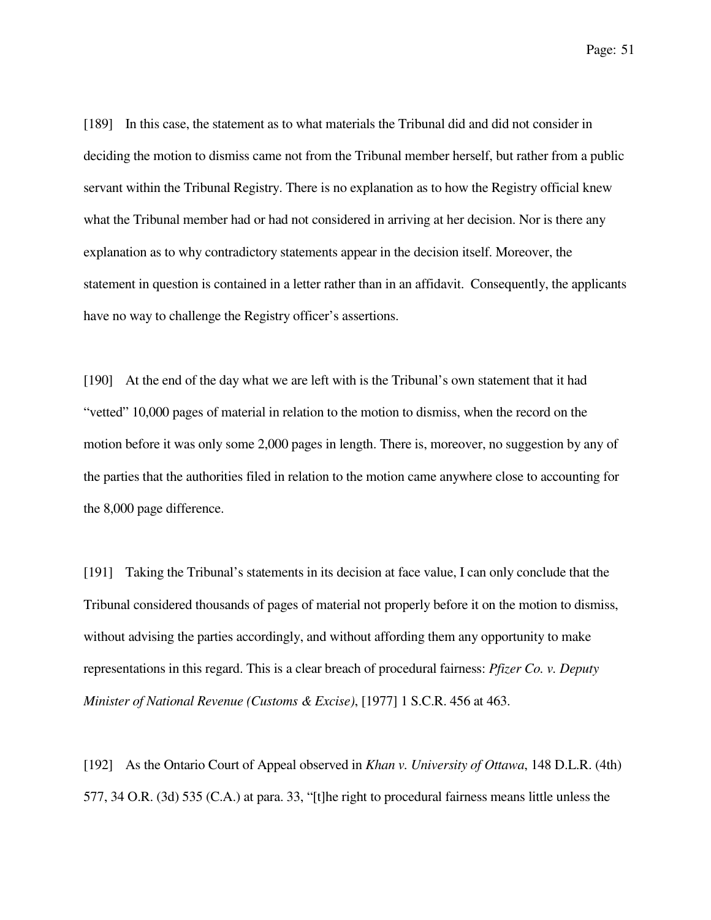Page: 51

[189] In this case, the statement as to what materials the Tribunal did and did not consider in deciding the motion to dismiss came not from the Tribunal member herself, but rather from a public servant within the Tribunal Registry. There is no explanation as to how the Registry official knew what the Tribunal member had or had not considered in arriving at her decision. Nor is there any explanation as to why contradictory statements appear in the decision itself. Moreover, the statement in question is contained in a letter rather than in an affidavit. Consequently, the applicants have no way to challenge the Registry officer's assertions.

[190] At the end of the day what we are left with is the Tribunal's own statement that it had "vetted" 10,000 pages of material in relation to the motion to dismiss, when the record on the motion before it was only some 2,000 pages in length. There is, moreover, no suggestion by any of the parties that the authorities filed in relation to the motion came anywhere close to accounting for the 8,000 page difference.

[191] Taking the Tribunal's statements in its decision at face value, I can only conclude that the Tribunal considered thousands of pages of material not properly before it on the motion to dismiss, without advising the parties accordingly, and without affording them any opportunity to make representations in this regard. This is a clear breach of procedural fairness: *Pfizer Co. v. Deputy Minister of National Revenue (Customs & Excise)*, [1977] 1 S.C.R. 456 at 463.

[192] As the Ontario Court of Appeal observed in *Khan v. University of Ottawa*, 148 D.L.R. (4th) 577, 34 O.R. (3d) 535 (C.A.) at para. 33, "[t]he right to procedural fairness means little unless the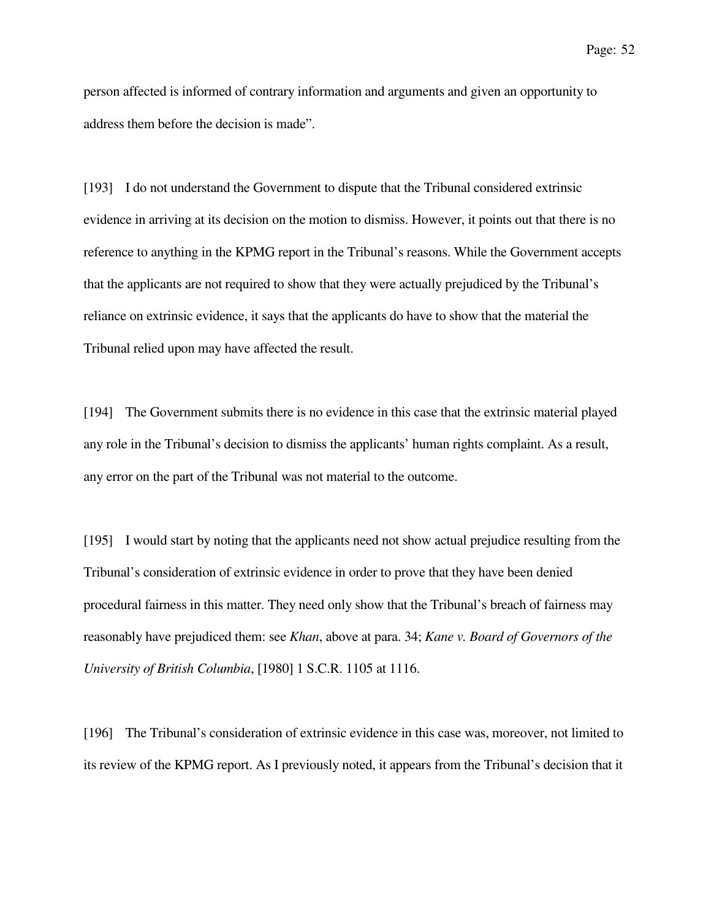person affected is informed of contrary information and arguments and given an opportunity to address them before the decision is made".

[193] I do not understand the Government to dispute that the Tribunal considered extrinsic evidence in arriving at its decision on the motion to dismiss. However, it points out that there is no reference to anything in the KPMG report in the Tribunal's reasons. While the Government accepts that the applicants are not required to show that they were actually prejudiced by the Tribunal's reliance on extrinsic evidence, it says that the applicants do have to show that the material the Tribunal relied upon may have affected the result.

[194] The Government submits there is no evidence in this case that the extrinsic material played any role in the Tribunal's decision to dismiss the applicants' human rights complaint. As a result, any error on the part of the Tribunal was not material to the outcome.

[195] I would start by noting that the applicants need not show actual prejudice resulting from the Tribunal's consideration of extrinsic evidence in order to prove that they have been denied procedural fairness in this matter. They need only show that the Tribunal's breach of fairness may reasonably have prejudiced them: see *Khan*, above at para. 34; *Kane v. Board of Governors of the University of British Columbia*, [1980] 1 S.C.R. 1105 at 1116.

[196] The Tribunal's consideration of extrinsic evidence in this case was, moreover, not limited to its review of the KPMG report. As I previously noted, it appears from the Tribunal's decision that it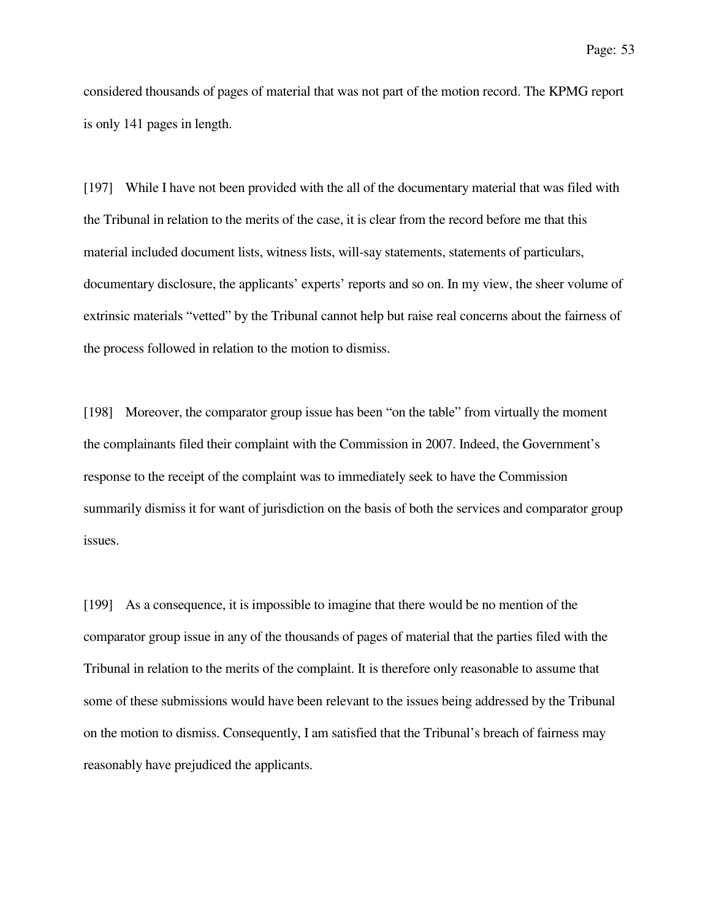considered thousands of pages of material that was not part of the motion record. The KPMG report is only 141 pages in length.

[197] While I have not been provided with the all of the documentary material that was filed with the Tribunal in relation to the merits of the case, it is clear from the record before me that this material included document lists, witness lists, will-say statements, statements of particulars, documentary disclosure, the applicants' experts' reports and so on. In my view, the sheer volume of extrinsic materials "vetted" by the Tribunal cannot help but raise real concerns about the fairness of the process followed in relation to the motion to dismiss.

[198] Moreover, the comparator group issue has been "on the table" from virtually the moment the complainants filed their complaint with the Commission in 2007. Indeed, the Government's response to the receipt of the complaint was to immediately seek to have the Commission summarily dismiss it for want of jurisdiction on the basis of both the services and comparator group issues.

[199] As a consequence, it is impossible to imagine that there would be no mention of the comparator group issue in any of the thousands of pages of material that the parties filed with the Tribunal in relation to the merits of the complaint. It is therefore only reasonable to assume that some of these submissions would have been relevant to the issues being addressed by the Tribunal on the motion to dismiss. Consequently, I am satisfied that the Tribunal's breach of fairness may reasonably have prejudiced the applicants.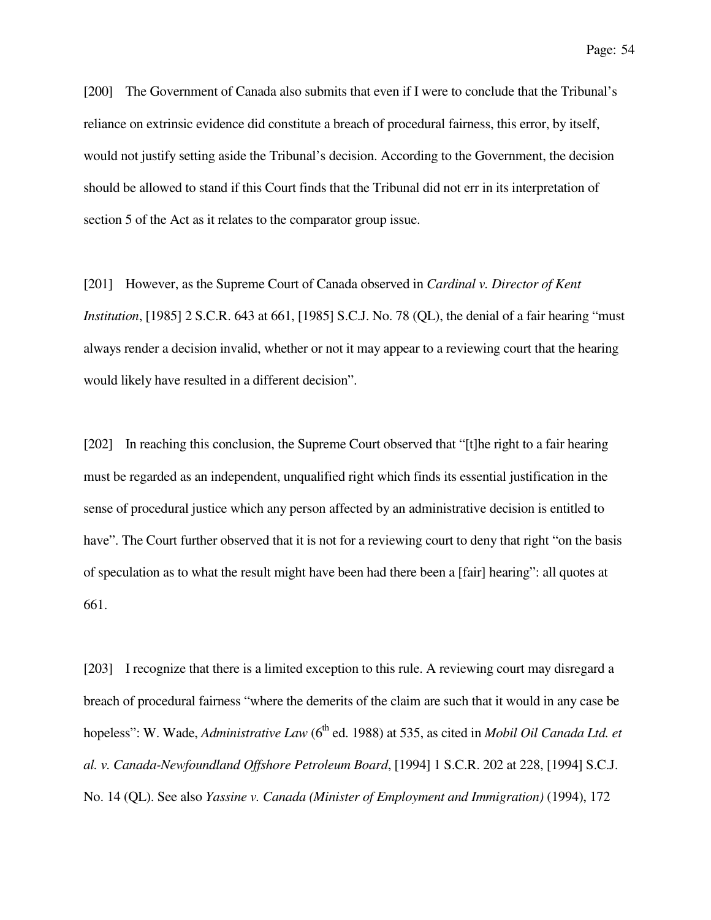[200] The Government of Canada also submits that even if I were to conclude that the Tribunal's reliance on extrinsic evidence did constitute a breach of procedural fairness, this error, by itself, would not justify setting aside the Tribunal's decision. According to the Government, the decision should be allowed to stand if this Court finds that the Tribunal did not err in its interpretation of section 5 of the Act as it relates to the comparator group issue.

[201] However, as the Supreme Court of Canada observed in *Cardinal v. Director of Kent Institution*, [1985] 2 S.C.R. 643 at 661, [1985] S.C.J. No. 78 (QL), the denial of a fair hearing "must" always render a decision invalid, whether or not it may appear to a reviewing court that the hearing would likely have resulted in a different decision".

[202] In reaching this conclusion, the Supreme Court observed that "[t]he right to a fair hearing must be regarded as an independent, unqualified right which finds its essential justification in the sense of procedural justice which any person affected by an administrative decision is entitled to have". The Court further observed that it is not for a reviewing court to deny that right "on the basis" of speculation as to what the result might have been had there been a [fair] hearing": all quotes at 661.

[203] I recognize that there is a limited exception to this rule. A reviewing court may disregard a breach of procedural fairness "where the demerits of the claim are such that it would in any case be hopeless": W. Wade, *Administrative Law* (6<sup>th</sup> ed. 1988) at 535, as cited in *Mobil Oil Canada Ltd. et al. v. Canada-Newfoundland Offshore Petroleum Board*, [1994] 1 S.C.R. 202 at 228, [1994] S.C.J. No. 14 (QL). See also *Yassine v. Canada (Minister of Employment and Immigration)* (1994), 172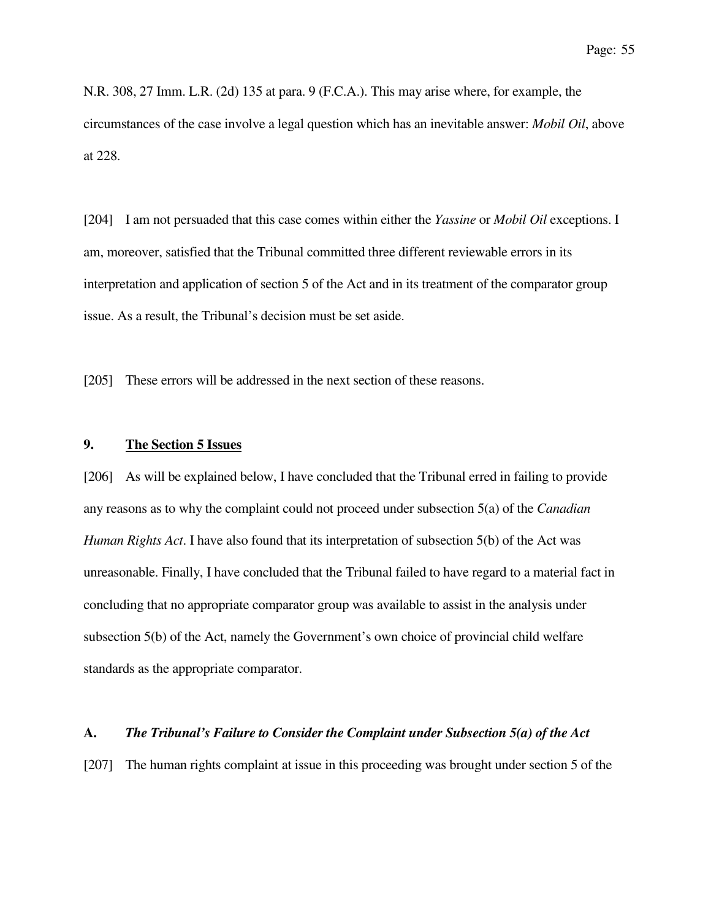N.R. 308, 27 Imm. L.R. (2d) 135 at para. 9 (F.C.A.). This may arise where, for example, the circumstances of the case involve a legal question which has an inevitable answer: *Mobil Oil*, above at 228.

[204] I am not persuaded that this case comes within either the *Yassine* or *Mobil Oil* exceptions. I am, moreover, satisfied that the Tribunal committed three different reviewable errors in its interpretation and application of section 5 of the Act and in its treatment of the comparator group issue. As a result, the Tribunal's decision must be set aside.

[205] These errors will be addressed in the next section of these reasons.

## **9. The Section 5 Issues**

[206] As will be explained below, I have concluded that the Tribunal erred in failing to provide any reasons as to why the complaint could not proceed under subsection 5(a) of the *Canadian Human Rights Act*. I have also found that its interpretation of subsection 5(b) of the Act was unreasonable. Finally, I have concluded that the Tribunal failed to have regard to a material fact in concluding that no appropriate comparator group was available to assist in the analysis under subsection 5(b) of the Act, namely the Government's own choice of provincial child welfare standards as the appropriate comparator.

### **A.** *The Tribunal's Failure to Consider the Complaint under Subsection 5(a) of the Act*

[207] The human rights complaint at issue in this proceeding was brought under section 5 of the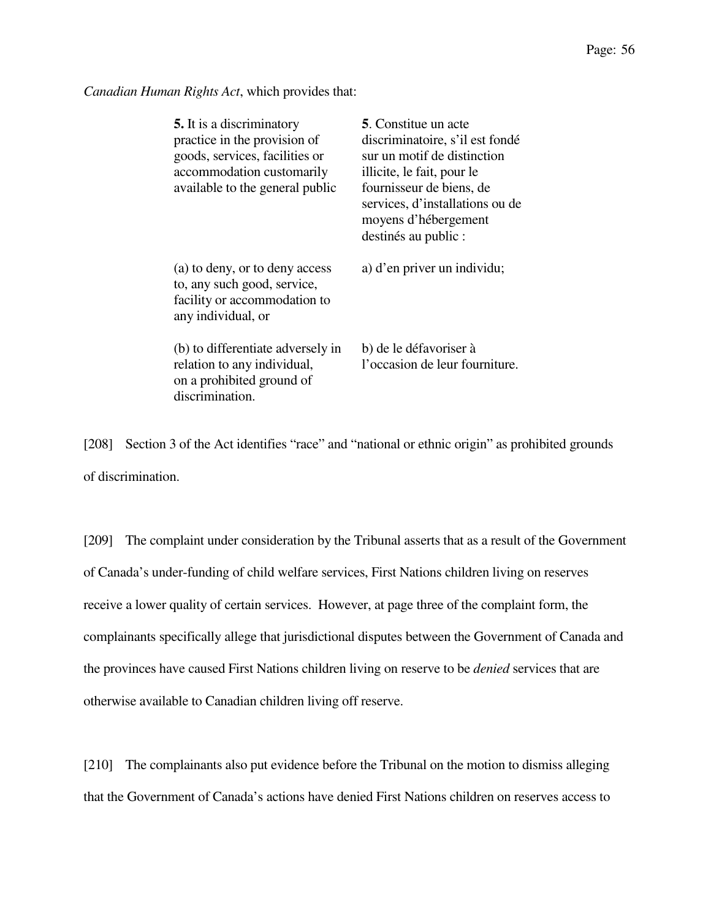*Canadian Human Rights Act*, which provides that:

| <b>5.</b> It is a discriminatory<br>practice in the provision of<br>goods, services, facilities or<br>accommodation customarily<br>available to the general public | <b>5.</b> Constitue un acte<br>discriminatoire, s'il est fondé<br>sur un motif de distinction<br>illicite, le fait, pour le<br>fournisseur de biens, de<br>services, d'installations ou de<br>moyens d'hébergement<br>destinés au public : |
|--------------------------------------------------------------------------------------------------------------------------------------------------------------------|--------------------------------------------------------------------------------------------------------------------------------------------------------------------------------------------------------------------------------------------|
| (a) to deny, or to deny access<br>to, any such good, service,<br>facility or accommodation to<br>any individual, or                                                | a) d'en priver un individu;                                                                                                                                                                                                                |
| (b) to differentiate adversely in<br>relation to any individual,<br>on a prohibited ground of<br>discrimination.                                                   | b) de le défavoriser à<br>l'occasion de leur fourniture.                                                                                                                                                                                   |

[208] Section 3 of the Act identifies "race" and "national or ethnic origin" as prohibited grounds of discrimination.

[209] The complaint under consideration by the Tribunal asserts that as a result of the Government of Canada's under-funding of child welfare services, First Nations children living on reserves receive a lower quality of certain services. However, at page three of the complaint form, the complainants specifically allege that jurisdictional disputes between the Government of Canada and the provinces have caused First Nations children living on reserve to be *denied* services that are otherwise available to Canadian children living off reserve.

[210] The complainants also put evidence before the Tribunal on the motion to dismiss alleging that the Government of Canada's actions have denied First Nations children on reserves access to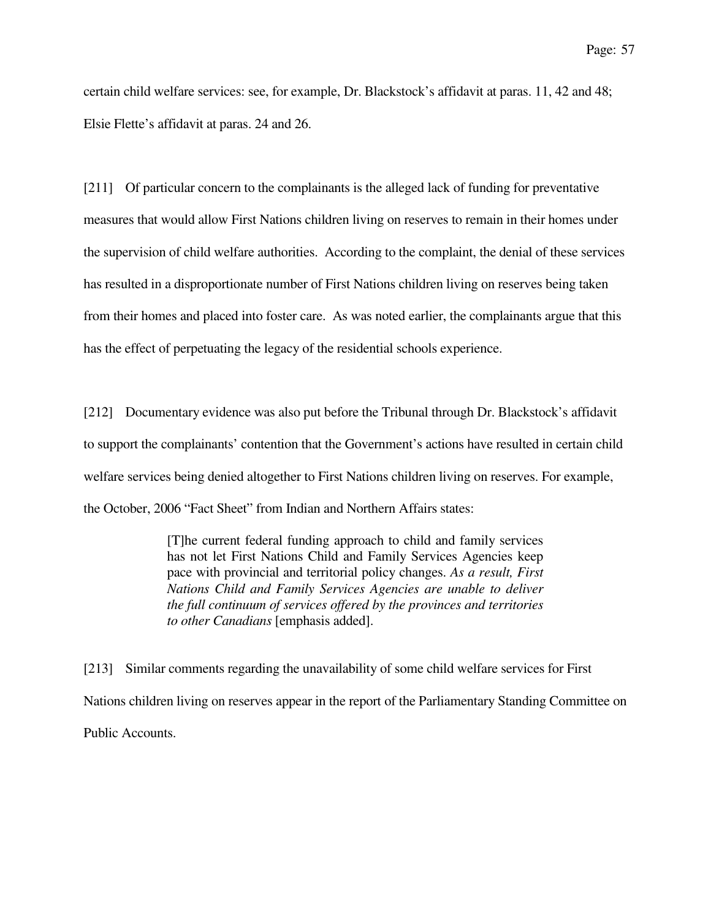certain child welfare services: see, for example, Dr. Blackstock's affidavit at paras. 11, 42 and 48; Elsie Flette's affidavit at paras. 24 and 26.

[211] Of particular concern to the complainants is the alleged lack of funding for preventative measures that would allow First Nations children living on reserves to remain in their homes under the supervision of child welfare authorities. According to the complaint, the denial of these services has resulted in a disproportionate number of First Nations children living on reserves being taken from their homes and placed into foster care. As was noted earlier, the complainants argue that this has the effect of perpetuating the legacy of the residential schools experience.

[212] Documentary evidence was also put before the Tribunal through Dr. Blackstock's affidavit to support the complainants' contention that the Government's actions have resulted in certain child welfare services being denied altogether to First Nations children living on reserves. For example, the October, 2006 "Fact Sheet" from Indian and Northern Affairs states:

> [T]he current federal funding approach to child and family services has not let First Nations Child and Family Services Agencies keep pace with provincial and territorial policy changes. *As a result, First Nations Child and Family Services Agencies are unable to deliver the full continuum of services offered by the provinces and territories to other Canadians* [emphasis added].

[213] Similar comments regarding the unavailability of some child welfare services for First Nations children living on reserves appear in the report of the Parliamentary Standing Committee on Public Accounts.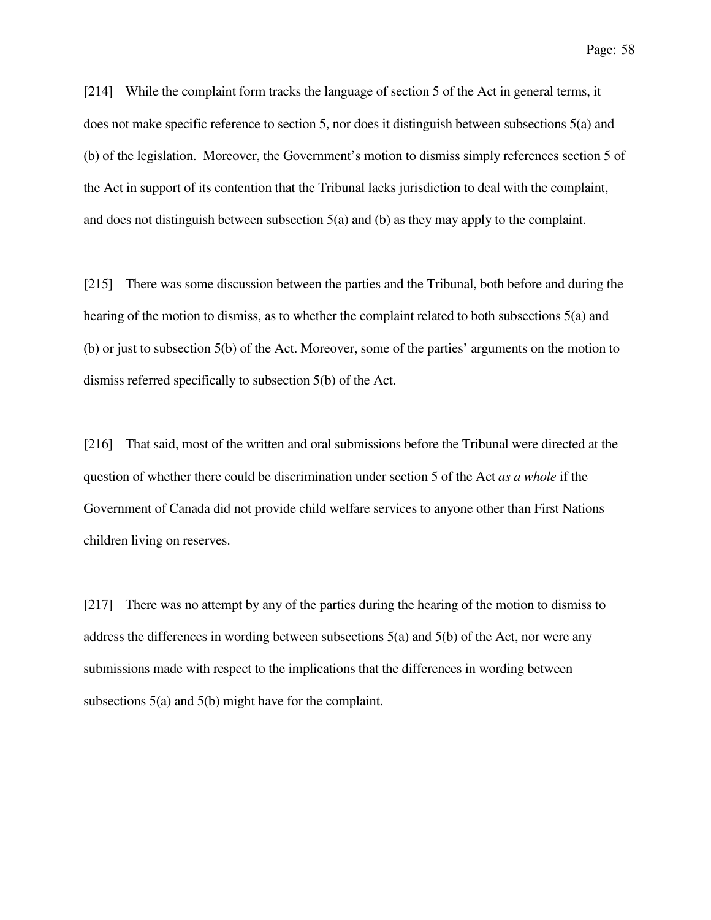[214] While the complaint form tracks the language of section 5 of the Act in general terms, it does not make specific reference to section 5, nor does it distinguish between subsections 5(a) and (b) of the legislation. Moreover, the Government's motion to dismiss simply references section 5 of the Act in support of its contention that the Tribunal lacks jurisdiction to deal with the complaint, and does not distinguish between subsection 5(a) and (b) as they may apply to the complaint.

[215] There was some discussion between the parties and the Tribunal, both before and during the hearing of the motion to dismiss, as to whether the complaint related to both subsections 5(a) and (b) or just to subsection 5(b) of the Act. Moreover, some of the parties' arguments on the motion to dismiss referred specifically to subsection 5(b) of the Act.

[216] That said, most of the written and oral submissions before the Tribunal were directed at the question of whether there could be discrimination under section 5 of the Act *as a whole* if the Government of Canada did not provide child welfare services to anyone other than First Nations children living on reserves.

[217] There was no attempt by any of the parties during the hearing of the motion to dismiss to address the differences in wording between subsections 5(a) and 5(b) of the Act, nor were any submissions made with respect to the implications that the differences in wording between subsections 5(a) and 5(b) might have for the complaint.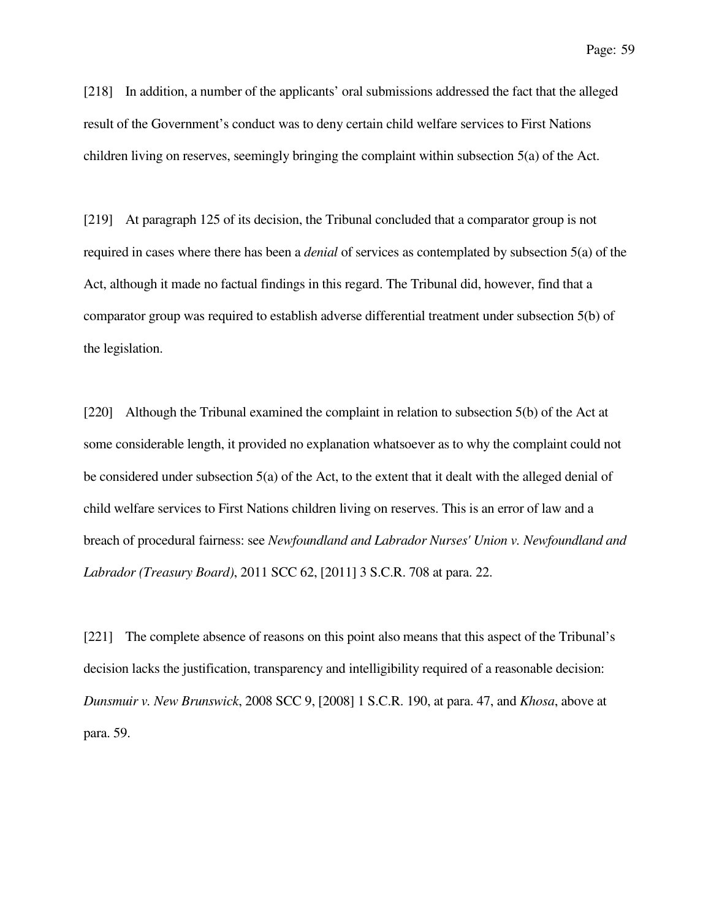[218] In addition, a number of the applicants' oral submissions addressed the fact that the alleged result of the Government's conduct was to deny certain child welfare services to First Nations children living on reserves, seemingly bringing the complaint within subsection 5(a) of the Act.

[219] At paragraph 125 of its decision, the Tribunal concluded that a comparator group is not required in cases where there has been a *denial* of services as contemplated by subsection 5(a) of the Act, although it made no factual findings in this regard. The Tribunal did, however, find that a comparator group was required to establish adverse differential treatment under subsection 5(b) of the legislation.

[220] Although the Tribunal examined the complaint in relation to subsection 5(b) of the Act at some considerable length, it provided no explanation whatsoever as to why the complaint could not be considered under subsection 5(a) of the Act, to the extent that it dealt with the alleged denial of child welfare services to First Nations children living on reserves. This is an error of law and a breach of procedural fairness: see *Newfoundland and Labrador Nurses' Union v. Newfoundland and Labrador (Treasury Board)*, 2011 SCC 62, [2011] 3 S.C.R. 708 at para. 22.

[221] The complete absence of reasons on this point also means that this aspect of the Tribunal's decision lacks the justification, transparency and intelligibility required of a reasonable decision: *Dunsmuir v. New Brunswick*, 2008 SCC 9, [2008] 1 S.C.R. 190, at para. 47, and *Khosa*, above at para. 59.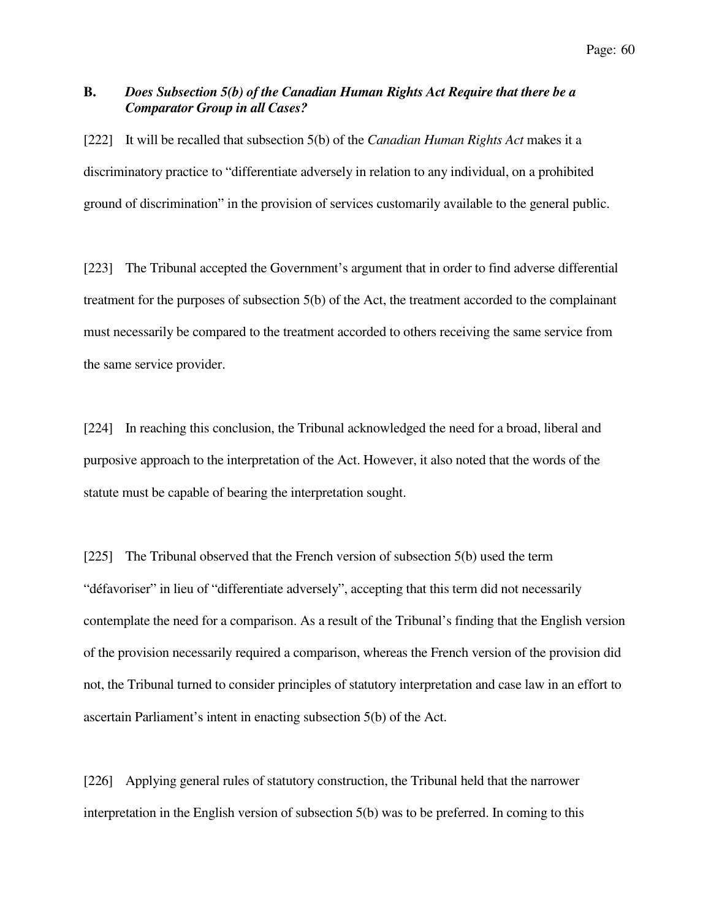# **B.** *Does Subsection 5(b) of the Canadian Human Rights Act Require that there be a Comparator Group in all Cases?*

[222] It will be recalled that subsection 5(b) of the *Canadian Human Rights Act* makes it a discriminatory practice to "differentiate adversely in relation to any individual, on a prohibited ground of discrimination" in the provision of services customarily available to the general public.

[223] The Tribunal accepted the Government's argument that in order to find adverse differential treatment for the purposes of subsection 5(b) of the Act, the treatment accorded to the complainant must necessarily be compared to the treatment accorded to others receiving the same service from the same service provider.

[224] In reaching this conclusion, the Tribunal acknowledged the need for a broad, liberal and purposive approach to the interpretation of the Act. However, it also noted that the words of the statute must be capable of bearing the interpretation sought.

[225] The Tribunal observed that the French version of subsection 5(b) used the term "défavoriser" in lieu of "differentiate adversely", accepting that this term did not necessarily contemplate the need for a comparison. As a result of the Tribunal's finding that the English version of the provision necessarily required a comparison, whereas the French version of the provision did not, the Tribunal turned to consider principles of statutory interpretation and case law in an effort to ascertain Parliament's intent in enacting subsection 5(b) of the Act.

[226] Applying general rules of statutory construction, the Tribunal held that the narrower interpretation in the English version of subsection 5(b) was to be preferred. In coming to this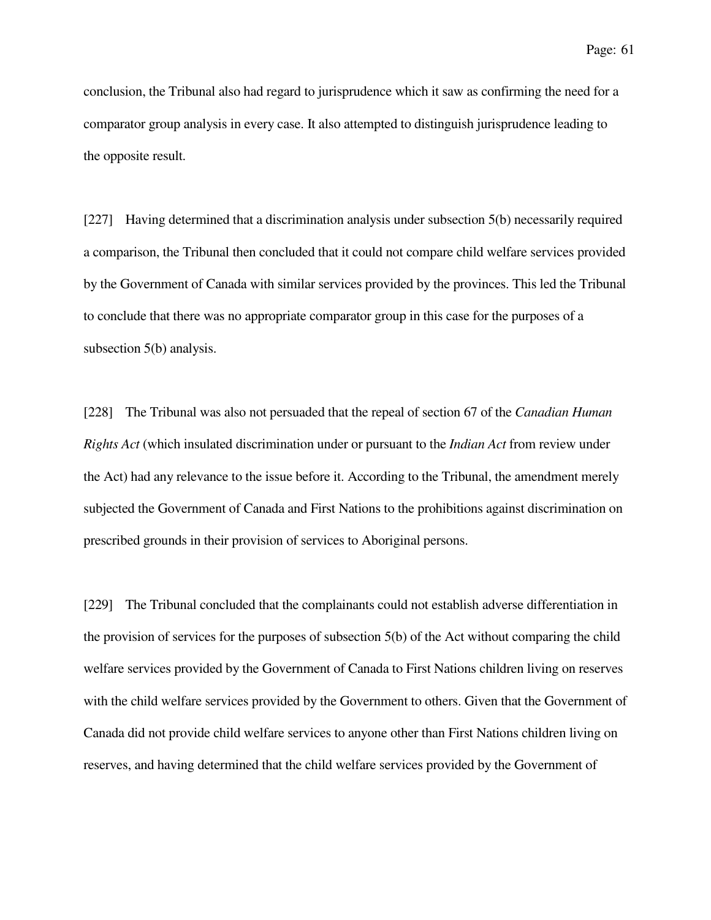conclusion, the Tribunal also had regard to jurisprudence which it saw as confirming the need for a comparator group analysis in every case. It also attempted to distinguish jurisprudence leading to the opposite result.

[227] Having determined that a discrimination analysis under subsection 5(b) necessarily required a comparison, the Tribunal then concluded that it could not compare child welfare services provided by the Government of Canada with similar services provided by the provinces. This led the Tribunal to conclude that there was no appropriate comparator group in this case for the purposes of a subsection 5(b) analysis.

[228] The Tribunal was also not persuaded that the repeal of section 67 of the *Canadian Human Rights Act* (which insulated discrimination under or pursuant to the *Indian Act* from review under the Act) had any relevance to the issue before it. According to the Tribunal, the amendment merely subjected the Government of Canada and First Nations to the prohibitions against discrimination on prescribed grounds in their provision of services to Aboriginal persons.

[229] The Tribunal concluded that the complainants could not establish adverse differentiation in the provision of services for the purposes of subsection 5(b) of the Act without comparing the child welfare services provided by the Government of Canada to First Nations children living on reserves with the child welfare services provided by the Government to others. Given that the Government of Canada did not provide child welfare services to anyone other than First Nations children living on reserves, and having determined that the child welfare services provided by the Government of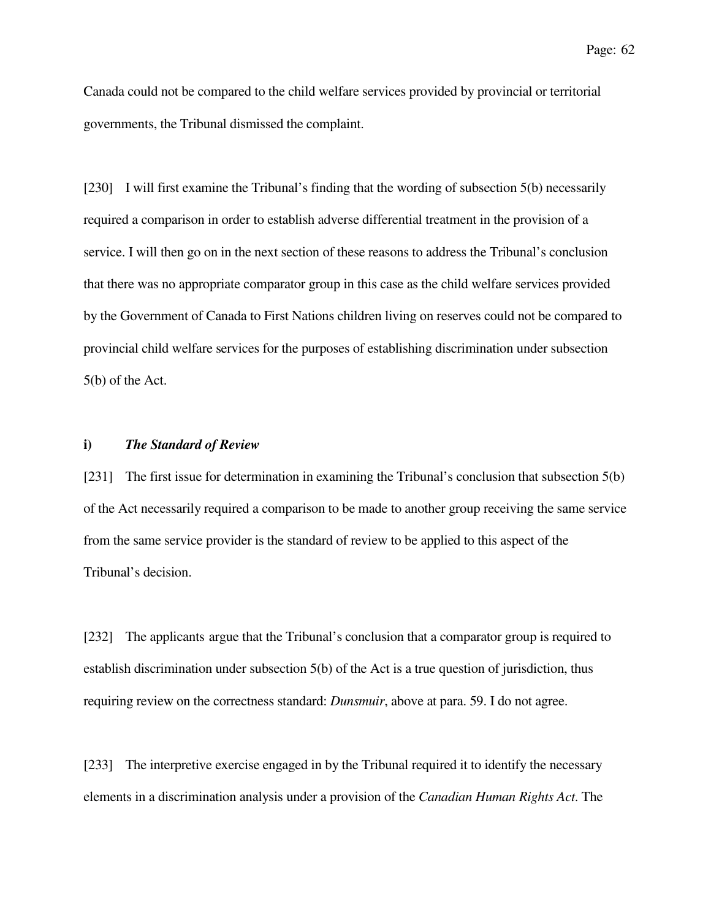Canada could not be compared to the child welfare services provided by provincial or territorial governments, the Tribunal dismissed the complaint.

[230] I will first examine the Tribunal's finding that the wording of subsection 5(b) necessarily required a comparison in order to establish adverse differential treatment in the provision of a service. I will then go on in the next section of these reasons to address the Tribunal's conclusion that there was no appropriate comparator group in this case as the child welfare services provided by the Government of Canada to First Nations children living on reserves could not be compared to provincial child welfare services for the purposes of establishing discrimination under subsection 5(b) of the Act.

### **i)** *The Standard of Review*

[231] The first issue for determination in examining the Tribunal's conclusion that subsection 5(b) of the Act necessarily required a comparison to be made to another group receiving the same service from the same service provider is the standard of review to be applied to this aspect of the Tribunal's decision.

[232] The applicants argue that the Tribunal's conclusion that a comparator group is required to establish discrimination under subsection 5(b) of the Act is a true question of jurisdiction, thus requiring review on the correctness standard: *Dunsmuir*, above at para. 59. I do not agree.

[233] The interpretive exercise engaged in by the Tribunal required it to identify the necessary elements in a discrimination analysis under a provision of the *Canadian Human Rights Act*. The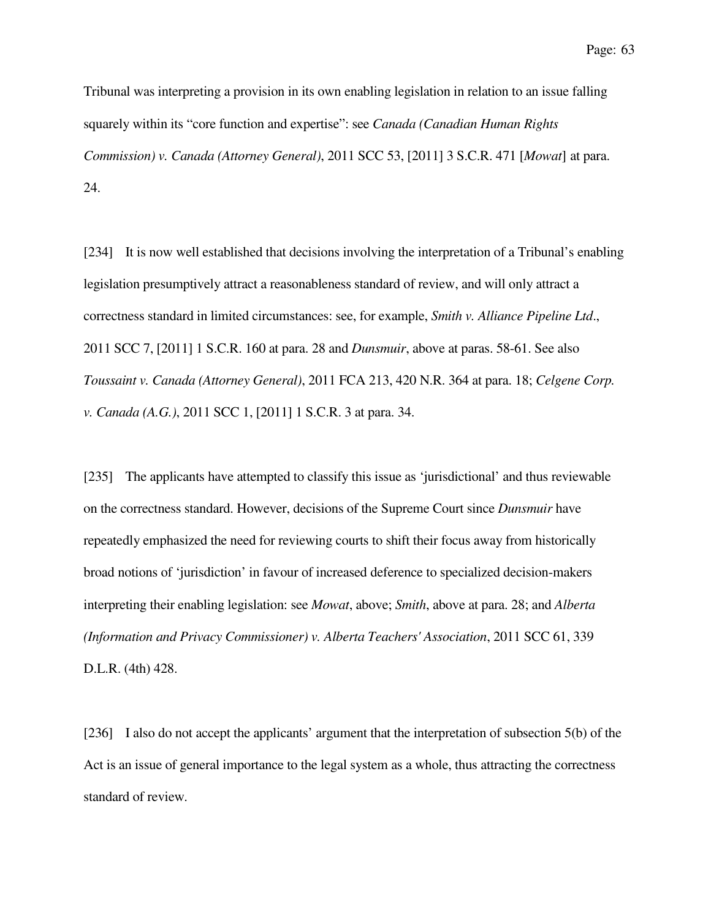Tribunal was interpreting a provision in its own enabling legislation in relation to an issue falling squarely within its "core function and expertise": see *Canada (Canadian Human Rights Commission) v. Canada (Attorney General)*, 2011 SCC 53, [2011] 3 S.C.R. 471 [*Mowat*] at para. 24.

[234] It is now well established that decisions involving the interpretation of a Tribunal's enabling legislation presumptively attract a reasonableness standard of review, and will only attract a correctness standard in limited circumstances: see, for example, *Smith v. Alliance Pipeline Ltd*., 2011 SCC 7, [2011] 1 S.C.R. 160 at para. 28 and *Dunsmuir*, above at paras. 58-61. See also *Toussaint v. Canada (Attorney General)*, 2011 FCA 213, 420 N.R. 364 at para. 18; *Celgene Corp. v. Canada (A.G.)*, 2011 SCC 1, [2011] 1 S.C.R. 3 at para. 34.

[235] The applicants have attempted to classify this issue as 'jurisdictional' and thus reviewable on the correctness standard. However, decisions of the Supreme Court since *Dunsmuir* have repeatedly emphasized the need for reviewing courts to shift their focus away from historically broad notions of 'jurisdiction' in favour of increased deference to specialized decision-makers interpreting their enabling legislation: see *Mowat*, above; *Smith*, above at para. 28; and *Alberta (Information and Privacy Commissioner) v. Alberta Teachers' Association*, 2011 SCC 61, 339 D.L.R. (4th) 428.

[236] I also do not accept the applicants' argument that the interpretation of subsection 5(b) of the Act is an issue of general importance to the legal system as a whole, thus attracting the correctness standard of review.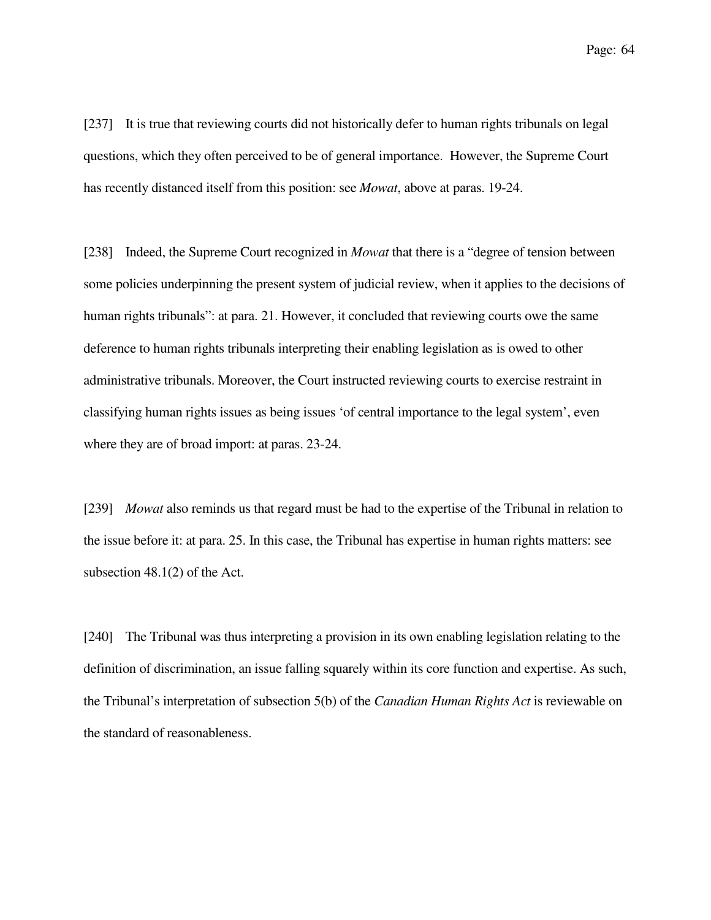Page: 64

[237] It is true that reviewing courts did not historically defer to human rights tribunals on legal questions, which they often perceived to be of general importance. However, the Supreme Court has recently distanced itself from this position: see *Mowat*, above at paras. 19-24.

[238] Indeed, the Supreme Court recognized in *Mowat* that there is a "degree of tension between some policies underpinning the present system of judicial review, when it applies to the decisions of human rights tribunals": at para. 21. However, it concluded that reviewing courts owe the same deference to human rights tribunals interpreting their enabling legislation as is owed to other administrative tribunals. Moreover, the Court instructed reviewing courts to exercise restraint in classifying human rights issues as being issues 'of central importance to the legal system', even where they are of broad import: at paras. 23-24.

[239] *Mowat* also reminds us that regard must be had to the expertise of the Tribunal in relation to the issue before it: at para. 25. In this case, the Tribunal has expertise in human rights matters: see subsection 48.1(2) of the Act.

[240] The Tribunal was thus interpreting a provision in its own enabling legislation relating to the definition of discrimination, an issue falling squarely within its core function and expertise. As such, the Tribunal's interpretation of subsection 5(b) of the *Canadian Human Rights Act* is reviewable on the standard of reasonableness.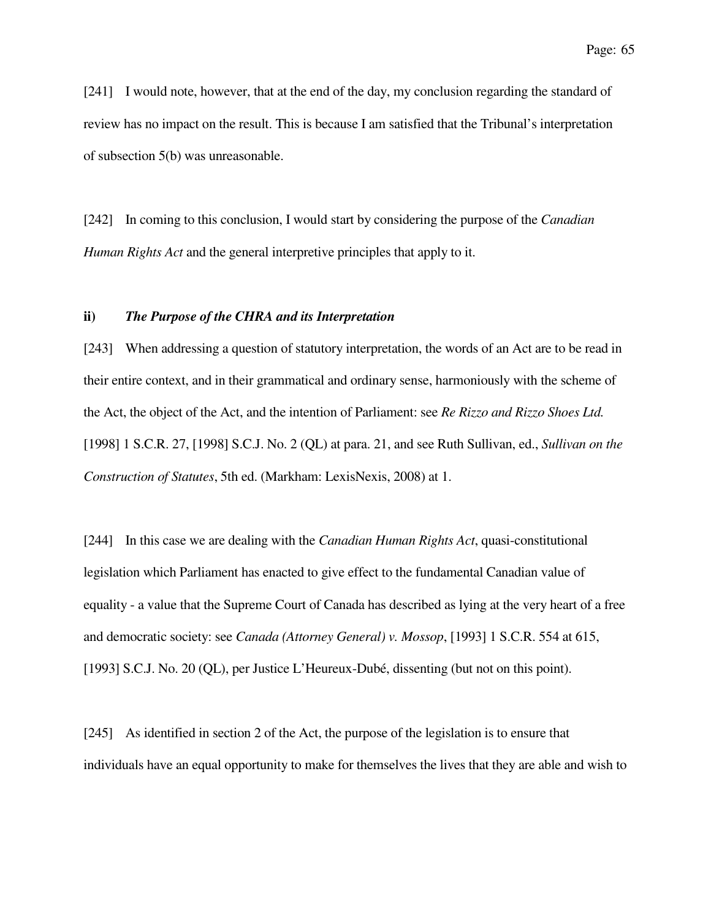[241] I would note, however, that at the end of the day, my conclusion regarding the standard of review has no impact on the result. This is because I am satisfied that the Tribunal's interpretation of subsection 5(b) was unreasonable.

[242] In coming to this conclusion, I would start by considering the purpose of the *Canadian Human Rights Act* and the general interpretive principles that apply to it.

## **ii)** *The Purpose of the CHRA and its Interpretation*

[243] When addressing a question of statutory interpretation, the words of an Act are to be read in their entire context, and in their grammatical and ordinary sense, harmoniously with the scheme of the Act, the object of the Act, and the intention of Parliament: see *Re Rizzo and Rizzo Shoes Ltd.* [1998] 1 S.C.R. 27, [1998] S.C.J. No. 2 (QL) at para. 21, and see Ruth Sullivan, ed., *Sullivan on the Construction of Statutes*, 5th ed. (Markham: LexisNexis, 2008) at 1.

[244] In this case we are dealing with the *Canadian Human Rights Act*, quasi-constitutional legislation which Parliament has enacted to give effect to the fundamental Canadian value of equality - a value that the Supreme Court of Canada has described as lying at the very heart of a free and democratic society: see *Canada (Attorney General) v. Mossop*, [1993] 1 S.C.R. 554 at 615, [1993] S.C.J. No. 20 (QL), per Justice L'Heureux-Dubé, dissenting (but not on this point).

[245] As identified in section 2 of the Act, the purpose of the legislation is to ensure that individuals have an equal opportunity to make for themselves the lives that they are able and wish to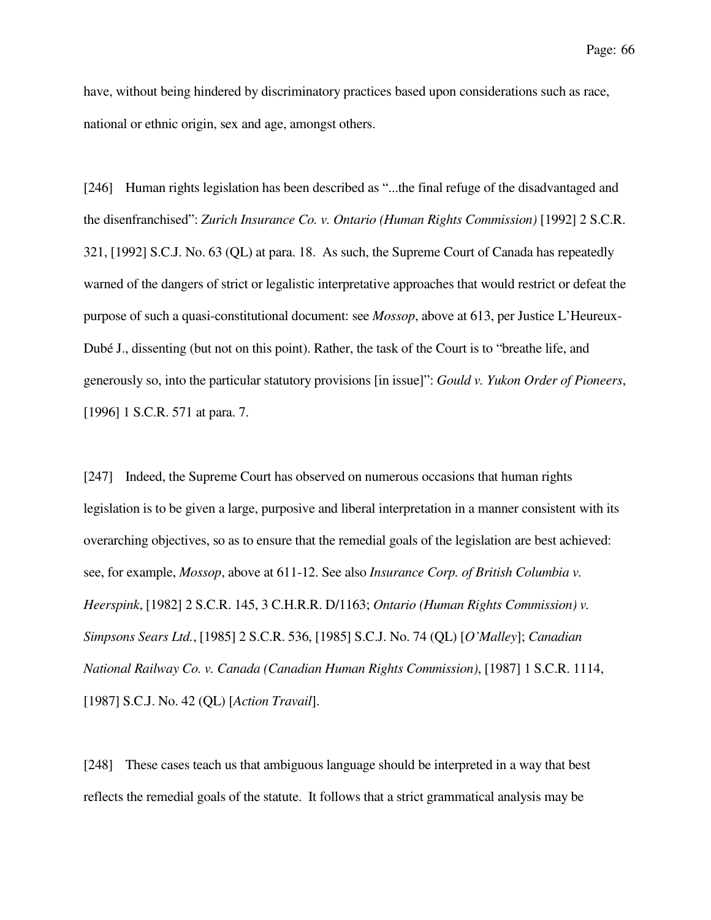have, without being hindered by discriminatory practices based upon considerations such as race, national or ethnic origin, sex and age, amongst others.

[246] Human rights legislation has been described as "...the final refuge of the disadvantaged and the disenfranchised": *Zurich Insurance Co. v. Ontario (Human Rights Commission)* [1992] 2 S.C.R. 321, [1992] S.C.J. No. 63 (QL) at para. 18. As such, the Supreme Court of Canada has repeatedly warned of the dangers of strict or legalistic interpretative approaches that would restrict or defeat the purpose of such a quasi-constitutional document: see *Mossop*, above at 613, per Justice L'Heureux-Dubé J., dissenting (but not on this point). Rather, the task of the Court is to "breathe life, and generously so, into the particular statutory provisions [in issue]": *Gould v. Yukon Order of Pioneers*, [1996] 1 S.C.R. 571 at para. 7.

[247] Indeed, the Supreme Court has observed on numerous occasions that human rights legislation is to be given a large, purposive and liberal interpretation in a manner consistent with its overarching objectives, so as to ensure that the remedial goals of the legislation are best achieved: see, for example, *Mossop*, above at 611-12. See also *Insurance Corp. of British Columbia v. Heerspink*, [1982] 2 S.C.R. 145, 3 C.H.R.R. D/1163; *Ontario (Human Rights Commission) v. Simpsons Sears Ltd.*, [1985] 2 S.C.R. 536, [1985] S.C.J. No. 74 (QL) [*O'Malley*]; *Canadian National Railway Co. v. Canada (Canadian Human Rights Commission)*, [1987] 1 S.C.R. 1114, [1987] S.C.J. No. 42 (QL) [*Action Travail*].

[248] These cases teach us that ambiguous language should be interpreted in a way that best reflects the remedial goals of the statute. It follows that a strict grammatical analysis may be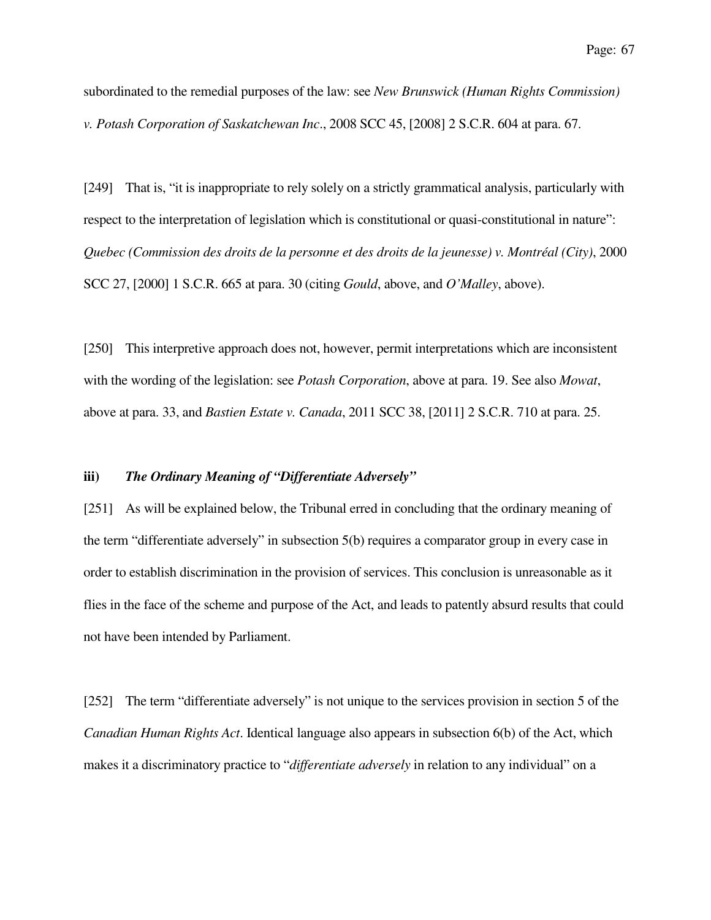subordinated to the remedial purposes of the law: see *New Brunswick (Human Rights Commission) v. Potash Corporation of Saskatchewan Inc*., 2008 SCC 45, [2008] 2 S.C.R. 604 at para. 67.

[249] That is, "it is inappropriate to rely solely on a strictly grammatical analysis, particularly with respect to the interpretation of legislation which is constitutional or quasi-constitutional in nature": *Quebec (Commission des droits de la personne et des droits de la jeunesse) v. Montréal (City)*, 2000 SCC 27, [2000] 1 S.C.R. 665 at para. 30 (citing *Gould*, above, and *O'Malley*, above).

[250] This interpretive approach does not, however, permit interpretations which are inconsistent with the wording of the legislation: see *Potash Corporation*, above at para. 19. See also *Mowat*, above at para. 33, and *Bastien Estate v. Canada*, 2011 SCC 38, [2011] 2 S.C.R. 710 at para. 25.

### **iii)** *The Ordinary Meaning of "Differentiate Adversely"*

[251] As will be explained below, the Tribunal erred in concluding that the ordinary meaning of the term "differentiate adversely" in subsection 5(b) requires a comparator group in every case in order to establish discrimination in the provision of services. This conclusion is unreasonable as it flies in the face of the scheme and purpose of the Act, and leads to patently absurd results that could not have been intended by Parliament.

[252] The term "differentiate adversely" is not unique to the services provision in section 5 of the *Canadian Human Rights Act*. Identical language also appears in subsection 6(b) of the Act, which makes it a discriminatory practice to "*differentiate adversely* in relation to any individual" on a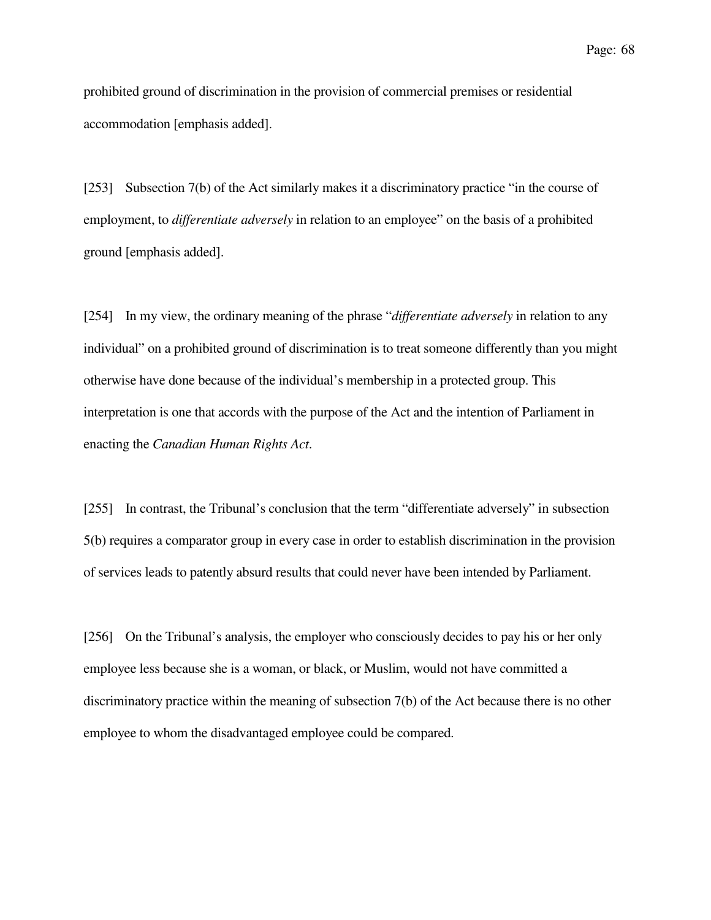prohibited ground of discrimination in the provision of commercial premises or residential accommodation [emphasis added].

[253] Subsection 7(b) of the Act similarly makes it a discriminatory practice "in the course of employment, to *differentiate adversely* in relation to an employee" on the basis of a prohibited ground [emphasis added].

[254] In my view, the ordinary meaning of the phrase "*differentiate adversely* in relation to any individual" on a prohibited ground of discrimination is to treat someone differently than you might otherwise have done because of the individual's membership in a protected group. This interpretation is one that accords with the purpose of the Act and the intention of Parliament in enacting the *Canadian Human Rights Act*.

[255] In contrast, the Tribunal's conclusion that the term "differentiate adversely" in subsection 5(b) requires a comparator group in every case in order to establish discrimination in the provision of services leads to patently absurd results that could never have been intended by Parliament.

[256] On the Tribunal's analysis, the employer who consciously decides to pay his or her only employee less because she is a woman, or black, or Muslim, would not have committed a discriminatory practice within the meaning of subsection 7(b) of the Act because there is no other employee to whom the disadvantaged employee could be compared.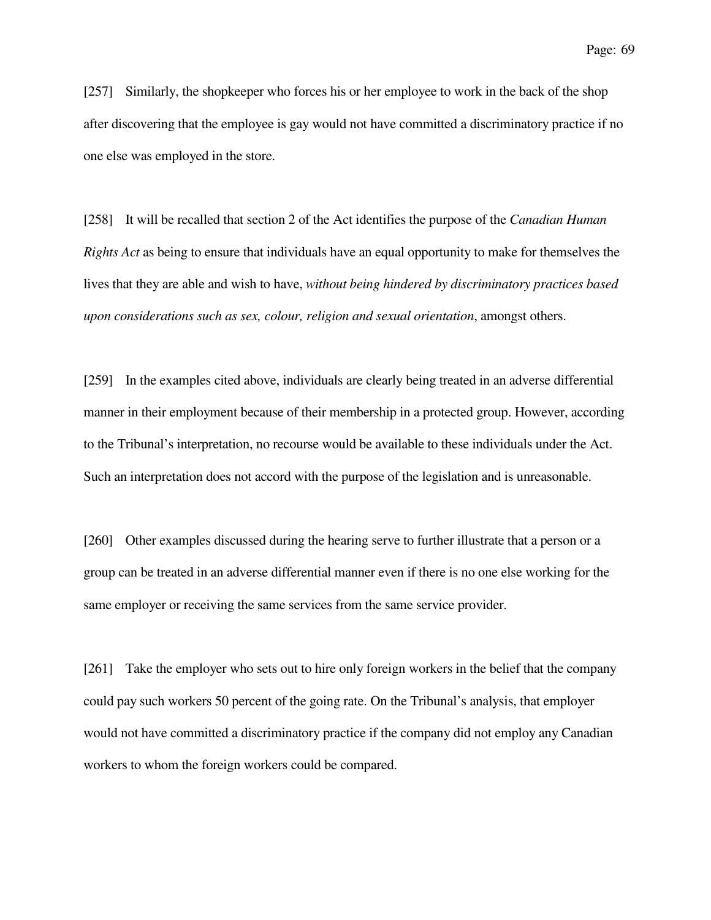[257] Similarly, the shopkeeper who forces his or her employee to work in the back of the shop after discovering that the employee is gay would not have committed a discriminatory practice if no one else was employed in the store.

[258] It will be recalled that section 2 of the Act identifies the purpose of the *Canadian Human Rights Act* as being to ensure that individuals have an equal opportunity to make for themselves the lives that they are able and wish to have, *without being hindered by discriminatory practices based upon considerations such as sex, colour, religion and sexual orientation*, amongst others.

[259] In the examples cited above, individuals are clearly being treated in an adverse differential manner in their employment because of their membership in a protected group. However, according to the Tribunal's interpretation, no recourse would be available to these individuals under the Act. Such an interpretation does not accord with the purpose of the legislation and is unreasonable.

[260] Other examples discussed during the hearing serve to further illustrate that a person or a group can be treated in an adverse differential manner even if there is no one else working for the same employer or receiving the same services from the same service provider.

[261] Take the employer who sets out to hire only foreign workers in the belief that the company could pay such workers 50 percent of the going rate. On the Tribunal's analysis, that employer would not have committed a discriminatory practice if the company did not employ any Canadian workers to whom the foreign workers could be compared.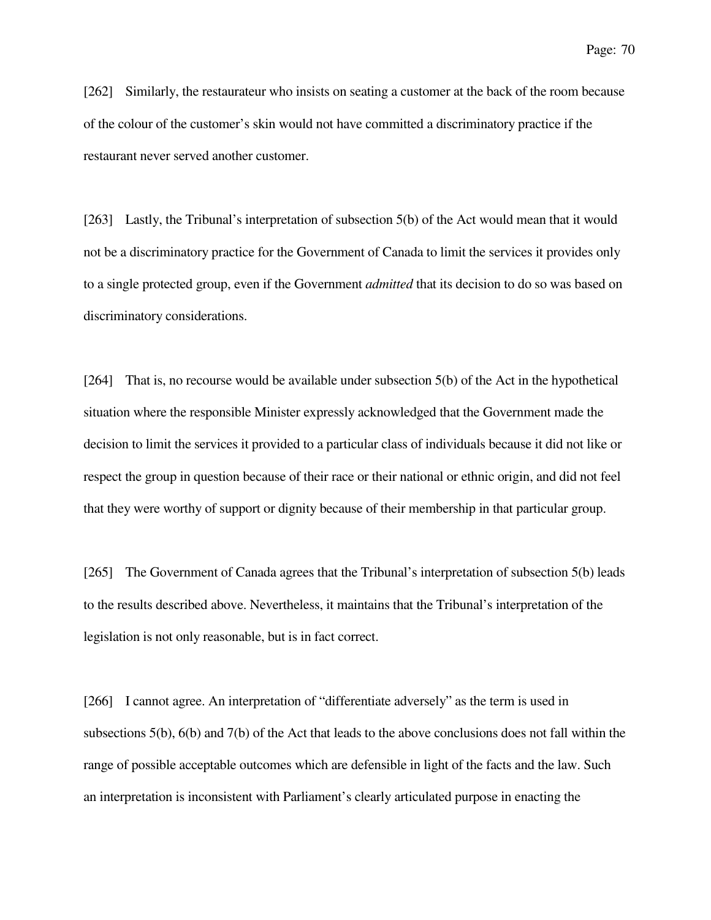[262] Similarly, the restaurateur who insists on seating a customer at the back of the room because of the colour of the customer's skin would not have committed a discriminatory practice if the restaurant never served another customer.

[263] Lastly, the Tribunal's interpretation of subsection 5(b) of the Act would mean that it would not be a discriminatory practice for the Government of Canada to limit the services it provides only to a single protected group, even if the Government *admitted* that its decision to do so was based on discriminatory considerations.

[264] That is, no recourse would be available under subsection 5(b) of the Act in the hypothetical situation where the responsible Minister expressly acknowledged that the Government made the decision to limit the services it provided to a particular class of individuals because it did not like or respect the group in question because of their race or their national or ethnic origin, and did not feel that they were worthy of support or dignity because of their membership in that particular group.

[265] The Government of Canada agrees that the Tribunal's interpretation of subsection 5(b) leads to the results described above. Nevertheless, it maintains that the Tribunal's interpretation of the legislation is not only reasonable, but is in fact correct.

[266] I cannot agree. An interpretation of "differentiate adversely" as the term is used in subsections 5(b), 6(b) and 7(b) of the Act that leads to the above conclusions does not fall within the range of possible acceptable outcomes which are defensible in light of the facts and the law. Such an interpretation is inconsistent with Parliament's clearly articulated purpose in enacting the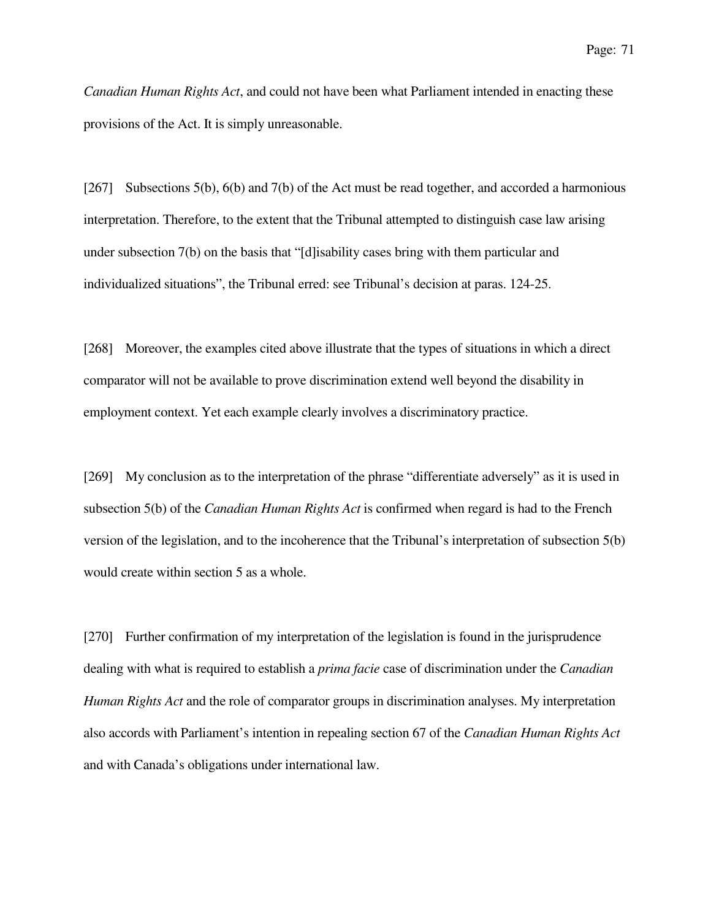*Canadian Human Rights Act*, and could not have been what Parliament intended in enacting these provisions of the Act. It is simply unreasonable.

[267] Subsections 5(b), 6(b) and 7(b) of the Act must be read together, and accorded a harmonious interpretation. Therefore, to the extent that the Tribunal attempted to distinguish case law arising under subsection 7(b) on the basis that "[d]isability cases bring with them particular and individualized situations", the Tribunal erred: see Tribunal's decision at paras. 124-25.

[268] Moreover, the examples cited above illustrate that the types of situations in which a direct comparator will not be available to prove discrimination extend well beyond the disability in employment context. Yet each example clearly involves a discriminatory practice.

[269] My conclusion as to the interpretation of the phrase "differentiate adversely" as it is used in subsection 5(b) of the *Canadian Human Rights Act* is confirmed when regard is had to the French version of the legislation, and to the incoherence that the Tribunal's interpretation of subsection 5(b) would create within section 5 as a whole.

[270] Further confirmation of my interpretation of the legislation is found in the jurisprudence dealing with what is required to establish a *prima facie* case of discrimination under the *Canadian Human Rights Act* and the role of comparator groups in discrimination analyses. My interpretation also accords with Parliament's intention in repealing section 67 of the *Canadian Human Rights Act* and with Canada's obligations under international law.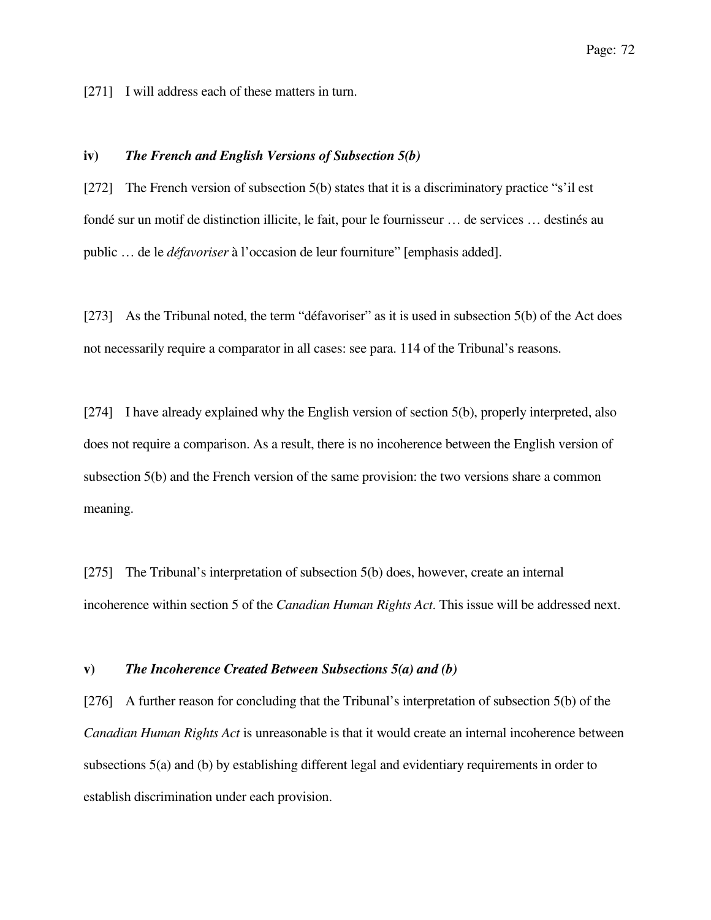[271] I will address each of these matters in turn.

# **iv)** *The French and English Versions of Subsection 5(b)*

[272] The French version of subsection 5(b) states that it is a discriminatory practice "s'il est fondé sur un motif de distinction illicite, le fait, pour le fournisseur … de services … destinés au public … de le *défavoriser* à l'occasion de leur fourniture" [emphasis added].

[273] As the Tribunal noted, the term "défavoriser" as it is used in subsection 5(b) of the Act does not necessarily require a comparator in all cases: see para. 114 of the Tribunal's reasons.

[274] I have already explained why the English version of section 5(b), properly interpreted, also does not require a comparison. As a result, there is no incoherence between the English version of subsection 5(b) and the French version of the same provision: the two versions share a common meaning.

[275] The Tribunal's interpretation of subsection 5(b) does, however, create an internal incoherence within section 5 of the *Canadian Human Rights Act*. This issue will be addressed next.

#### **v)** *The Incoherence Created Between Subsections 5(a) and (b)*

[276] A further reason for concluding that the Tribunal's interpretation of subsection 5(b) of the *Canadian Human Rights Act* is unreasonable is that it would create an internal incoherence between subsections 5(a) and (b) by establishing different legal and evidentiary requirements in order to establish discrimination under each provision.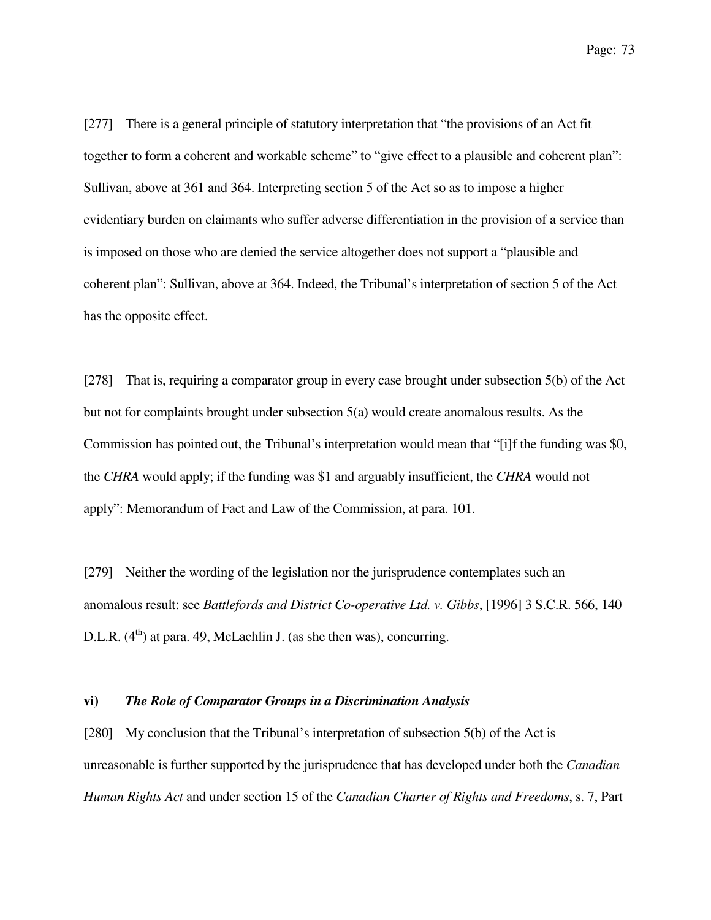[277] There is a general principle of statutory interpretation that "the provisions of an Act fit together to form a coherent and workable scheme" to "give effect to a plausible and coherent plan": Sullivan, above at 361 and 364. Interpreting section 5 of the Act so as to impose a higher evidentiary burden on claimants who suffer adverse differentiation in the provision of a service than is imposed on those who are denied the service altogether does not support a "plausible and coherent plan": Sullivan, above at 364. Indeed, the Tribunal's interpretation of section 5 of the Act has the opposite effect.

[278] That is, requiring a comparator group in every case brought under subsection 5(b) of the Act but not for complaints brought under subsection 5(a) would create anomalous results. As the Commission has pointed out, the Tribunal's interpretation would mean that "[i]f the funding was \$0, the *CHRA* would apply; if the funding was \$1 and arguably insufficient, the *CHRA* would not apply": Memorandum of Fact and Law of the Commission, at para. 101.

[279] Neither the wording of the legislation nor the jurisprudence contemplates such an anomalous result: see *Battlefords and District Co-operative Ltd. v. Gibbs*, [1996] 3 S.C.R. 566, 140 D.L.R.  $(4^{th})$  at para. 49, McLachlin J. (as she then was), concurring.

### **vi)** *The Role of Comparator Groups in a Discrimination Analysis*

[280] My conclusion that the Tribunal's interpretation of subsection 5(b) of the Act is unreasonable is further supported by the jurisprudence that has developed under both the *Canadian Human Rights Act* and under section 15 of the *Canadian Charter of Rights and Freedoms*, s. 7, Part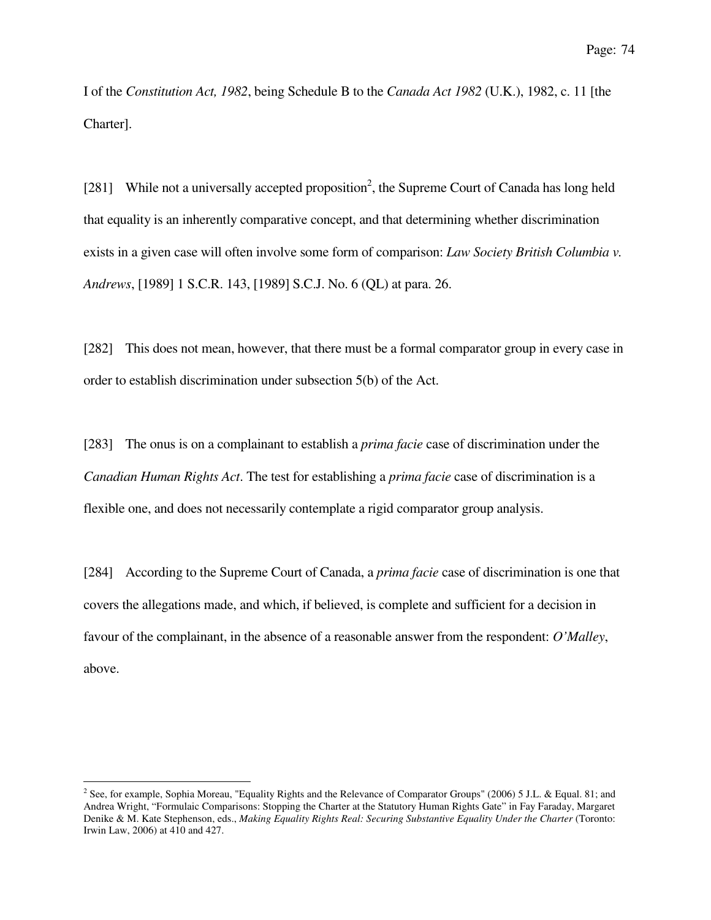I of the *Constitution Act, 1982*, being Schedule B to the *Canada Act 1982* (U.K.), 1982, c. 11 [the Charter].

[281] While not a universally accepted proposition<sup>2</sup>, the Supreme Court of Canada has long held that equality is an inherently comparative concept, and that determining whether discrimination exists in a given case will often involve some form of comparison: *Law Society British Columbia v. Andrews*, [1989] 1 S.C.R. 143, [1989] S.C.J. No. 6 (QL) at para. 26.

[282] This does not mean, however, that there must be a formal comparator group in every case in order to establish discrimination under subsection 5(b) of the Act.

[283] The onus is on a complainant to establish a *prima facie* case of discrimination under the *Canadian Human Rights Act*. The test for establishing a *prima facie* case of discrimination is a flexible one, and does not necessarily contemplate a rigid comparator group analysis.

[284] According to the Supreme Court of Canada, a *prima facie* case of discrimination is one that covers the allegations made, and which, if believed, is complete and sufficient for a decision in favour of the complainant, in the absence of a reasonable answer from the respondent: *O'Malley*, above.

l<br>L

 $2^2$  See, for example, Sophia Moreau, "Equality Rights and the Relevance of Comparator Groups" (2006) 5 J.L. & Equal. 81; and Andrea Wright, "Formulaic Comparisons: Stopping the Charter at the Statutory Human Rights Gate" in Fay Faraday, Margaret Denike & M. Kate Stephenson, eds., *Making Equality Rights Real: Securing Substantive Equality Under the Charter* (Toronto: Irwin Law, 2006) at 410 and 427.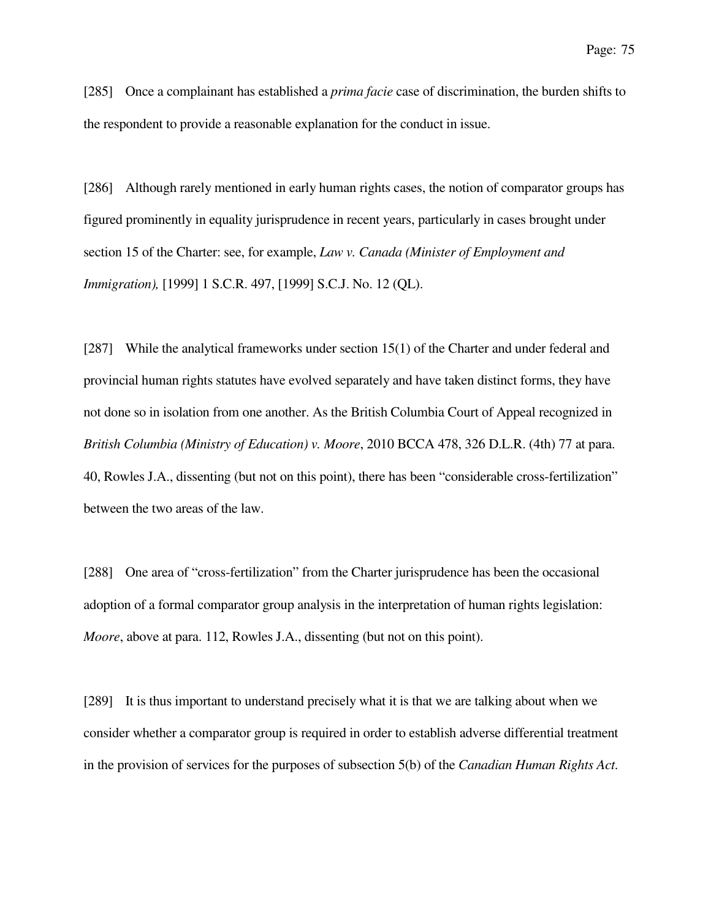[285] Once a complainant has established a *prima facie* case of discrimination, the burden shifts to the respondent to provide a reasonable explanation for the conduct in issue.

[286] Although rarely mentioned in early human rights cases, the notion of comparator groups has figured prominently in equality jurisprudence in recent years, particularly in cases brought under section 15 of the Charter: see, for example, *Law v. Canada (Minister of Employment and Immigration),* [1999] 1 S.C.R. 497, [1999] S.C.J. No. 12 (QL).

[287] While the analytical frameworks under section 15(1) of the Charter and under federal and provincial human rights statutes have evolved separately and have taken distinct forms, they have not done so in isolation from one another. As the British Columbia Court of Appeal recognized in *British Columbia (Ministry of Education) v. Moore*, 2010 BCCA 478, 326 D.L.R. (4th) 77 at para. 40, Rowles J.A., dissenting (but not on this point), there has been "considerable cross-fertilization" between the two areas of the law.

[288] One area of "cross-fertilization" from the Charter jurisprudence has been the occasional adoption of a formal comparator group analysis in the interpretation of human rights legislation: *Moore*, above at para. 112, Rowles J.A., dissenting (but not on this point).

[289] It is thus important to understand precisely what it is that we are talking about when we consider whether a comparator group is required in order to establish adverse differential treatment in the provision of services for the purposes of subsection 5(b) of the *Canadian Human Rights Act*.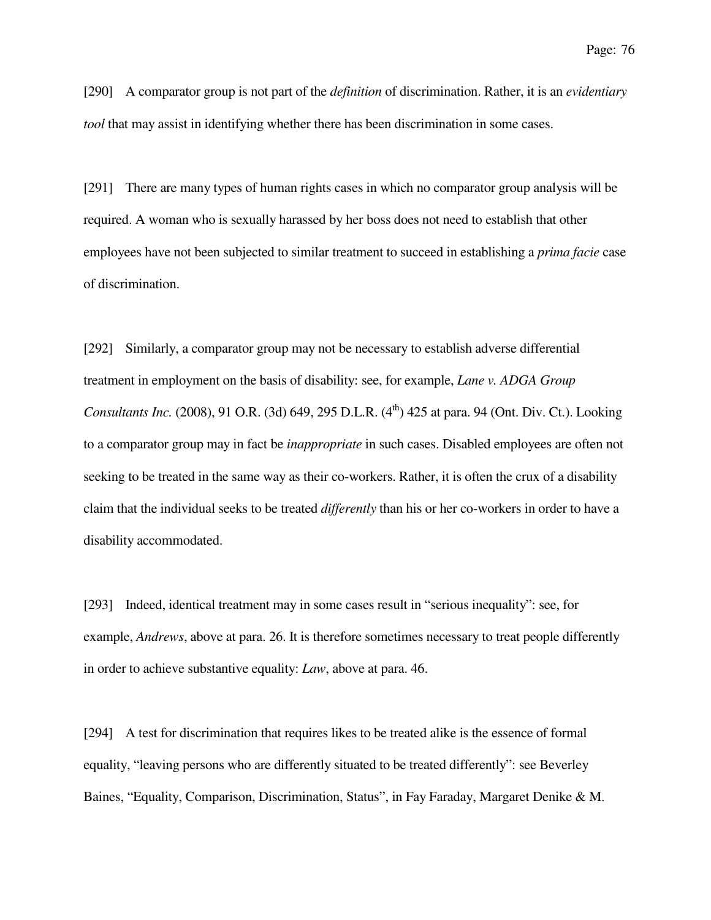[290] A comparator group is not part of the *definition* of discrimination. Rather, it is an *evidentiary tool* that may assist in identifying whether there has been discrimination in some cases.

[291] There are many types of human rights cases in which no comparator group analysis will be required. A woman who is sexually harassed by her boss does not need to establish that other employees have not been subjected to similar treatment to succeed in establishing a *prima facie* case of discrimination.

[292] Similarly, a comparator group may not be necessary to establish adverse differential treatment in employment on the basis of disability: see, for example, *Lane v. ADGA Group Consultants Inc.* (2008), 91 O.R. (3d) 649, 295 D.L.R. (4<sup>th</sup>) 425 at para. 94 (Ont. Div. Ct.). Looking to a comparator group may in fact be *inappropriate* in such cases. Disabled employees are often not seeking to be treated in the same way as their co-workers. Rather, it is often the crux of a disability claim that the individual seeks to be treated *differently* than his or her co-workers in order to have a disability accommodated.

[293] Indeed, identical treatment may in some cases result in "serious inequality": see, for example, *Andrews*, above at para. 26. It is therefore sometimes necessary to treat people differently in order to achieve substantive equality: *Law*, above at para. 46.

[294] A test for discrimination that requires likes to be treated alike is the essence of formal equality, "leaving persons who are differently situated to be treated differently": see Beverley Baines, "Equality, Comparison, Discrimination, Status", in Fay Faraday, Margaret Denike & M.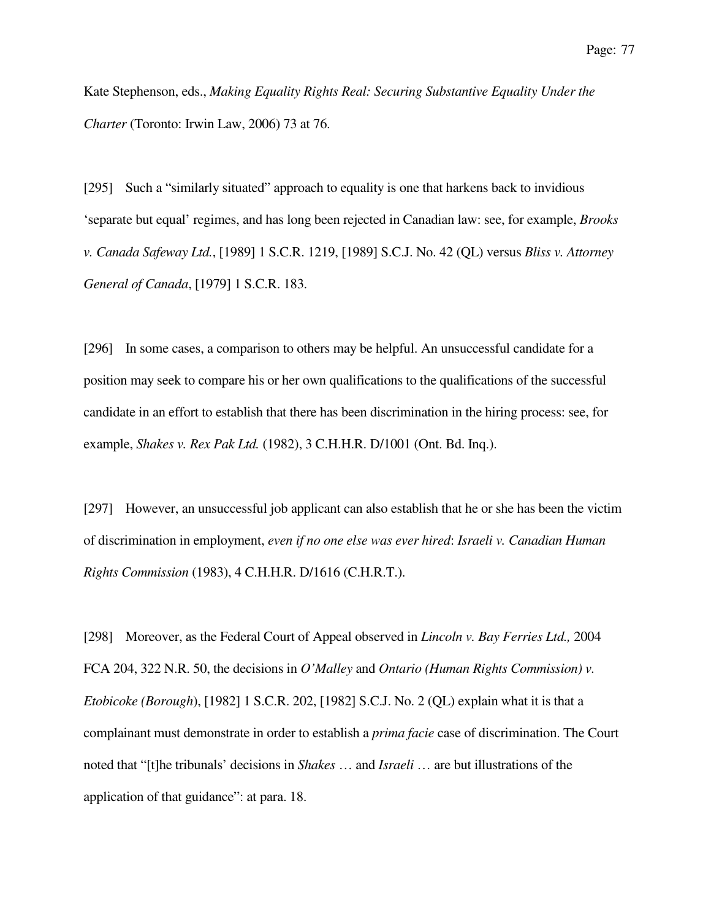Kate Stephenson, eds., *Making Equality Rights Real: Securing Substantive Equality Under the Charter* (Toronto: Irwin Law, 2006) 73 at 76.

[295] Such a "similarly situated" approach to equality is one that harkens back to invidious 'separate but equal' regimes, and has long been rejected in Canadian law: see, for example, *Brooks v. Canada Safeway Ltd.*, [1989] 1 S.C.R. 1219, [1989] S.C.J. No. 42 (QL) versus *Bliss v. Attorney General of Canada*, [1979] 1 S.C.R. 183.

[296] In some cases, a comparison to others may be helpful. An unsuccessful candidate for a position may seek to compare his or her own qualifications to the qualifications of the successful candidate in an effort to establish that there has been discrimination in the hiring process: see, for example, *Shakes v. Rex Pak Ltd.* (1982), 3 C.H.H.R. D/1001 (Ont. Bd. Inq.).

[297] However, an unsuccessful job applicant can also establish that he or she has been the victim of discrimination in employment, *even if no one else was ever hired*: *Israeli v. Canadian Human Rights Commission* (1983), 4 C.H.H.R. D/1616 (C.H.R.T.).

[298] Moreover, as the Federal Court of Appeal observed in *Lincoln v. Bay Ferries Ltd.,* 2004 FCA 204, 322 N.R. 50, the decisions in *O'Malley* and *Ontario (Human Rights Commission) v. Etobicoke (Borough*), [1982] 1 S.C.R. 202, [1982] S.C.J. No. 2 (QL) explain what it is that a complainant must demonstrate in order to establish a *prima facie* case of discrimination. The Court noted that "[t]he tribunals' decisions in *Shakes* … and *Israeli* … are but illustrations of the application of that guidance": at para. 18.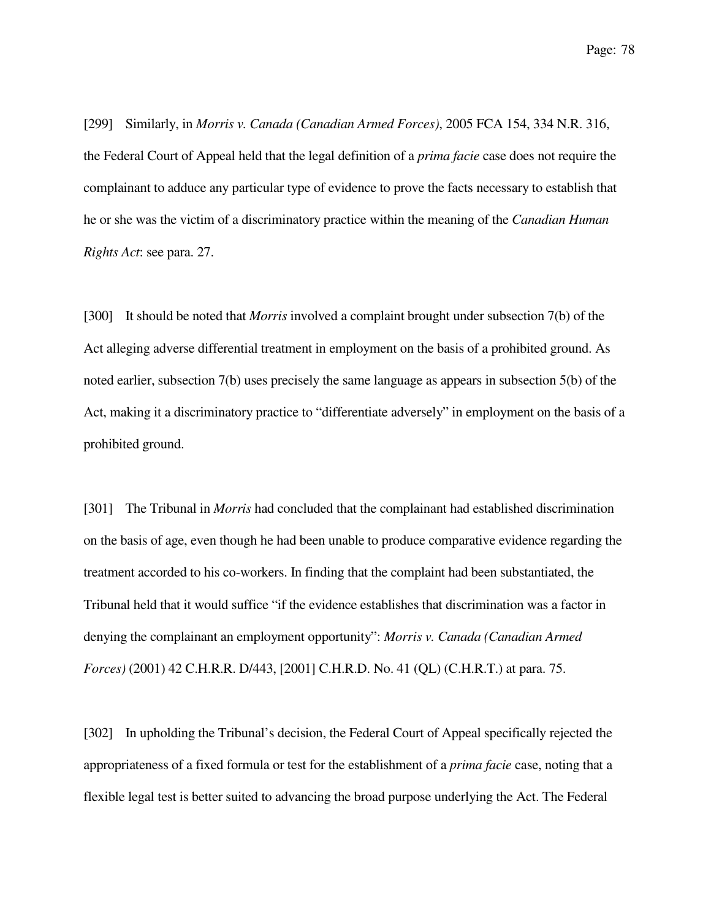[299] Similarly, in *Morris v. Canada (Canadian Armed Forces)*, 2005 FCA 154, 334 N.R. 316, the Federal Court of Appeal held that the legal definition of a *prima facie* case does not require the complainant to adduce any particular type of evidence to prove the facts necessary to establish that he or she was the victim of a discriminatory practice within the meaning of the *Canadian Human Rights Act*: see para. 27.

[300] It should be noted that *Morris* involved a complaint brought under subsection 7(b) of the Act alleging adverse differential treatment in employment on the basis of a prohibited ground. As noted earlier, subsection 7(b) uses precisely the same language as appears in subsection 5(b) of the Act, making it a discriminatory practice to "differentiate adversely" in employment on the basis of a prohibited ground.

[301] The Tribunal in *Morris* had concluded that the complainant had established discrimination on the basis of age, even though he had been unable to produce comparative evidence regarding the treatment accorded to his co-workers. In finding that the complaint had been substantiated, the Tribunal held that it would suffice "if the evidence establishes that discrimination was a factor in denying the complainant an employment opportunity": *Morris v. Canada (Canadian Armed Forces)* (2001) 42 C.H.R.R. D/443, [2001] C.H.R.D. No. 41 (QL) (C.H.R.T.) at para. 75.

[302] In upholding the Tribunal's decision, the Federal Court of Appeal specifically rejected the appropriateness of a fixed formula or test for the establishment of a *prima facie* case, noting that a flexible legal test is better suited to advancing the broad purpose underlying the Act. The Federal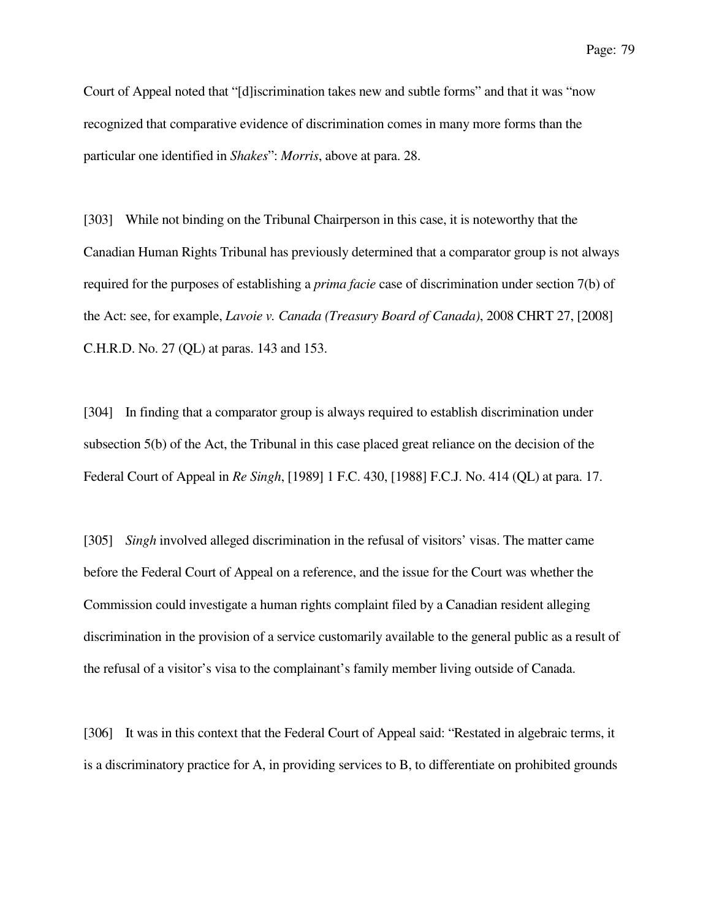Court of Appeal noted that "[d]iscrimination takes new and subtle forms" and that it was "now recognized that comparative evidence of discrimination comes in many more forms than the particular one identified in *Shakes*": *Morris*, above at para. 28.

[303] While not binding on the Tribunal Chairperson in this case, it is noteworthy that the Canadian Human Rights Tribunal has previously determined that a comparator group is not always required for the purposes of establishing a *prima facie* case of discrimination under section 7(b) of the Act: see, for example, *Lavoie v. Canada (Treasury Board of Canada)*, 2008 CHRT 27, [2008] C.H.R.D. No. 27 (QL) at paras. 143 and 153.

[304] In finding that a comparator group is always required to establish discrimination under subsection 5(b) of the Act, the Tribunal in this case placed great reliance on the decision of the Federal Court of Appeal in *Re Singh*, [1989] 1 F.C. 430, [1988] F.C.J. No. 414 (QL) at para. 17.

[305] *Singh* involved alleged discrimination in the refusal of visitors' visas. The matter came before the Federal Court of Appeal on a reference, and the issue for the Court was whether the Commission could investigate a human rights complaint filed by a Canadian resident alleging discrimination in the provision of a service customarily available to the general public as a result of the refusal of a visitor's visa to the complainant's family member living outside of Canada.

[306] It was in this context that the Federal Court of Appeal said: "Restated in algebraic terms, it is a discriminatory practice for A, in providing services to B, to differentiate on prohibited grounds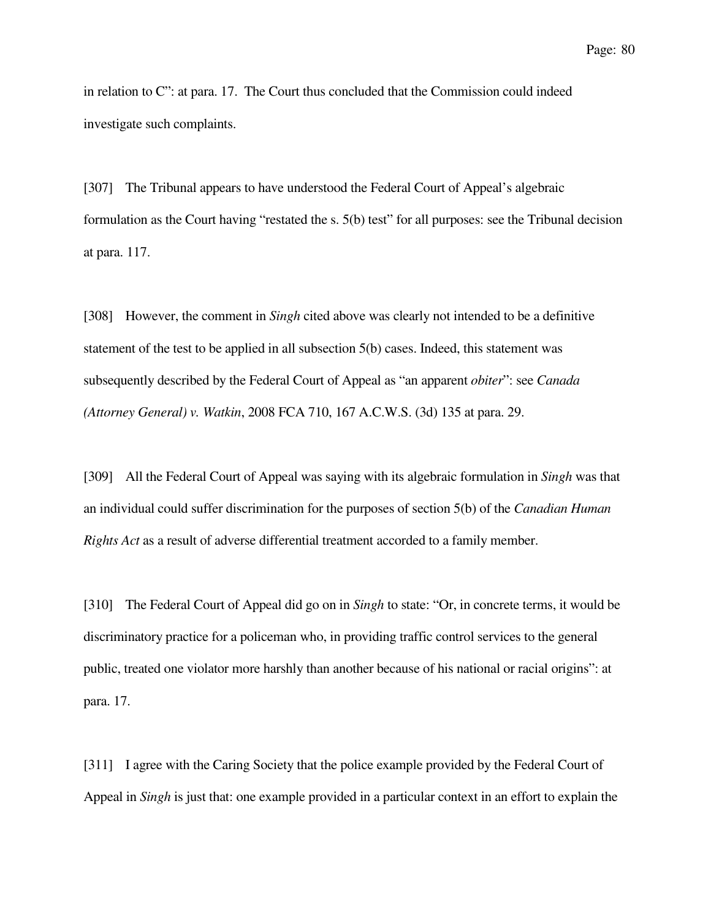in relation to C": at para. 17. The Court thus concluded that the Commission could indeed investigate such complaints.

[307] The Tribunal appears to have understood the Federal Court of Appeal's algebraic formulation as the Court having "restated the s. 5(b) test" for all purposes: see the Tribunal decision at para. 117.

[308] However, the comment in *Singh* cited above was clearly not intended to be a definitive statement of the test to be applied in all subsection 5(b) cases. Indeed, this statement was subsequently described by the Federal Court of Appeal as "an apparent *obiter*": see *Canada (Attorney General) v. Watkin*, 2008 FCA 710, 167 A.C.W.S. (3d) 135 at para. 29.

[309] All the Federal Court of Appeal was saying with its algebraic formulation in *Singh* was that an individual could suffer discrimination for the purposes of section 5(b) of the *Canadian Human Rights Act* as a result of adverse differential treatment accorded to a family member.

[310] The Federal Court of Appeal did go on in *Singh* to state: "Or, in concrete terms, it would be discriminatory practice for a policeman who, in providing traffic control services to the general public, treated one violator more harshly than another because of his national or racial origins": at para. 17.

[311] I agree with the Caring Society that the police example provided by the Federal Court of Appeal in *Singh* is just that: one example provided in a particular context in an effort to explain the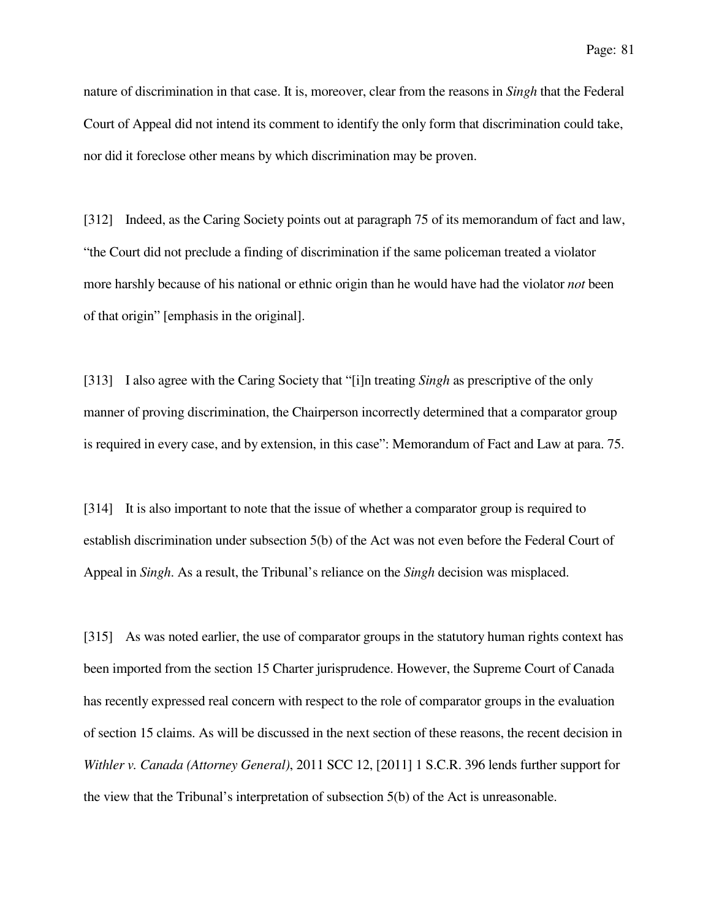nature of discrimination in that case. It is, moreover, clear from the reasons in *Singh* that the Federal Court of Appeal did not intend its comment to identify the only form that discrimination could take, nor did it foreclose other means by which discrimination may be proven.

[312] Indeed, as the Caring Society points out at paragraph 75 of its memorandum of fact and law, "the Court did not preclude a finding of discrimination if the same policeman treated a violator more harshly because of his national or ethnic origin than he would have had the violator *not* been of that origin" [emphasis in the original].

[313] I also agree with the Caring Society that "[i]n treating *Singh* as prescriptive of the only manner of proving discrimination, the Chairperson incorrectly determined that a comparator group is required in every case, and by extension, in this case": Memorandum of Fact and Law at para. 75.

[314] It is also important to note that the issue of whether a comparator group is required to establish discrimination under subsection 5(b) of the Act was not even before the Federal Court of Appeal in *Singh*. As a result, the Tribunal's reliance on the *Singh* decision was misplaced.

[315] As was noted earlier, the use of comparator groups in the statutory human rights context has been imported from the section 15 Charter jurisprudence. However, the Supreme Court of Canada has recently expressed real concern with respect to the role of comparator groups in the evaluation of section 15 claims. As will be discussed in the next section of these reasons, the recent decision in *Withler v. Canada (Attorney General)*, 2011 SCC 12, [2011] 1 S.C.R. 396 lends further support for the view that the Tribunal's interpretation of subsection 5(b) of the Act is unreasonable.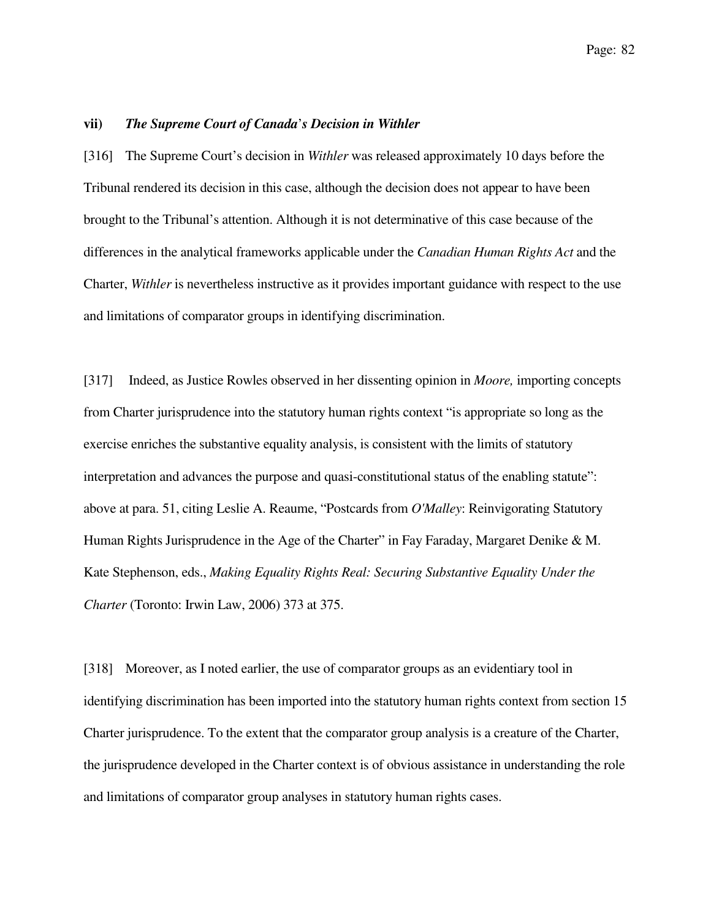#### **vii)** *The Supreme Court of Canada*'*s Decision in Withler*

[316] The Supreme Court's decision in *Withler* was released approximately 10 days before the Tribunal rendered its decision in this case, although the decision does not appear to have been brought to the Tribunal's attention. Although it is not determinative of this case because of the differences in the analytical frameworks applicable under the *Canadian Human Rights Act* and the Charter, *Withler* is nevertheless instructive as it provides important guidance with respect to the use and limitations of comparator groups in identifying discrimination.

[317] Indeed, as Justice Rowles observed in her dissenting opinion in *Moore,* importing concepts from Charter jurisprudence into the statutory human rights context "is appropriate so long as the exercise enriches the substantive equality analysis, is consistent with the limits of statutory interpretation and advances the purpose and quasi-constitutional status of the enabling statute": above at para. 51, citing Leslie A. Reaume, "Postcards from *O'Malley*: Reinvigorating Statutory Human Rights Jurisprudence in the Age of the Charter" in Fay Faraday, Margaret Denike & M. Kate Stephenson, eds., *Making Equality Rights Real: Securing Substantive Equality Under the Charter* (Toronto: Irwin Law, 2006) 373 at 375.

[318] Moreover, as I noted earlier, the use of comparator groups as an evidentiary tool in identifying discrimination has been imported into the statutory human rights context from section 15 Charter jurisprudence. To the extent that the comparator group analysis is a creature of the Charter, the jurisprudence developed in the Charter context is of obvious assistance in understanding the role and limitations of comparator group analyses in statutory human rights cases.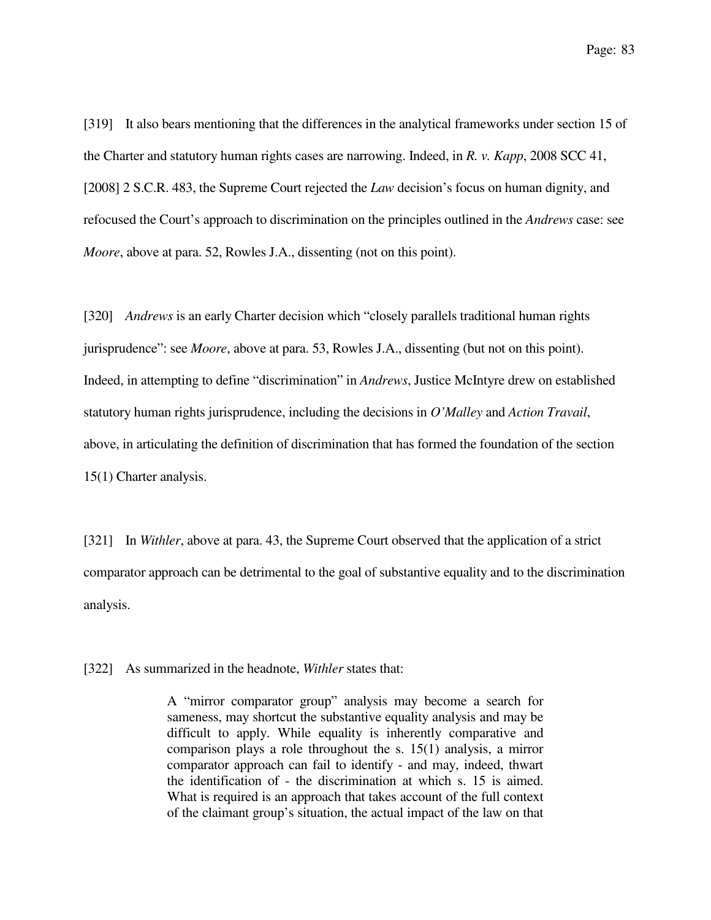[319] It also bears mentioning that the differences in the analytical frameworks under section 15 of the Charter and statutory human rights cases are narrowing. Indeed, in *R. v. Kapp*, 2008 SCC 41, [2008] 2 S.C.R. 483, the Supreme Court rejected the *Law* decision's focus on human dignity, and refocused the Court's approach to discrimination on the principles outlined in the *Andrews* case: see *Moore*, above at para. 52, Rowles J.A., dissenting (not on this point).

[320] *Andrews* is an early Charter decision which "closely parallels traditional human rights jurisprudence": see *Moore*, above at para. 53, Rowles J.A., dissenting (but not on this point). Indeed, in attempting to define "discrimination" in *Andrews*, Justice McIntyre drew on established statutory human rights jurisprudence, including the decisions in *O'Malley* and *Action Travail*, above, in articulating the definition of discrimination that has formed the foundation of the section 15(1) Charter analysis.

[321] In *Withler*, above at para. 43, the Supreme Court observed that the application of a strict comparator approach can be detrimental to the goal of substantive equality and to the discrimination analysis.

[322] As summarized in the headnote, *Withler* states that:

A "mirror comparator group" analysis may become a search for sameness, may shortcut the substantive equality analysis and may be difficult to apply. While equality is inherently comparative and comparison plays a role throughout the s. 15(1) analysis, a mirror comparator approach can fail to identify - and may, indeed, thwart the identification of - the discrimination at which s. 15 is aimed. What is required is an approach that takes account of the full context of the claimant group's situation, the actual impact of the law on that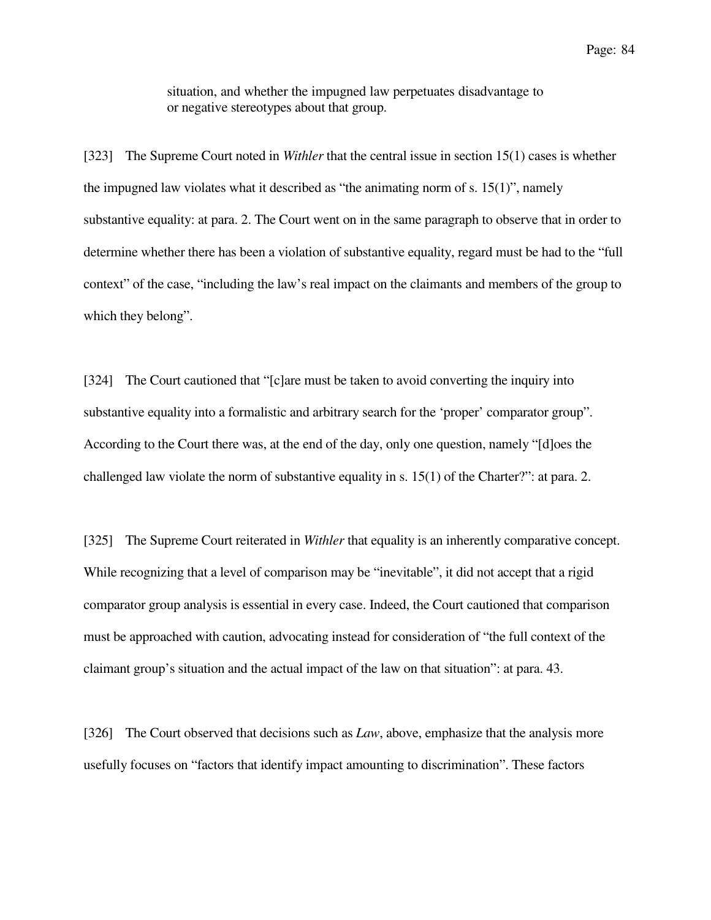situation, and whether the impugned law perpetuates disadvantage to or negative stereotypes about that group.

[323] The Supreme Court noted in *Withler* that the central issue in section 15(1) cases is whether the impugned law violates what it described as "the animating norm of s.  $15(1)$ ", namely substantive equality: at para. 2. The Court went on in the same paragraph to observe that in order to determine whether there has been a violation of substantive equality, regard must be had to the "full context" of the case, "including the law's real impact on the claimants and members of the group to which they belong".

[324] The Court cautioned that "[c]are must be taken to avoid converting the inquiry into substantive equality into a formalistic and arbitrary search for the 'proper' comparator group". According to the Court there was, at the end of the day, only one question, namely "[d]oes the challenged law violate the norm of substantive equality in s. 15(1) of the Charter?": at para. 2.

[325] The Supreme Court reiterated in *Withler* that equality is an inherently comparative concept. While recognizing that a level of comparison may be "inevitable", it did not accept that a rigid comparator group analysis is essential in every case. Indeed, the Court cautioned that comparison must be approached with caution, advocating instead for consideration of "the full context of the claimant group's situation and the actual impact of the law on that situation": at para. 43.

[326] The Court observed that decisions such as *Law*, above, emphasize that the analysis more usefully focuses on "factors that identify impact amounting to discrimination". These factors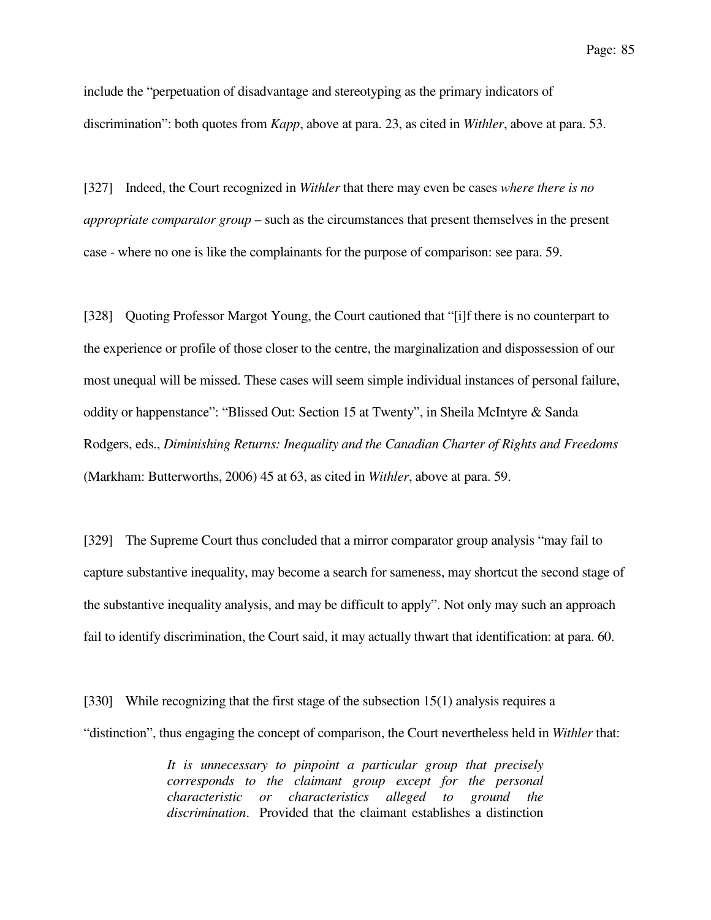include the "perpetuation of disadvantage and stereotyping as the primary indicators of discrimination": both quotes from *Kapp*, above at para. 23, as cited in *Withler*, above at para. 53.

[327] Indeed, the Court recognized in *Withler* that there may even be cases *where there is no appropriate comparator group* – such as the circumstances that present themselves in the present case - where no one is like the complainants for the purpose of comparison: see para. 59.

[328] Quoting Professor Margot Young, the Court cautioned that "[i]f there is no counterpart to the experience or profile of those closer to the centre, the marginalization and dispossession of our most unequal will be missed. These cases will seem simple individual instances of personal failure, oddity or happenstance": "Blissed Out: Section 15 at Twenty", in Sheila McIntyre & Sanda Rodgers, eds., *Diminishing Returns: Inequality and the Canadian Charter of Rights and Freedoms* (Markham: Butterworths, 2006) 45 at 63, as cited in *Withler*, above at para. 59.

[329] The Supreme Court thus concluded that a mirror comparator group analysis "may fail to capture substantive inequality, may become a search for sameness, may shortcut the second stage of the substantive inequality analysis, and may be difficult to apply". Not only may such an approach fail to identify discrimination, the Court said, it may actually thwart that identification: at para. 60.

[330] While recognizing that the first stage of the subsection 15(1) analysis requires a "distinction", thus engaging the concept of comparison, the Court nevertheless held in *Withler* that:

> *It is unnecessary to pinpoint a particular group that precisely corresponds to the claimant group except for the personal characteristic or characteristics alleged to ground the discrimination*. Provided that the claimant establishes a distinction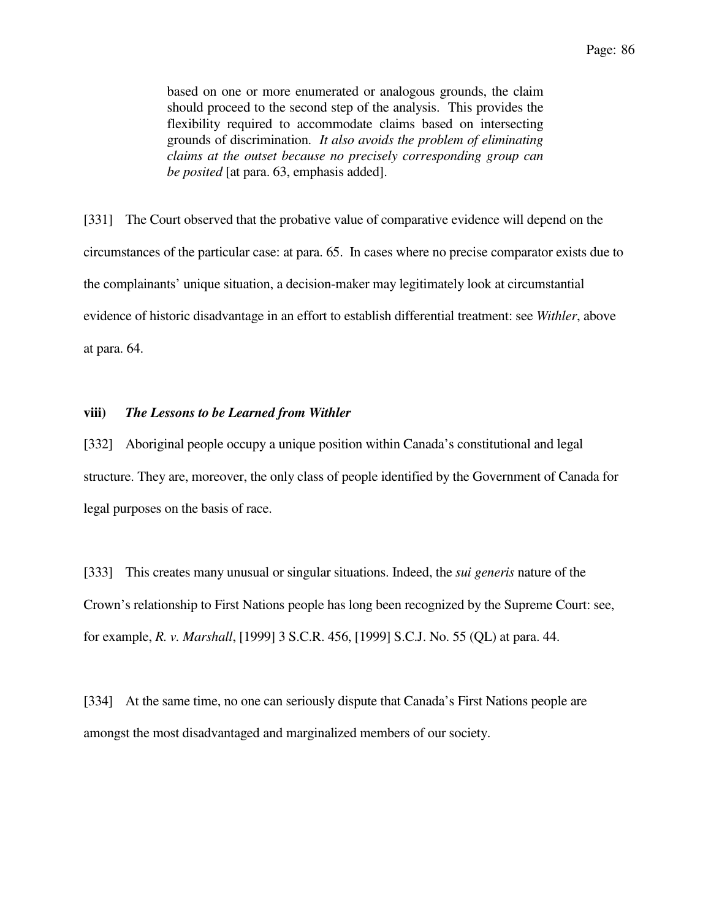based on one or more enumerated or analogous grounds, the claim should proceed to the second step of the analysis. This provides the flexibility required to accommodate claims based on intersecting grounds of discrimination. *It also avoids the problem of eliminating claims at the outset because no precisely corresponding group can be posited* [at para. 63, emphasis added].

[331] The Court observed that the probative value of comparative evidence will depend on the circumstances of the particular case: at para. 65. In cases where no precise comparator exists due to the complainants' unique situation, a decision-maker may legitimately look at circumstantial evidence of historic disadvantage in an effort to establish differential treatment: see *Withler*, above at para. 64.

### **viii)** *The Lessons to be Learned from Withler*

[332] Aboriginal people occupy a unique position within Canada's constitutional and legal structure. They are, moreover, the only class of people identified by the Government of Canada for legal purposes on the basis of race.

[333] This creates many unusual or singular situations. Indeed, the *sui generis* nature of the Crown's relationship to First Nations people has long been recognized by the Supreme Court: see, for example, *R. v. Marshall*, [1999] 3 S.C.R. 456, [1999] S.C.J. No. 55 (QL) at para. 44.

[334] At the same time, no one can seriously dispute that Canada's First Nations people are amongst the most disadvantaged and marginalized members of our society.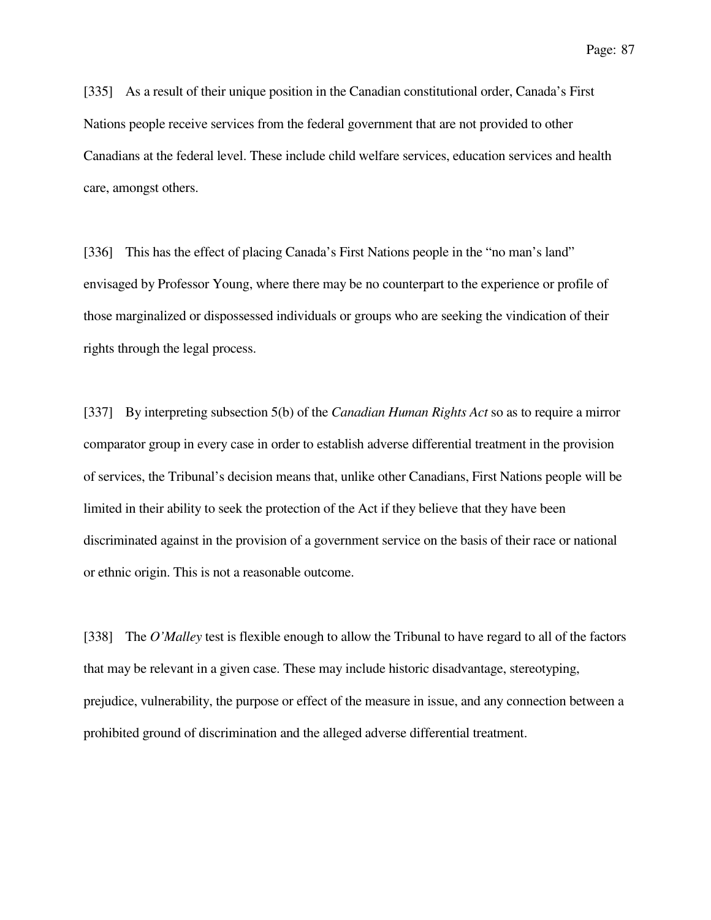[335] As a result of their unique position in the Canadian constitutional order, Canada's First Nations people receive services from the federal government that are not provided to other Canadians at the federal level. These include child welfare services, education services and health care, amongst others.

[336] This has the effect of placing Canada's First Nations people in the "no man's land" envisaged by Professor Young, where there may be no counterpart to the experience or profile of those marginalized or dispossessed individuals or groups who are seeking the vindication of their rights through the legal process.

[337] By interpreting subsection 5(b) of the *Canadian Human Rights Act* so as to require a mirror comparator group in every case in order to establish adverse differential treatment in the provision of services, the Tribunal's decision means that, unlike other Canadians, First Nations people will be limited in their ability to seek the protection of the Act if they believe that they have been discriminated against in the provision of a government service on the basis of their race or national or ethnic origin. This is not a reasonable outcome.

[338] The *O'Malley* test is flexible enough to allow the Tribunal to have regard to all of the factors that may be relevant in a given case. These may include historic disadvantage, stereotyping, prejudice, vulnerability, the purpose or effect of the measure in issue, and any connection between a prohibited ground of discrimination and the alleged adverse differential treatment.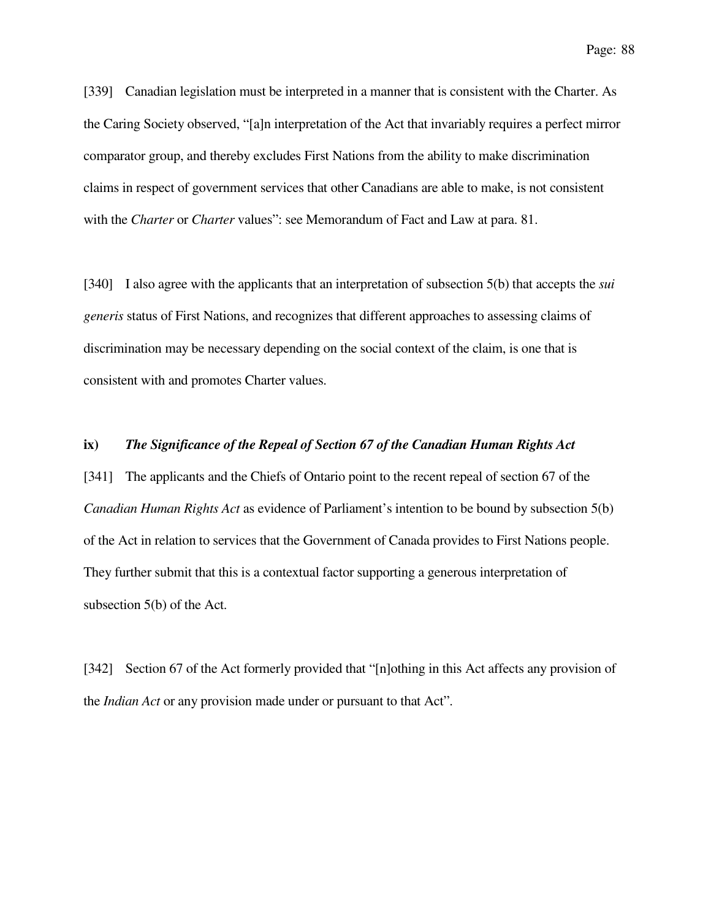[339] Canadian legislation must be interpreted in a manner that is consistent with the Charter. As the Caring Society observed, "[a]n interpretation of the Act that invariably requires a perfect mirror comparator group, and thereby excludes First Nations from the ability to make discrimination claims in respect of government services that other Canadians are able to make, is not consistent with the *Charter* or *Charter* values": see Memorandum of Fact and Law at para. 81.

[340] I also agree with the applicants that an interpretation of subsection 5(b) that accepts the *sui generis* status of First Nations, and recognizes that different approaches to assessing claims of discrimination may be necessary depending on the social context of the claim, is one that is consistent with and promotes Charter values.

### **ix)** *The Significance of the Repeal of Section 67 of the Canadian Human Rights Act*

[341] The applicants and the Chiefs of Ontario point to the recent repeal of section 67 of the *Canadian Human Rights Act* as evidence of Parliament's intention to be bound by subsection 5(b) of the Act in relation to services that the Government of Canada provides to First Nations people. They further submit that this is a contextual factor supporting a generous interpretation of subsection 5(b) of the Act.

[342] Section 67 of the Act formerly provided that "[n]othing in this Act affects any provision of the *Indian Act* or any provision made under or pursuant to that Act".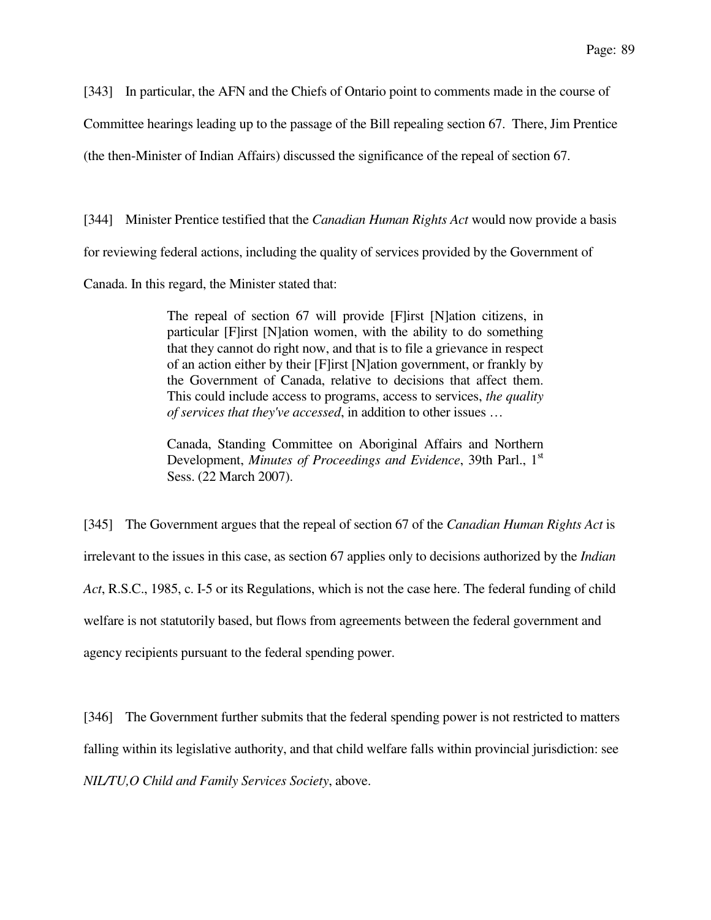[343] In particular, the AFN and the Chiefs of Ontario point to comments made in the course of

Committee hearings leading up to the passage of the Bill repealing section 67. There, Jim Prentice

(the then-Minister of Indian Affairs) discussed the significance of the repeal of section 67.

[344] Minister Prentice testified that the *Canadian Human Rights Act* would now provide a basis

for reviewing federal actions, including the quality of services provided by the Government of

Canada. In this regard, the Minister stated that:

The repeal of section 67 will provide [F]irst [N]ation citizens, in particular [F]irst [N]ation women, with the ability to do something that they cannot do right now, and that is to file a grievance in respect of an action either by their [F]irst [N]ation government, or frankly by the Government of Canada, relative to decisions that affect them. This could include access to programs, access to services, *the quality of services that they've accessed*, in addition to other issues …

Canada, Standing Committee on Aboriginal Affairs and Northern Development, *Minutes of Proceedings and Evidence*, 39th Parl., 1<sup>st</sup> Sess. (22 March 2007).

[345] The Government argues that the repeal of section 67 of the *Canadian Human Rights Act* is irrelevant to the issues in this case, as section 67 applies only to decisions authorized by the *Indian Act*, R.S.C., 1985, c. I-5 or its Regulations, which is not the case here. The federal funding of child welfare is not statutorily based, but flows from agreements between the federal government and agency recipients pursuant to the federal spending power.

[346] The Government further submits that the federal spending power is not restricted to matters falling within its legislative authority, and that child welfare falls within provincial jurisdiction: see *NIL/TU,O Child and Family Services Society*, above.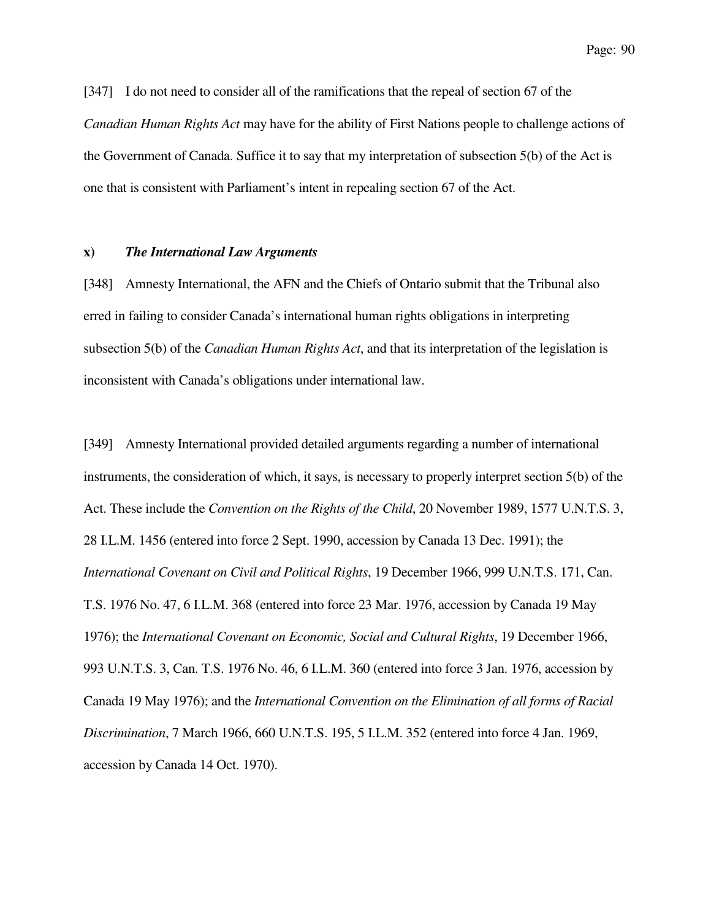[347] I do not need to consider all of the ramifications that the repeal of section 67 of the *Canadian Human Rights Act* may have for the ability of First Nations people to challenge actions of the Government of Canada. Suffice it to say that my interpretation of subsection 5(b) of the Act is one that is consistent with Parliament's intent in repealing section 67 of the Act.

### **x)** *The International Law Arguments*

[348] Amnesty International, the AFN and the Chiefs of Ontario submit that the Tribunal also erred in failing to consider Canada's international human rights obligations in interpreting subsection 5(b) of the *Canadian Human Rights Act*, and that its interpretation of the legislation is inconsistent with Canada's obligations under international law.

[349] Amnesty International provided detailed arguments regarding a number of international instruments, the consideration of which, it says, is necessary to properly interpret section 5(b) of the Act. These include the *Convention on the Rights of the Child*, 20 November 1989, 1577 U.N.T.S. 3, 28 I.L.M. 1456 (entered into force 2 Sept. 1990, accession by Canada 13 Dec. 1991); the *International Covenant on Civil and Political Rights*, 19 December 1966, 999 U.N.T.S. 171, Can. T.S. 1976 No. 47, 6 I.L.M. 368 (entered into force 23 Mar. 1976, accession by Canada 19 May 1976); the *International Covenant on Economic, Social and Cultural Rights*, 19 December 1966, 993 U.N.T.S. 3, Can. T.S. 1976 No. 46, 6 I.L.M. 360 (entered into force 3 Jan. 1976, accession by Canada 19 May 1976); and the *International Convention on the Elimination of all forms of Racial Discrimination*, 7 March 1966, 660 U.N.T.S. 195, 5 I.L.M. 352 (entered into force 4 Jan. 1969, accession by Canada 14 Oct. 1970).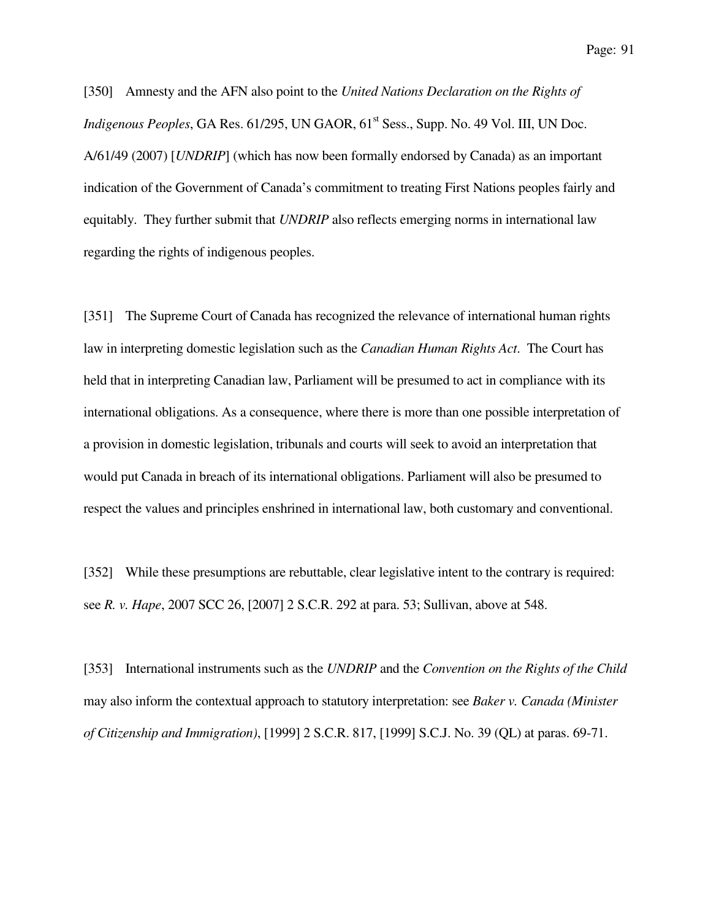[350] Amnesty and the AFN also point to the *United Nations Declaration on the Rights of Indigenous Peoples*, GA Res. 61/295, UN GAOR, 61<sup>st</sup> Sess., Supp. No. 49 Vol. III, UN Doc. A/61/49 (2007) [*UNDRIP*] (which has now been formally endorsed by Canada) as an important indication of the Government of Canada's commitment to treating First Nations peoples fairly and equitably. They further submit that *UNDRIP* also reflects emerging norms in international law regarding the rights of indigenous peoples.

[351] The Supreme Court of Canada has recognized the relevance of international human rights law in interpreting domestic legislation such as the *Canadian Human Rights Act*. The Court has held that in interpreting Canadian law, Parliament will be presumed to act in compliance with its international obligations. As a consequence, where there is more than one possible interpretation of a provision in domestic legislation, tribunals and courts will seek to avoid an interpretation that would put Canada in breach of its international obligations. Parliament will also be presumed to respect the values and principles enshrined in international law, both customary and conventional.

[352] While these presumptions are rebuttable, clear legislative intent to the contrary is required: see *R. v. Hape*, 2007 SCC 26, [2007] 2 S.C.R. 292 at para. 53; Sullivan, above at 548.

[353] International instruments such as the *UNDRIP* and the *Convention on the Rights of the Child* may also inform the contextual approach to statutory interpretation: see *Baker v. Canada (Minister of Citizenship and Immigration)*, [1999] 2 S.C.R. 817, [1999] S.C.J. No. 39 (QL) at paras. 69-71.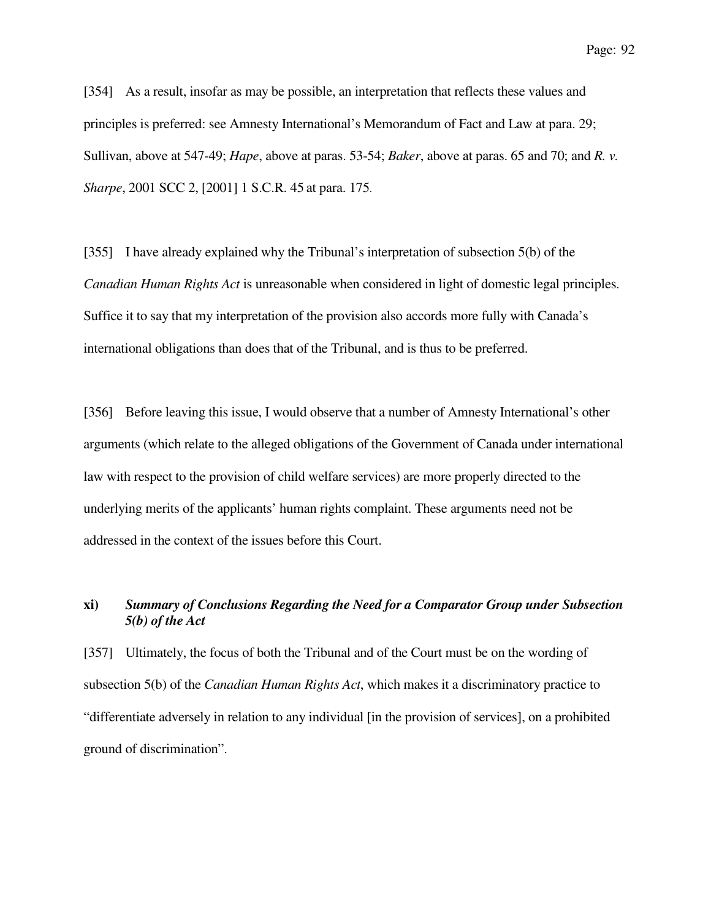[354] As a result, insofar as may be possible, an interpretation that reflects these values and principles is preferred: see Amnesty International's Memorandum of Fact and Law at para. 29; Sullivan, above at 547-49; *Hape*, above at paras. 53-54; *Baker*, above at paras. 65 and 70; and *R. v. Sharpe*, 2001 SCC 2, [2001] 1 S.C.R. 45 at para. 175.

[355] I have already explained why the Tribunal's interpretation of subsection 5(b) of the *Canadian Human Rights Act* is unreasonable when considered in light of domestic legal principles. Suffice it to say that my interpretation of the provision also accords more fully with Canada's international obligations than does that of the Tribunal, and is thus to be preferred.

[356] Before leaving this issue, I would observe that a number of Amnesty International's other arguments (which relate to the alleged obligations of the Government of Canada under international law with respect to the provision of child welfare services) are more properly directed to the underlying merits of the applicants' human rights complaint. These arguments need not be addressed in the context of the issues before this Court.

## **xi)** *Summary of Conclusions Regarding the Need for a Comparator Group under Subsection 5(b) of the Act*

[357] Ultimately, the focus of both the Tribunal and of the Court must be on the wording of subsection 5(b) of the *Canadian Human Rights Act*, which makes it a discriminatory practice to "differentiate adversely in relation to any individual [in the provision of services], on a prohibited ground of discrimination".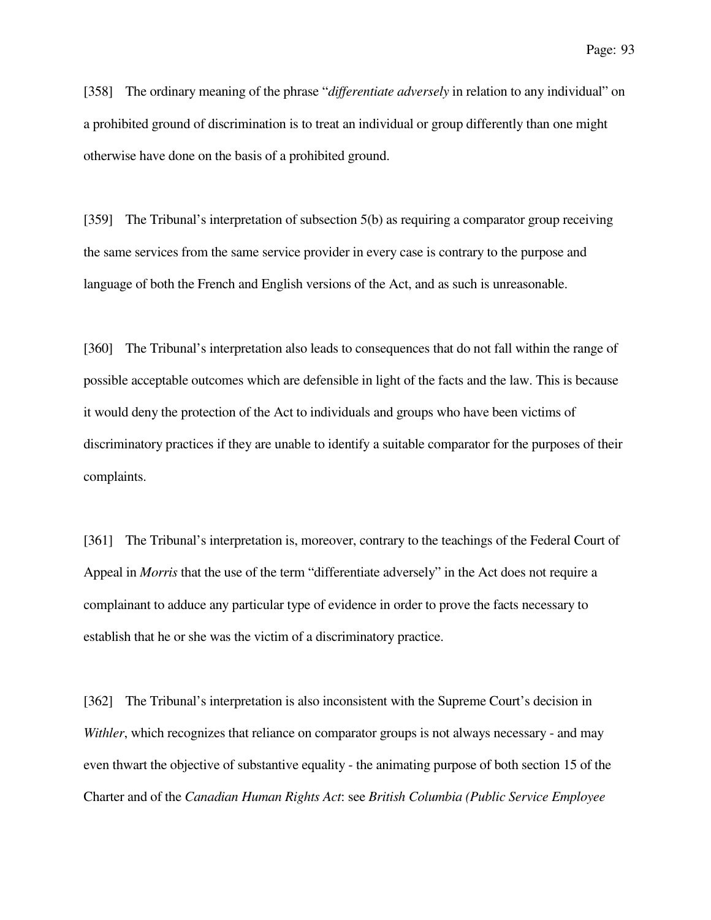[358] The ordinary meaning of the phrase "*differentiate adversely* in relation to any individual" on a prohibited ground of discrimination is to treat an individual or group differently than one might otherwise have done on the basis of a prohibited ground.

[359] The Tribunal's interpretation of subsection 5(b) as requiring a comparator group receiving the same services from the same service provider in every case is contrary to the purpose and language of both the French and English versions of the Act, and as such is unreasonable.

[360] The Tribunal's interpretation also leads to consequences that do not fall within the range of possible acceptable outcomes which are defensible in light of the facts and the law. This is because it would deny the protection of the Act to individuals and groups who have been victims of discriminatory practices if they are unable to identify a suitable comparator for the purposes of their complaints.

[361] The Tribunal's interpretation is, moreover, contrary to the teachings of the Federal Court of Appeal in *Morris* that the use of the term "differentiate adversely" in the Act does not require a complainant to adduce any particular type of evidence in order to prove the facts necessary to establish that he or she was the victim of a discriminatory practice.

[362] The Tribunal's interpretation is also inconsistent with the Supreme Court's decision in *Withler*, which recognizes that reliance on comparator groups is not always necessary - and may even thwart the objective of substantive equality - the animating purpose of both section 15 of the Charter and of the *Canadian Human Rights Act*: see *British Columbia (Public Service Employee*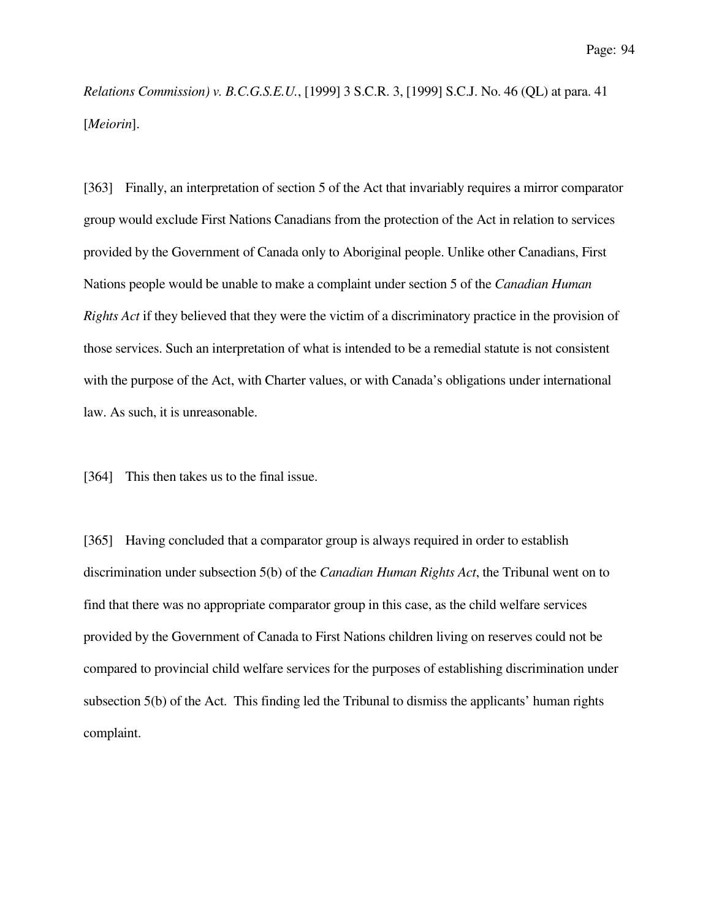*Relations Commission) v. B.C.G.S.E.U.*, [1999] 3 S.C.R. 3, [1999] S.C.J. No. 46 (QL) at para. 41 [*Meiorin*].

[363] Finally, an interpretation of section 5 of the Act that invariably requires a mirror comparator group would exclude First Nations Canadians from the protection of the Act in relation to services provided by the Government of Canada only to Aboriginal people. Unlike other Canadians, First Nations people would be unable to make a complaint under section 5 of the *Canadian Human Rights Act* if they believed that they were the victim of a discriminatory practice in the provision of those services. Such an interpretation of what is intended to be a remedial statute is not consistent with the purpose of the Act, with Charter values, or with Canada's obligations under international law. As such, it is unreasonable.

[364] This then takes us to the final issue.

[365] Having concluded that a comparator group is always required in order to establish discrimination under subsection 5(b) of the *Canadian Human Rights Act*, the Tribunal went on to find that there was no appropriate comparator group in this case, as the child welfare services provided by the Government of Canada to First Nations children living on reserves could not be compared to provincial child welfare services for the purposes of establishing discrimination under subsection 5(b) of the Act. This finding led the Tribunal to dismiss the applicants' human rights complaint.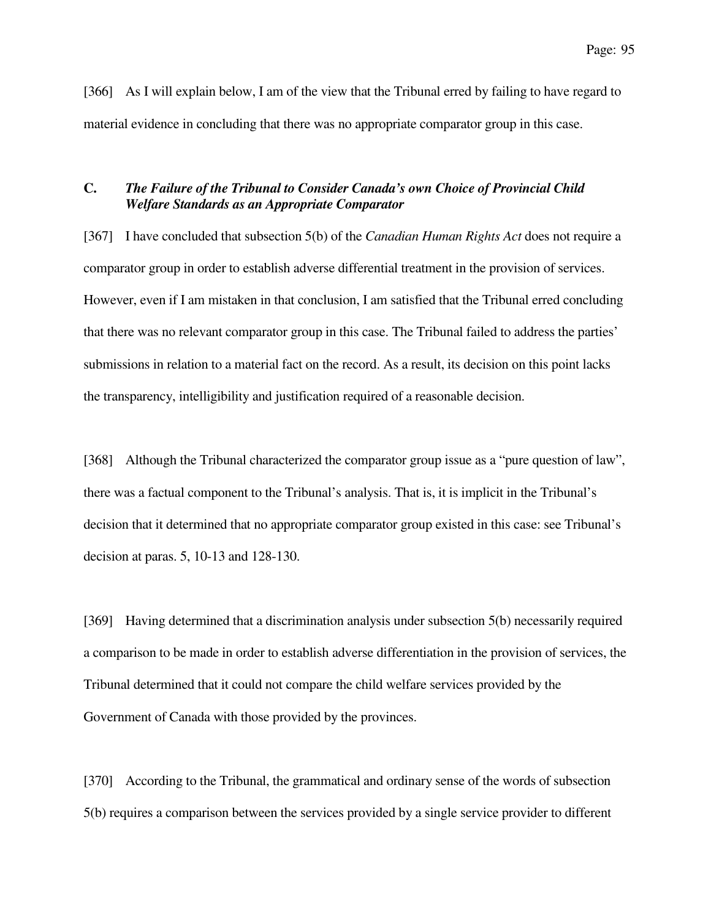[366] As I will explain below, I am of the view that the Tribunal erred by failing to have regard to material evidence in concluding that there was no appropriate comparator group in this case.

## **C.** *The Failure of the Tribunal to Consider Canada's own Choice of Provincial Child Welfare Standards as an Appropriate Comparator*

[367] I have concluded that subsection 5(b) of the *Canadian Human Rights Act* does not require a comparator group in order to establish adverse differential treatment in the provision of services. However, even if I am mistaken in that conclusion, I am satisfied that the Tribunal erred concluding that there was no relevant comparator group in this case. The Tribunal failed to address the parties' submissions in relation to a material fact on the record. As a result, its decision on this point lacks the transparency, intelligibility and justification required of a reasonable decision.

[368] Although the Tribunal characterized the comparator group issue as a "pure question of law", there was a factual component to the Tribunal's analysis. That is, it is implicit in the Tribunal's decision that it determined that no appropriate comparator group existed in this case: see Tribunal's decision at paras. 5, 10-13 and 128-130.

[369] Having determined that a discrimination analysis under subsection 5(b) necessarily required a comparison to be made in order to establish adverse differentiation in the provision of services, the Tribunal determined that it could not compare the child welfare services provided by the Government of Canada with those provided by the provinces.

[370] According to the Tribunal, the grammatical and ordinary sense of the words of subsection 5(b) requires a comparison between the services provided by a single service provider to different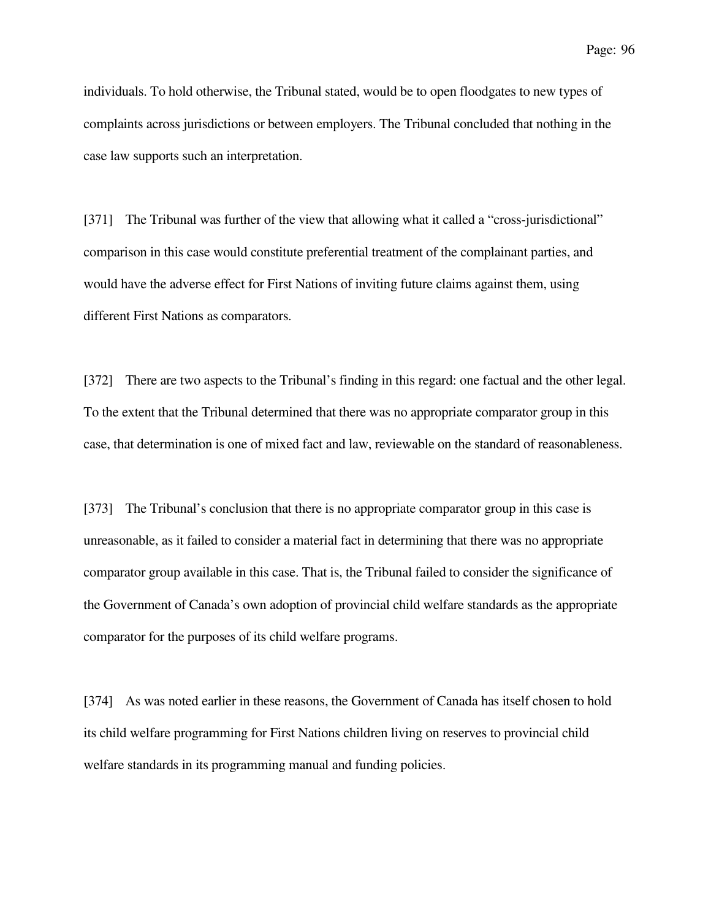individuals. To hold otherwise, the Tribunal stated, would be to open floodgates to new types of complaints across jurisdictions or between employers. The Tribunal concluded that nothing in the case law supports such an interpretation.

[371] The Tribunal was further of the view that allowing what it called a "cross-jurisdictional" comparison in this case would constitute preferential treatment of the complainant parties, and would have the adverse effect for First Nations of inviting future claims against them, using different First Nations as comparators.

[372] There are two aspects to the Tribunal's finding in this regard: one factual and the other legal. To the extent that the Tribunal determined that there was no appropriate comparator group in this case, that determination is one of mixed fact and law, reviewable on the standard of reasonableness.

[373] The Tribunal's conclusion that there is no appropriate comparator group in this case is unreasonable, as it failed to consider a material fact in determining that there was no appropriate comparator group available in this case. That is, the Tribunal failed to consider the significance of the Government of Canada's own adoption of provincial child welfare standards as the appropriate comparator for the purposes of its child welfare programs.

[374] As was noted earlier in these reasons, the Government of Canada has itself chosen to hold its child welfare programming for First Nations children living on reserves to provincial child welfare standards in its programming manual and funding policies.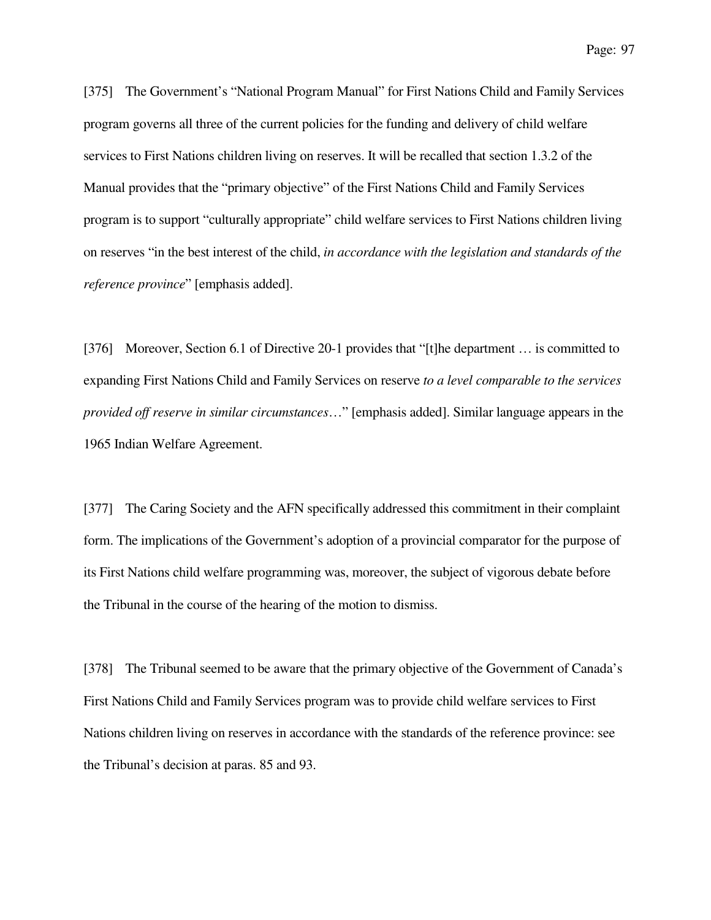[375] The Government's "National Program Manual" for First Nations Child and Family Services program governs all three of the current policies for the funding and delivery of child welfare services to First Nations children living on reserves. It will be recalled that section 1.3.2 of the Manual provides that the "primary objective" of the First Nations Child and Family Services program is to support "culturally appropriate" child welfare services to First Nations children living on reserves "in the best interest of the child, *in accordance with the legislation and standards of the reference province*" [emphasis added].

[376] Moreover, Section 6.1 of Directive 20-1 provides that "[t]he department … is committed to expanding First Nations Child and Family Services on reserve *to a level comparable to the services provided off reserve in similar circumstances*…" [emphasis added]. Similar language appears in the 1965 Indian Welfare Agreement.

[377] The Caring Society and the AFN specifically addressed this commitment in their complaint form. The implications of the Government's adoption of a provincial comparator for the purpose of its First Nations child welfare programming was, moreover, the subject of vigorous debate before the Tribunal in the course of the hearing of the motion to dismiss.

[378] The Tribunal seemed to be aware that the primary objective of the Government of Canada's First Nations Child and Family Services program was to provide child welfare services to First Nations children living on reserves in accordance with the standards of the reference province: see the Tribunal's decision at paras. 85 and 93.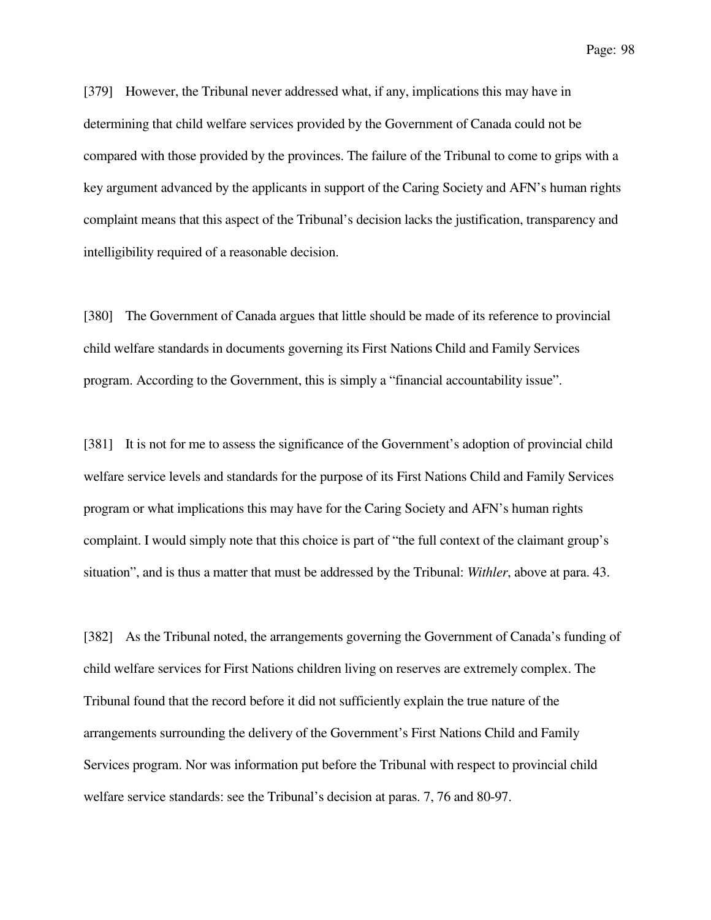[379] However, the Tribunal never addressed what, if any, implications this may have in determining that child welfare services provided by the Government of Canada could not be compared with those provided by the provinces. The failure of the Tribunal to come to grips with a key argument advanced by the applicants in support of the Caring Society and AFN's human rights complaint means that this aspect of the Tribunal's decision lacks the justification, transparency and intelligibility required of a reasonable decision.

[380] The Government of Canada argues that little should be made of its reference to provincial child welfare standards in documents governing its First Nations Child and Family Services program. According to the Government, this is simply a "financial accountability issue".

[381] It is not for me to assess the significance of the Government's adoption of provincial child welfare service levels and standards for the purpose of its First Nations Child and Family Services program or what implications this may have for the Caring Society and AFN's human rights complaint. I would simply note that this choice is part of "the full context of the claimant group's situation", and is thus a matter that must be addressed by the Tribunal: *Withler*, above at para. 43.

[382] As the Tribunal noted, the arrangements governing the Government of Canada's funding of child welfare services for First Nations children living on reserves are extremely complex. The Tribunal found that the record before it did not sufficiently explain the true nature of the arrangements surrounding the delivery of the Government's First Nations Child and Family Services program. Nor was information put before the Tribunal with respect to provincial child welfare service standards: see the Tribunal's decision at paras. 7, 76 and 80-97.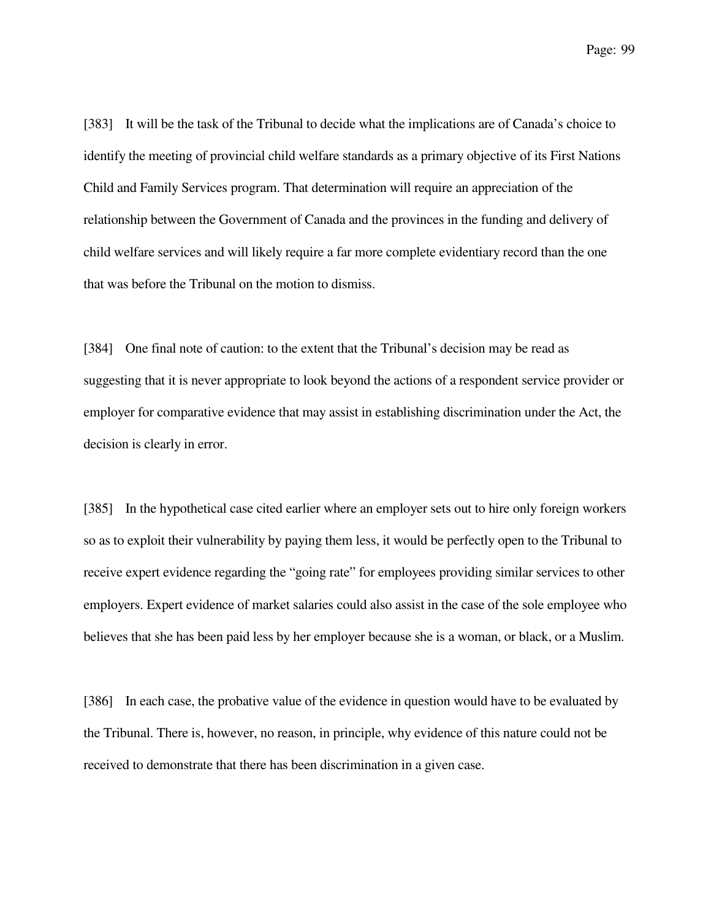[383] It will be the task of the Tribunal to decide what the implications are of Canada's choice to identify the meeting of provincial child welfare standards as a primary objective of its First Nations Child and Family Services program. That determination will require an appreciation of the relationship between the Government of Canada and the provinces in the funding and delivery of child welfare services and will likely require a far more complete evidentiary record than the one that was before the Tribunal on the motion to dismiss.

[384] One final note of caution: to the extent that the Tribunal's decision may be read as suggesting that it is never appropriate to look beyond the actions of a respondent service provider or employer for comparative evidence that may assist in establishing discrimination under the Act, the decision is clearly in error.

[385] In the hypothetical case cited earlier where an employer sets out to hire only foreign workers so as to exploit their vulnerability by paying them less, it would be perfectly open to the Tribunal to receive expert evidence regarding the "going rate" for employees providing similar services to other employers. Expert evidence of market salaries could also assist in the case of the sole employee who believes that she has been paid less by her employer because she is a woman, or black, or a Muslim.

[386] In each case, the probative value of the evidence in question would have to be evaluated by the Tribunal. There is, however, no reason, in principle, why evidence of this nature could not be received to demonstrate that there has been discrimination in a given case.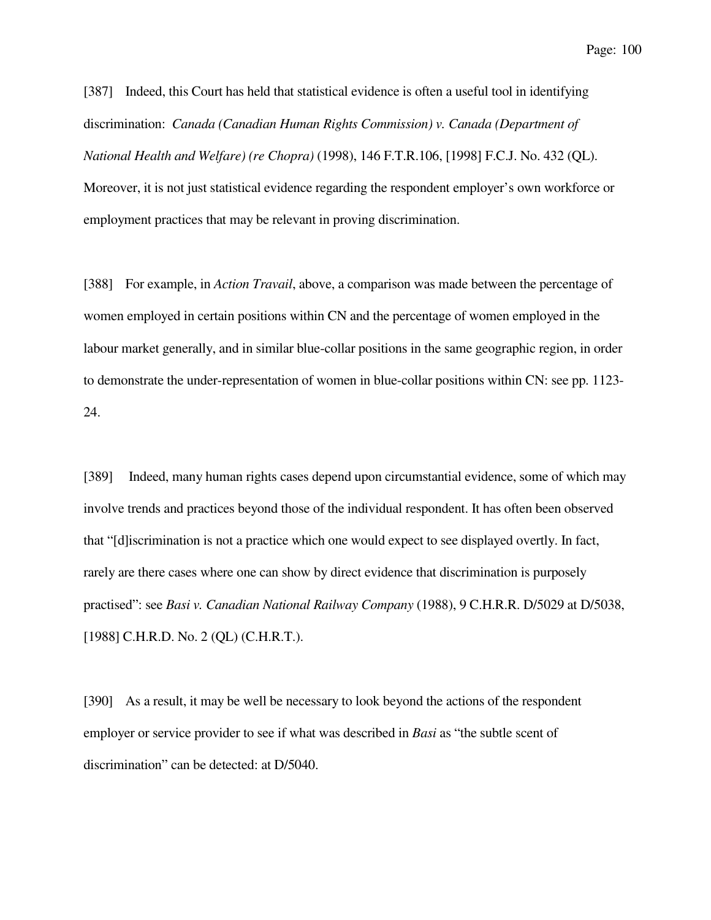[387] Indeed, this Court has held that statistical evidence is often a useful tool in identifying discrimination: *Canada (Canadian Human Rights Commission) v. Canada (Department of National Health and Welfare) (re Chopra)* (1998), 146 F.T.R.106, [1998] F.C.J. No. 432 (QL). Moreover, it is not just statistical evidence regarding the respondent employer's own workforce or employment practices that may be relevant in proving discrimination.

[388] For example, in *Action Travail*, above, a comparison was made between the percentage of women employed in certain positions within CN and the percentage of women employed in the labour market generally, and in similar blue-collar positions in the same geographic region, in order to demonstrate the under-representation of women in blue-collar positions within CN: see pp. 1123- 24.

[389] Indeed, many human rights cases depend upon circumstantial evidence, some of which may involve trends and practices beyond those of the individual respondent. It has often been observed that "[d]iscrimination is not a practice which one would expect to see displayed overtly. In fact, rarely are there cases where one can show by direct evidence that discrimination is purposely practised": see *Basi v. Canadian National Railway Company* (1988), 9 C.H.R.R. D/5029 at D/5038, [1988] C.H.R.D. No. 2 (QL) (C.H.R.T.).

[390] As a result, it may be well be necessary to look beyond the actions of the respondent employer or service provider to see if what was described in *Basi* as "the subtle scent of discrimination" can be detected: at D/5040.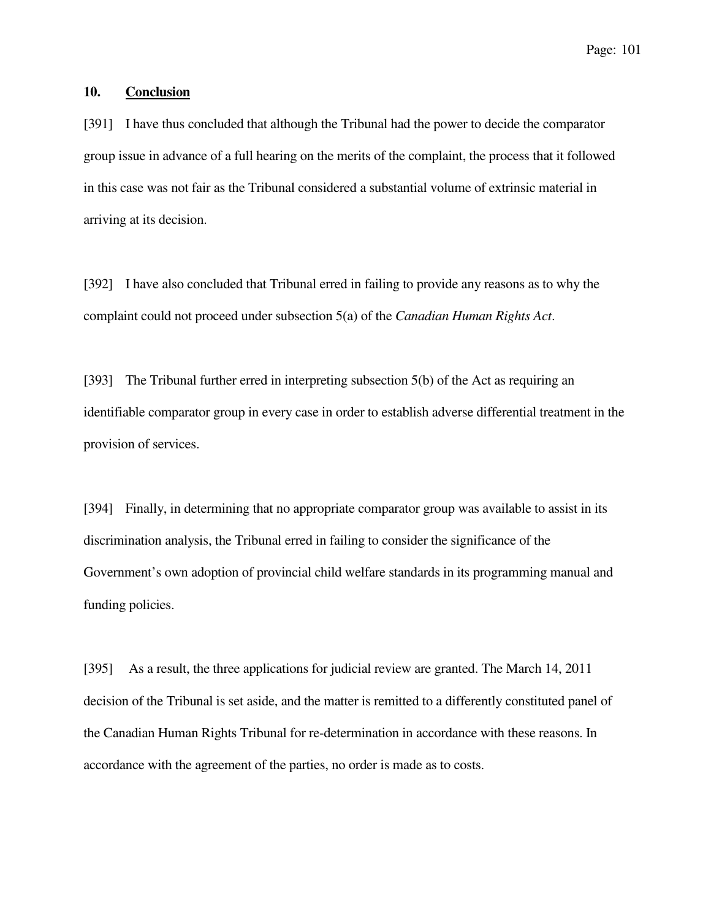### **10. Conclusion**

[391] I have thus concluded that although the Tribunal had the power to decide the comparator group issue in advance of a full hearing on the merits of the complaint, the process that it followed in this case was not fair as the Tribunal considered a substantial volume of extrinsic material in arriving at its decision.

[392] I have also concluded that Tribunal erred in failing to provide any reasons as to why the complaint could not proceed under subsection 5(a) of the *Canadian Human Rights Act*.

[393] The Tribunal further erred in interpreting subsection 5(b) of the Act as requiring an identifiable comparator group in every case in order to establish adverse differential treatment in the provision of services.

[394] Finally, in determining that no appropriate comparator group was available to assist in its discrimination analysis, the Tribunal erred in failing to consider the significance of the Government's own adoption of provincial child welfare standards in its programming manual and funding policies.

[395] As a result, the three applications for judicial review are granted. The March 14, 2011 decision of the Tribunal is set aside, and the matter is remitted to a differently constituted panel of the Canadian Human Rights Tribunal for re-determination in accordance with these reasons. In accordance with the agreement of the parties, no order is made as to costs.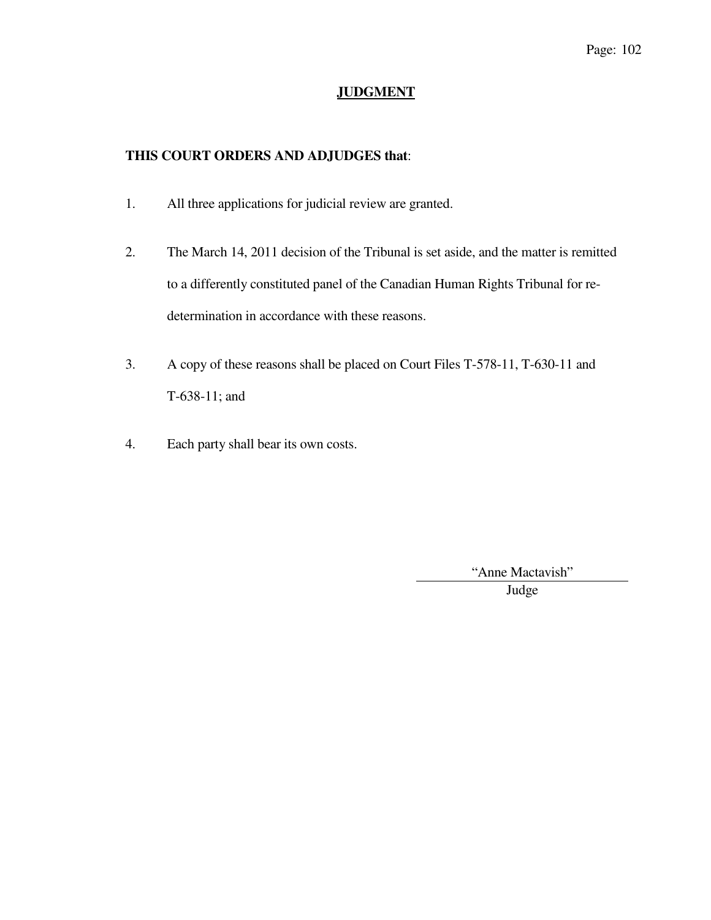## **JUDGMENT**

# **THIS COURT ORDERS AND ADJUDGES that**:

- 1. All three applications for judicial review are granted.
- 2. The March 14, 2011 decision of the Tribunal is set aside, and the matter is remitted to a differently constituted panel of the Canadian Human Rights Tribunal for redetermination in accordance with these reasons.
- 3. A copy of these reasons shall be placed on Court Files T-578-11, T-630-11 and T-638-11; and
- 4. Each party shall bear its own costs.

"Anne Mactavish"

Judge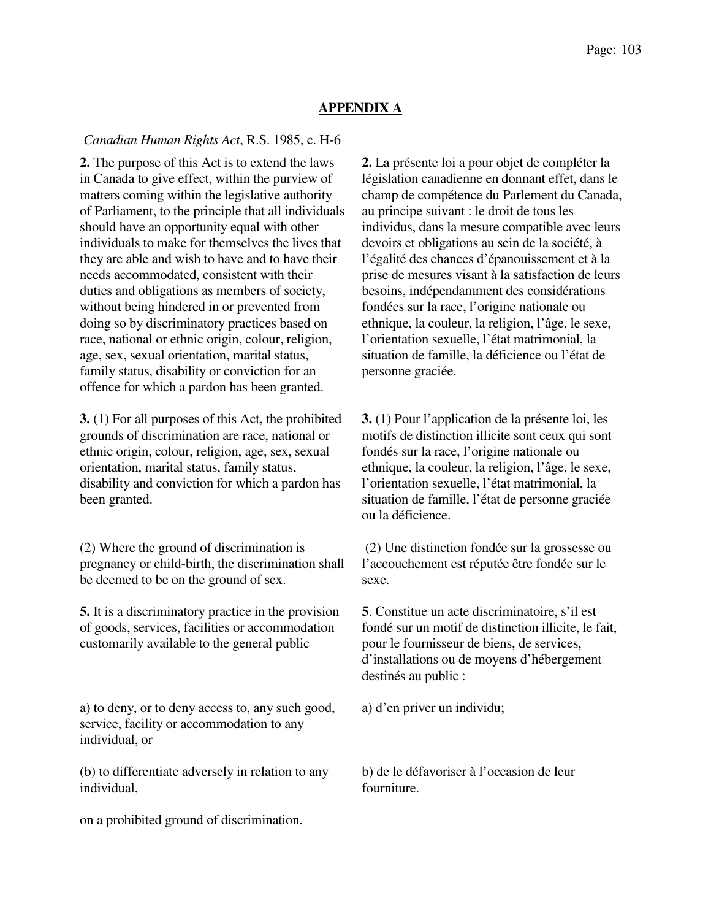## **APPENDIX A**

### *Canadian Human Rights Act*, R.S. 1985, c. H-6

**2.** The purpose of this Act is to extend the laws in Canada to give effect, within the purview of matters coming within the legislative authority of Parliament, to the principle that all individuals should have an opportunity equal with other individuals to make for themselves the lives that they are able and wish to have and to have their needs accommodated, consistent with their duties and obligations as members of society, without being hindered in or prevented from doing so by discriminatory practices based on race, national or ethnic origin, colour, religion, age, sex, sexual orientation, marital status, family status, disability or conviction for an offence for which a pardon has been granted.

**3.** (1) For all purposes of this Act, the prohibited grounds of discrimination are race, national or ethnic origin, colour, religion, age, sex, sexual orientation, marital status, family status, disability and conviction for which a pardon has been granted.

(2) Where the ground of discrimination is pregnancy or child-birth, the discrimination shall be deemed to be on the ground of sex.

**5.** It is a discriminatory practice in the provision of goods, services, facilities or accommodation customarily available to the general public

a) to deny, or to deny access to, any such good, service, facility or accommodation to any individual, or

(b) to differentiate adversely in relation to any individual,

on a prohibited ground of discrimination.

**2.** La présente loi a pour objet de compléter la législation canadienne en donnant effet, dans le champ de compétence du Parlement du Canada, au principe suivant : le droit de tous les individus, dans la mesure compatible avec leurs devoirs et obligations au sein de la société, à l'égalité des chances d'épanouissement et à la prise de mesures visant à la satisfaction de leurs besoins, indépendamment des considérations fondées sur la race, l'origine nationale ou ethnique, la couleur, la religion, l'âge, le sexe, l'orientation sexuelle, l'état matrimonial, la situation de famille, la déficience ou l'état de personne graciée.

**3.** (1) Pour l'application de la présente loi, les motifs de distinction illicite sont ceux qui sont fondés sur la race, l'origine nationale ou ethnique, la couleur, la religion, l'âge, le sexe, l'orientation sexuelle, l'état matrimonial, la situation de famille, l'état de personne graciée ou la déficience.

 (2) Une distinction fondée sur la grossesse ou l'accouchement est réputée être fondée sur le sexe.

**5**. Constitue un acte discriminatoire, s'il est fondé sur un motif de distinction illicite, le fait, pour le fournisseur de biens, de services, d'installations ou de moyens d'hébergement destinés au public :

a) d'en priver un individu;

b) de le défavoriser à l'occasion de leur fourniture.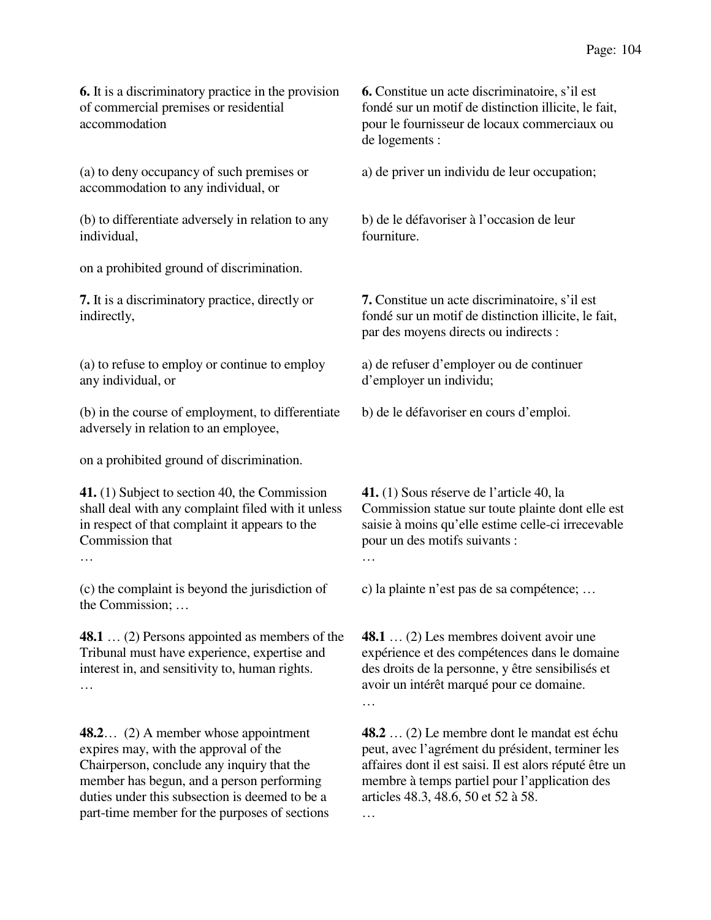**6.** It is a discriminatory practice in the provision of commercial premises or residential accommodation

(a) to deny occupancy of such premises or accommodation to any individual, or

(b) to differentiate adversely in relation to any individual,

on a prohibited ground of discrimination.

**7.** It is a discriminatory practice, directly or indirectly,

(a) to refuse to employ or continue to employ any individual, or

(b) in the course of employment, to differentiate adversely in relation to an employee,

on a prohibited ground of discrimination.

**41.** (1) Subject to section 40, the Commission shall deal with any complaint filed with it unless in respect of that complaint it appears to the Commission that

…

(c) the complaint is beyond the jurisdiction of the Commission; …

**48.1** … (2) Persons appointed as members of the Tribunal must have experience, expertise and interest in, and sensitivity to, human rights. …

**48.2**… (2) A member whose appointment expires may, with the approval of the Chairperson, conclude any inquiry that the member has begun, and a person performing duties under this subsection is deemed to be a part-time member for the purposes of sections

**6.** Constitue un acte discriminatoire, s'il est fondé sur un motif de distinction illicite, le fait, pour le fournisseur de locaux commerciaux ou de logements :

a) de priver un individu de leur occupation;

b) de le défavoriser à l'occasion de leur fourniture.

**7.** Constitue un acte discriminatoire, s'il est fondé sur un motif de distinction illicite, le fait, par des moyens directs ou indirects :

a) de refuser d'employer ou de continuer d'employer un individu;

b) de le défavoriser en cours d'emploi.

**41.** (1) Sous réserve de l'article 40, la Commission statue sur toute plainte dont elle est saisie à moins qu'elle estime celle-ci irrecevable pour un des motifs suivants : …

c) la plainte n'est pas de sa compétence; …

**48.1** … (2) Les membres doivent avoir une expérience et des compétences dans le domaine des droits de la personne, y être sensibilisés et avoir un intérêt marqué pour ce domaine. …

**48.2** … (2) Le membre dont le mandat est échu peut, avec l'agrément du président, terminer les affaires dont il est saisi. Il est alors réputé être un membre à temps partiel pour l'application des articles 48.3, 48.6, 50 et 52 à 58.

 $\mathbb{R}^2$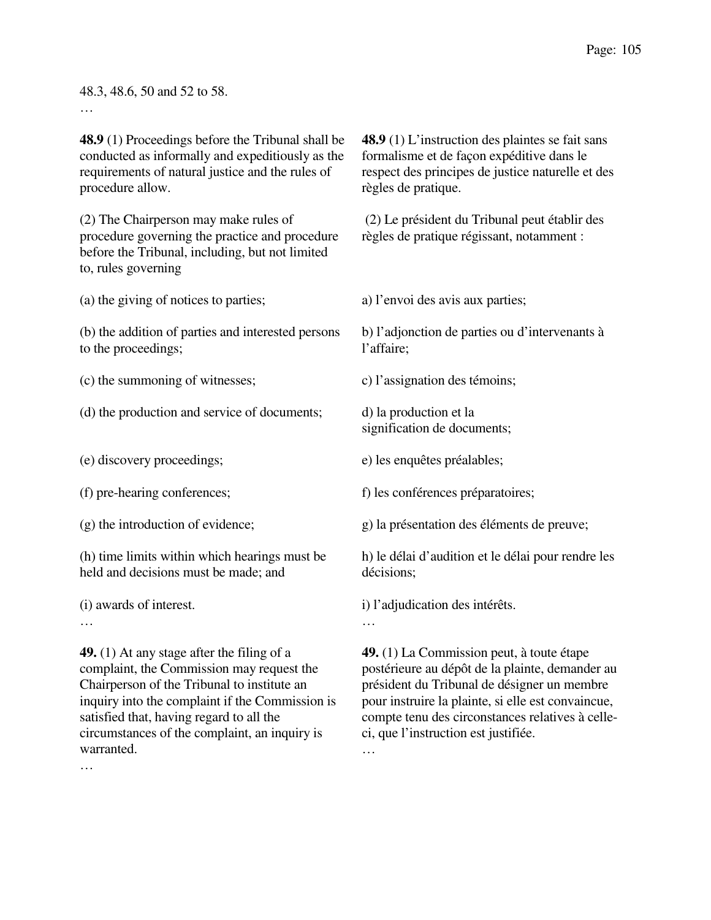### 48.3, 48.6, 50 and 52 to 58.

…

**48.9** (1) Proceedings before the Tribunal shall be conducted as informally and expeditiously as the requirements of natural justice and the rules of procedure allow.

(2) The Chairperson may make rules of procedure governing the practice and procedure before the Tribunal, including, but not limited to, rules governing

(a) the giving of notices to parties;

(b) the addition of parties and interested persons to the proceedings;

(c) the summoning of witnesses;

(d) the production and service of documents;

(e) discovery proceedings;

(f) pre-hearing conferences;

(g) the introduction of evidence;

(h) time limits within which hearings must be held and decisions must be made; and

(i) awards of interest.

…

**49.** (1) At any stage after the filing of a complaint, the Commission may request the Chairperson of the Tribunal to institute an inquiry into the complaint if the Commission is satisfied that, having regard to all the circumstances of the complaint, an inquiry is warranted.

**48.9** (1) L'instruction des plaintes se fait sans formalisme et de façon expéditive dans le respect des principes de justice naturelle et des règles de pratique.

 (2) Le président du Tribunal peut établir des règles de pratique régissant, notamment :

a) l'envoi des avis aux parties;

b) l'adjonction de parties ou d'intervenants à l'affaire;

c) l'assignation des témoins;

d) la production et la signification de documents;

e) les enquêtes préalables;

f) les conférences préparatoires;

g) la présentation des éléments de preuve;

h) le délai d'audition et le délai pour rendre les décisions;

i) l'adjudication des intérêts.

**49.** (1) La Commission peut, à toute étape postérieure au dépôt de la plainte, demander au président du Tribunal de désigner un membre pour instruire la plainte, si elle est convaincue, compte tenu des circonstances relatives à celleci, que l'instruction est justifiée.

…

…

<sup>…</sup>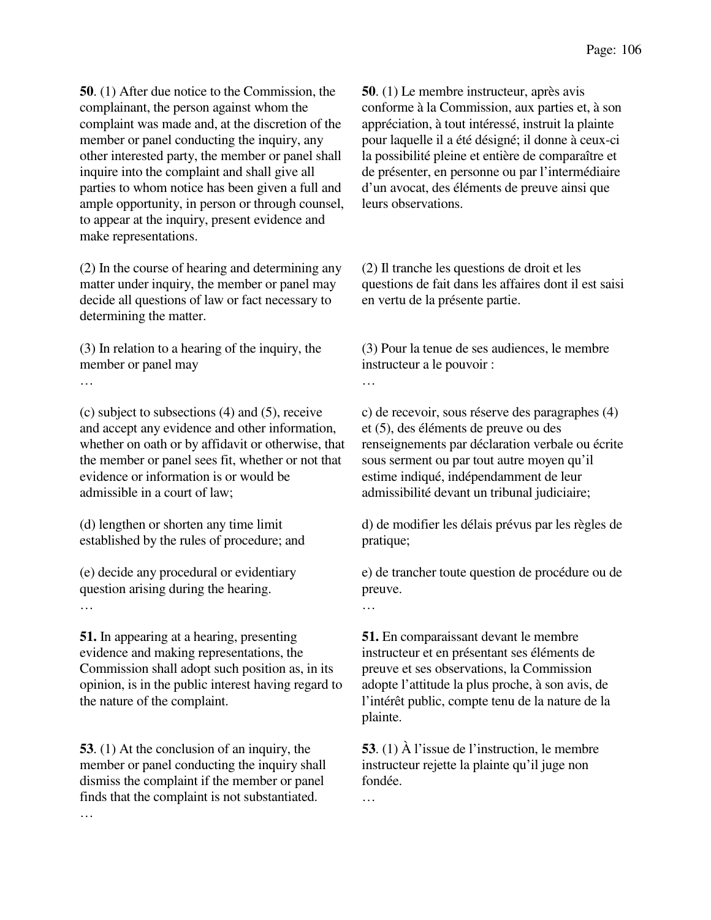**50**. (1) After due notice to the Commission, the complainant, the person against whom the complaint was made and, at the discretion of the member or panel conducting the inquiry, any other interested party, the member or panel shall inquire into the complaint and shall give all parties to whom notice has been given a full and ample opportunity, in person or through counsel, to appear at the inquiry, present evidence and make representations.

(2) In the course of hearing and determining any matter under inquiry, the member or panel may decide all questions of law or fact necessary to determining the matter.

(3) In relation to a hearing of the inquiry, the member or panel may

…

(c) subject to subsections (4) and (5), receive and accept any evidence and other information, whether on oath or by affidavit or otherwise, that the member or panel sees fit, whether or not that evidence or information is or would be admissible in a court of law;

(d) lengthen or shorten any time limit established by the rules of procedure; and

(e) decide any procedural or evidentiary question arising during the hearing. …

**51.** In appearing at a hearing, presenting evidence and making representations, the Commission shall adopt such position as, in its opinion, is in the public interest having regard to the nature of the complaint.

**53**. (1) At the conclusion of an inquiry, the member or panel conducting the inquiry shall dismiss the complaint if the member or panel finds that the complaint is not substantiated. …

**50**. (1) Le membre instructeur, après avis conforme à la Commission, aux parties et, à son appréciation, à tout intéressé, instruit la plainte pour laquelle il a été désigné; il donne à ceux-ci la possibilité pleine et entière de comparaître et de présenter, en personne ou par l'intermédiaire d'un avocat, des éléments de preuve ainsi que leurs observations.

(2) Il tranche les questions de droit et les questions de fait dans les affaires dont il est saisi en vertu de la présente partie.

(3) Pour la tenue de ses audiences, le membre instructeur a le pouvoir :

…

c) de recevoir, sous réserve des paragraphes (4) et (5), des éléments de preuve ou des renseignements par déclaration verbale ou écrite sous serment ou par tout autre moyen qu'il estime indiqué, indépendamment de leur admissibilité devant un tribunal judiciaire;

d) de modifier les délais prévus par les règles de pratique;

e) de trancher toute question de procédure ou de preuve.

…

**51.** En comparaissant devant le membre instructeur et en présentant ses éléments de preuve et ses observations, la Commission adopte l'attitude la plus proche, à son avis, de l'intérêt public, compte tenu de la nature de la plainte.

**53**. (1) À l'issue de l'instruction, le membre instructeur rejette la plainte qu'il juge non fondée.

…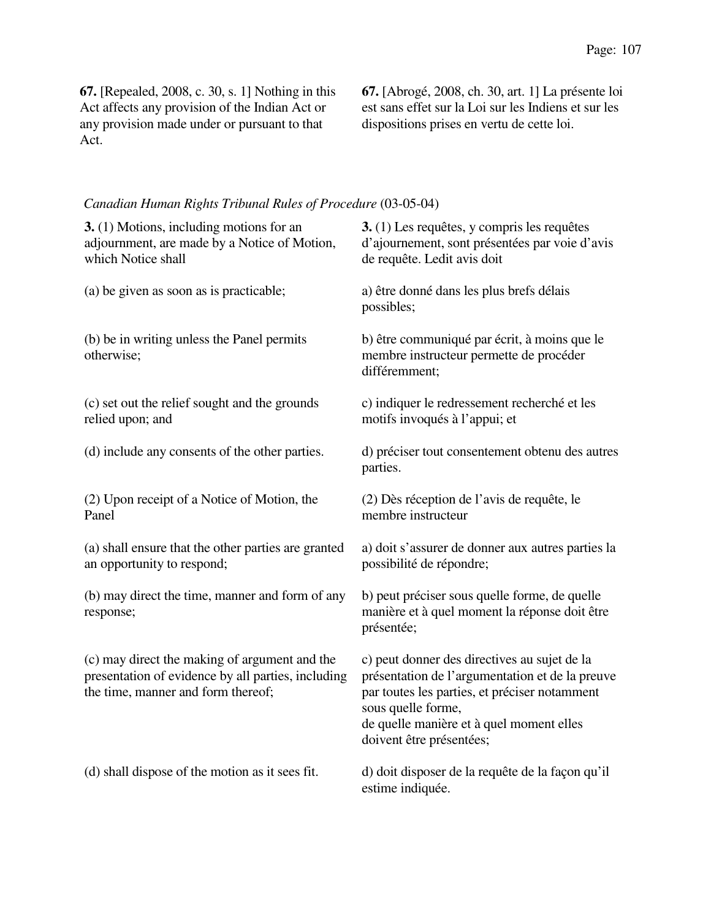**67.** [Repealed, 2008, c. 30, s. 1] Nothing in this Act affects any provision of the Indian Act or any provision made under or pursuant to that Act.

**67.** [Abrogé, 2008, ch. 30, art. 1] La présente loi est sans effet sur la Loi sur les Indiens et sur les dispositions prises en vertu de cette loi.

## *Canadian Human Rights Tribunal Rules of Procedure* (03-05-04)

| 3. (1) Motions, including motions for an<br>adjournment, are made by a Notice of Motion,<br>which Notice shall                            | 3. (1) Les requêtes, y compris les requêtes<br>d'ajournement, sont présentées par voie d'avis<br>de requête. Ledit avis doit                                                                                                                   |
|-------------------------------------------------------------------------------------------------------------------------------------------|------------------------------------------------------------------------------------------------------------------------------------------------------------------------------------------------------------------------------------------------|
| (a) be given as soon as is practicable;                                                                                                   | a) être donné dans les plus brefs délais<br>possibles;                                                                                                                                                                                         |
| (b) be in writing unless the Panel permits<br>otherwise;                                                                                  | b) être communiqué par écrit, à moins que le<br>membre instructeur permette de procéder<br>différemment;                                                                                                                                       |
| (c) set out the relief sought and the grounds<br>relied upon; and                                                                         | c) indiquer le redressement recherché et les<br>motifs invoqués à l'appui; et                                                                                                                                                                  |
| (d) include any consents of the other parties.                                                                                            | d) préciser tout consentement obtenu des autres<br>parties.                                                                                                                                                                                    |
| (2) Upon receipt of a Notice of Motion, the<br>Panel                                                                                      | (2) Dès réception de l'avis de requête, le<br>membre instructeur                                                                                                                                                                               |
| (a) shall ensure that the other parties are granted<br>an opportunity to respond;                                                         | a) doit s'assurer de donner aux autres parties la<br>possibilité de répondre;                                                                                                                                                                  |
| (b) may direct the time, manner and form of any<br>response;                                                                              | b) peut préciser sous quelle forme, de quelle<br>manière et à quel moment la réponse doit être<br>présentée;                                                                                                                                   |
| (c) may direct the making of argument and the<br>presentation of evidence by all parties, including<br>the time, manner and form thereof; | c) peut donner des directives au sujet de la<br>présentation de l'argumentation et de la preuve<br>par toutes les parties, et préciser notamment<br>sous quelle forme,<br>de quelle manière et à quel moment elles<br>doivent être présentées; |
| (d) shall dispose of the motion as it sees fit.                                                                                           | d) doit disposer de la requête de la façon qu'il<br>estime indiquée.                                                                                                                                                                           |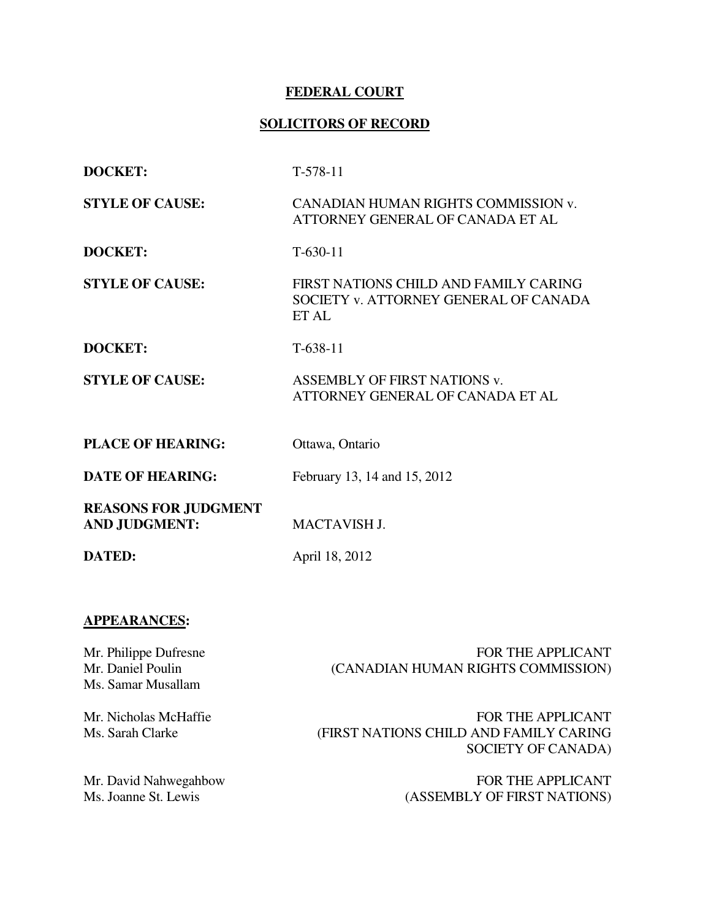## **FEDERAL COURT**

# **SOLICITORS OF RECORD**

| <b>DOCKET:</b>                                      | $T-578-11$                                                                              |
|-----------------------------------------------------|-----------------------------------------------------------------------------------------|
| <b>STYLE OF CAUSE:</b>                              | CANADIAN HUMAN RIGHTS COMMISSION v.<br>ATTORNEY GENERAL OF CANADA ET AL                 |
| <b>DOCKET:</b>                                      | $T-630-11$                                                                              |
| <b>STYLE OF CAUSE:</b>                              | FIRST NATIONS CHILD AND FAMILY CARING<br>SOCIETY v. ATTORNEY GENERAL OF CANADA<br>ET AL |
| <b>DOCKET:</b>                                      | $T-638-11$                                                                              |
| <b>STYLE OF CAUSE:</b>                              | <b>ASSEMBLY OF FIRST NATIONS v.</b><br>ATTORNEY GENERAL OF CANADA ET AL                 |
| <b>PLACE OF HEARING:</b>                            | Ottawa, Ontario                                                                         |
| <b>DATE OF HEARING:</b>                             | February 13, 14 and 15, 2012                                                            |
| <b>REASONS FOR JUDGMENT</b><br><b>AND JUDGMENT:</b> | <b>MACTAVISH J.</b>                                                                     |
| <b>DATED:</b>                                       | April 18, 2012                                                                          |

## **APPEARANCES:**

Mr. Philippe Dufresne Mr. Daniel Poulin Ms. Samar Musallam

FOR THE APPLICANT (CANADIAN HUMAN RIGHTS COMMISSION)

Mr. Nicholas McHaffie Ms. Sarah Clarke

Mr. David Nahwegahbow Ms. Joanne St. Lewis

FOR THE APPLICANT (FIRST NATIONS CHILD AND FAMILY CARING SOCIETY OF CANADA)

> FOR THE APPLICANT (ASSEMBLY OF FIRST NATIONS)